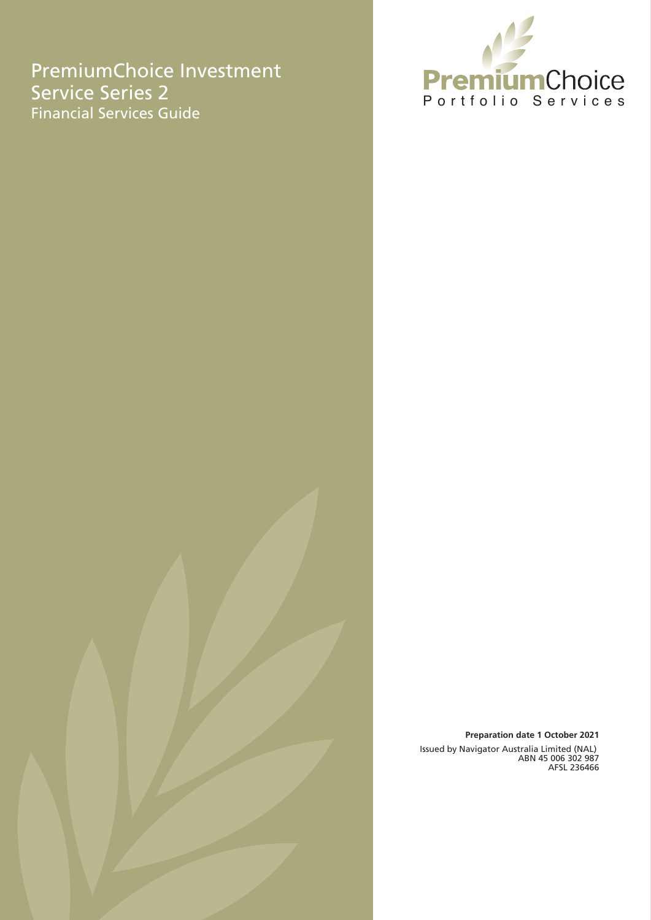# **Premium Choice Series 2 Premium Choice Service Series Financial Services Guide** PremiumChoice Investment



#### **Preparation date 1 October 2021**

Issued by Navigator Australia Limited (NAL) ABN 45 006 302 987 AFSL 236466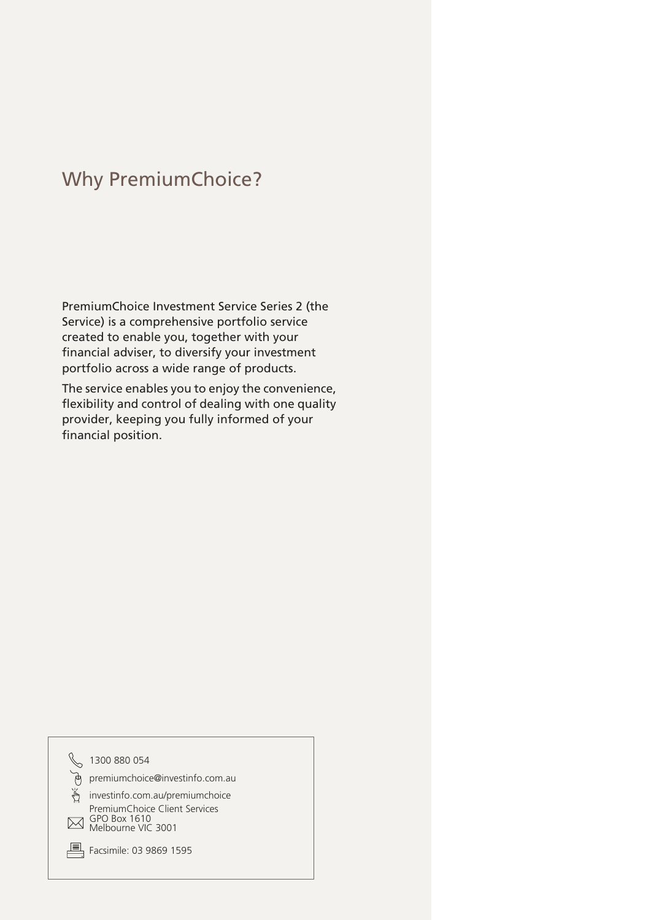# Why PremiumChoice?

PremiumChoice Investment Service Series 2 (the Service) is a comprehensive portfolio service created to enable you, together with your financial adviser, to diversify your investment portfolio across a wide range of products.

The service enables you to enjoy the convenience, flexibility and control of dealing with one quality provider, keeping you fully informed of your financial position.

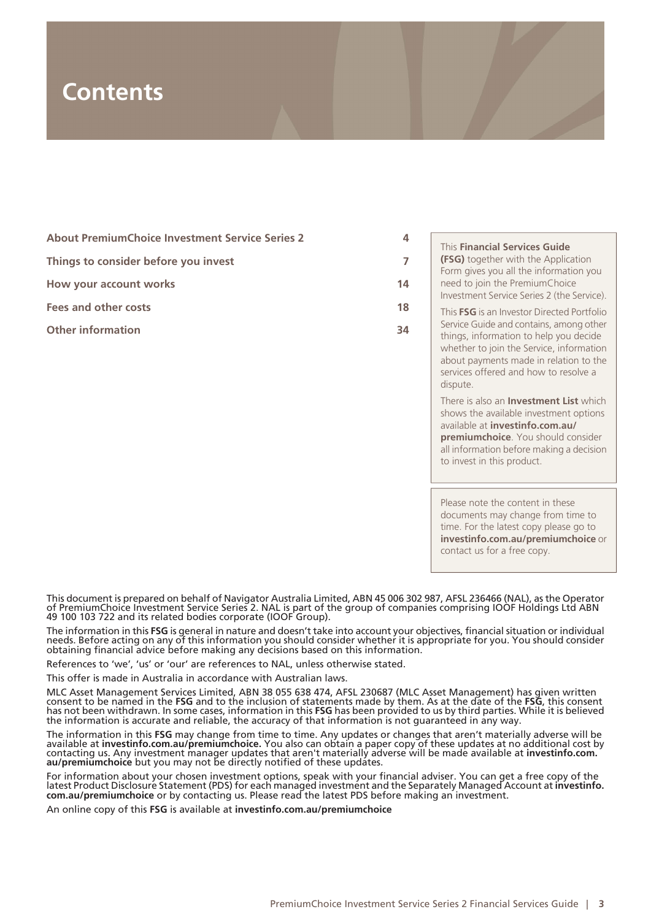# **Contents**

| <b>About PremiumChoice Investment Service Series 2</b> | $\overline{4}$ | This Financial Services Guide                                                                                                                                                                                                |
|--------------------------------------------------------|----------------|------------------------------------------------------------------------------------------------------------------------------------------------------------------------------------------------------------------------------|
| Things to consider before you invest                   | 7              | <b>(FSG)</b> together with the Application<br>Form gives you all the information you                                                                                                                                         |
| How your account works                                 | 14             | need to join the PremiumChoice<br>Investment Service Series 2 (the Service).                                                                                                                                                 |
| <b>Fees and other costs</b>                            | 18             | This <b>FSG</b> is an Investor Directed Portfolio                                                                                                                                                                            |
| <b>Other information</b>                               | 34             | Service Guide and contains, among other<br>things, information to help you decide<br>whether to join the Service, information<br>about payments made in relation to the<br>services offered and how to resolve a<br>dispute. |
|                                                        |                | There is also an <b>Investment List</b> which<br>shows the available investment options<br>available at <b>investinfo.com.au/</b>                                                                                            |

This document is prepared on behalf of Navigator Australia Limited, ABN 45 006 302 987, AFSL 236466 (NAL), as the Operator of PremiumChoice Investment Service Series 2. NAL is part of the group of companies comprising IOOF Holdings Ltd ABN 49 100 103 722 and its related bodies corporate (IOOF Group).

The information in this **FSG** is general in nature and doesn't take into account your objectives, financial situation or individual needs. Before acting on any of this information you should consider whether it is appropriate for you. You should consider obtaining financial advice before making any decisions based on this information.

References to 'we', 'us' or 'our' are references to NAL, unless otherwise stated.

This offer is made in Australia in accordance with Australian laws.

MLC Asset Management Services Limited, ABN 38 055 638 474, AFSL 230687 (MLC Asset Management) has given written consent to be named in the **FSG** and to the inclusion of statements made by them. As at the date of the **FSG**, this consent has not been withdrawn. In some cases, information in this **FSG** has been provided to us by third parties. While it is believed the information is accurate and reliable, the accuracy of that information is not guaranteed in any way.

The information in this **FSG** may change from time to time. Any updates or changes that aren't materially adverse will be available at **[investinfo.com.au/premiumchoice.](https://www.investinfo.com.au/premiumchoice)** You also can obtain a paper copy of these updates at no additional cost by contacting us. Any investment manager updates that aren't materially adverse will be made available at **[investinfo.com.](https://www.investinfo.com.au/premiumchoice) [au/premiumchoice](https://www.investinfo.com.au/premiumchoice)** but you may not be directly notified of these updates.

For information about your chosen investment options, speak with your financial adviser. You can get a free copy of the latest Product Disclosure Statement (PDS) for each managed investment and the Separately Managed Account at **[investinfo.](https://www.investinfo.com.au/premiumchoice) [com.au/premiumchoice](https://www.investinfo.com.au/premiumchoice)** or by contacting us. Please read the latest PDS before making an investment.

An online copy of this **FSG** is available at **[investinfo.com.au/premiumchoice](https://www.investinfo.com.au/premiumchoice)**

**[premiumchoice](https://www.investinfo.com.au/premiumchoice)**. You should consider all information before making a decision

to invest in this product.

Please note the content in these documents may change from time to time. For the latest copy please go to **[investinfo.com.au/premiumchoice](https://www.investinfo.com.au/premiumchoice)** or

contact us for a free copy.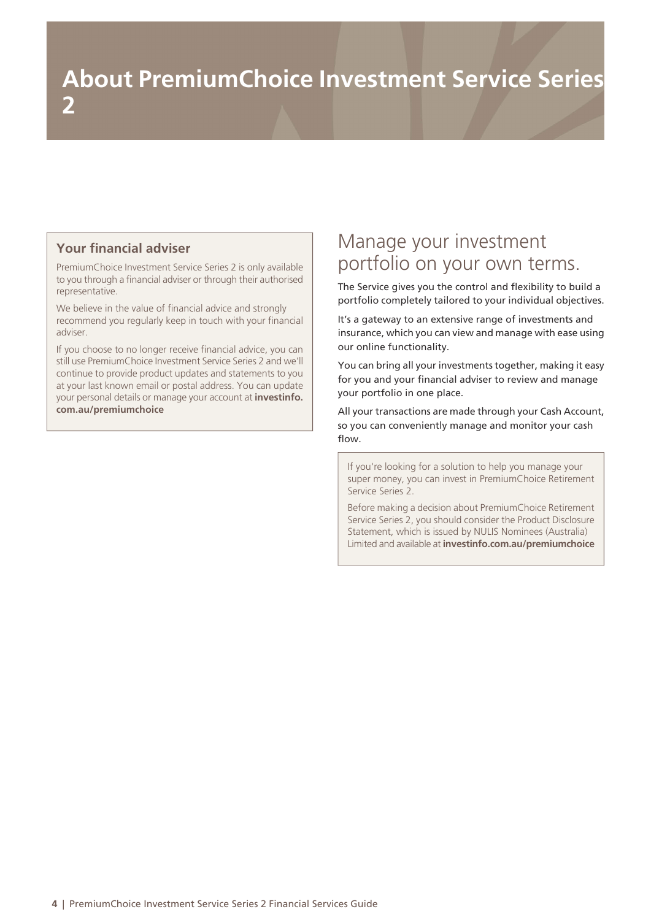## <span id="page-3-0"></span>**Your financial adviser**

PremiumChoice Investment Service Series 2 is only available to you through a financial adviser or through their authorised representative.

We believe in the value of financial advice and strongly recommend you regularly keep in touch with your financial adviser.

If you choose to no longer receive financial advice, you can still use PremiumChoice Investment Service Series 2 and we'll continue to provide product updates and statements to you at your last known email or postal address. You can update your personal details or manage your account at **[investinfo.](https://www.investinfo.com.au/premiumchoice) [com.au/premiumchoice](https://www.investinfo.com.au/premiumchoice)**

## Manage your investment portfolio on your own terms.

The Service gives you the control and flexibility to build a portfolio completely tailored to your individual objectives.

It's a gateway to an extensive range of investments and insurance, which you can view and manage with ease using our online functionality.

You can bring all your investments together, making it easy for you and your financial adviser to review and manage your portfolio in one place.

All your transactions are made through your Cash Account, so you can conveniently manage and monitor your cash flow.

If you're looking for a solution to help you manage your super money, you can invest in PremiumChoice Retirement Service Series 2.

Before making a decision about PremiumChoice Retirement Service Series 2, you should consider the Product Disclosure Statement, which is issued by NULIS Nominees (Australia) Limited and available at **[investinfo.com.au/premiumchoice](https://www.investinfo.com.au/premiumchoice)**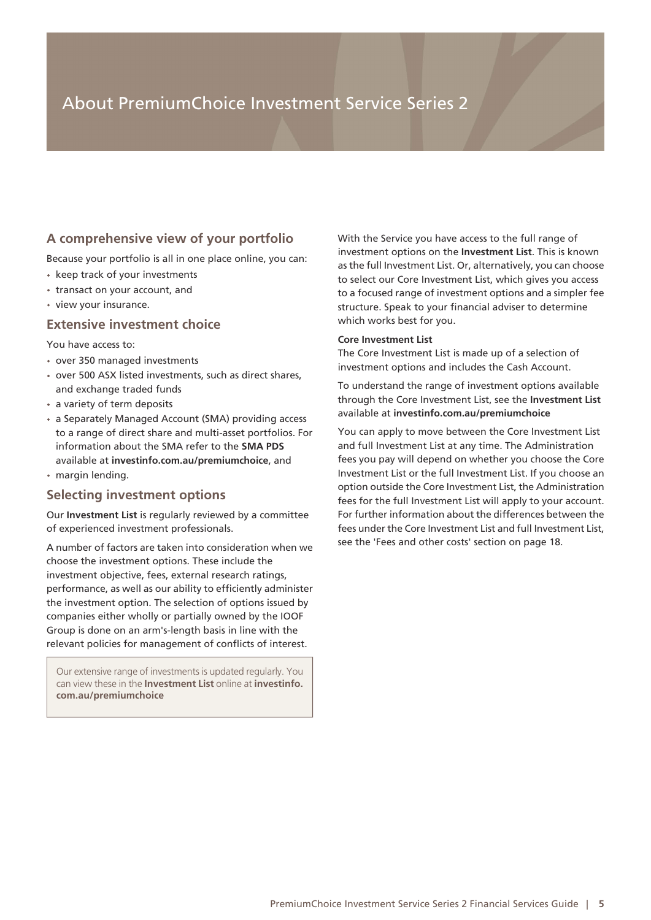## About PremiumChoice Investment Service Series 2

## **A comprehensive view of your portfolio**

Because your portfolio is all in one place online, you can:

- keep track of your investments
- transact on your account, and
- view your insurance.

### **Extensive investment choice**

You have access to:

- over 350 managed investments
- over 500 ASX listed investments, such as direct shares, and exchange traded funds
- a variety of term deposits
- a Separately Managed Account (SMA) providing access to a range of direct share and multi-asset portfolios. For information about the SMA refer to the **SMA PDS** available at **[investinfo.com.au/premiumchoice](https://www.investinfo.com.au/premiumchoice)**, and
- margin lending.

#### **Selecting investment options**

Our **Investment List** is regularly reviewed by a committee of experienced investment professionals.

A number of factors are taken into consideration when we choose the investment options. These include the investment objective, fees, external research ratings, performance, as well as our ability to efficiently administer the investment option. The selection of options issued by companies either wholly or partially owned by the IOOF Group is done on an arm's-length basis in line with the relevant policies for management of conflicts of interest.

Our extensive range of investments is updated regularly. You can view these in the **Investment List** online at **[investinfo.](https://www.investinfo.com.au/premiumchoice) [com.au/premiumchoice](https://www.investinfo.com.au/premiumchoice)**

With the Service you have access to the full range of investment options on the **Investment List**. This is known as the full Investment List. Or, alternatively, you can choose to select our Core Investment List, which gives you access to a focused range of investment options and a simpler fee structure. Speak to your financial adviser to determine which works best for you.

#### **Core Investment List**

The Core Investment List is made up of a selection of investment options and includes the Cash Account.

To understand the range of investment options available through the Core Investment List, see the **Investment List** available at **[investinfo.com.au/premiumchoice](https://www.investinfo.com.au/premiumchoice)**

You can apply to move between the Core Investment List and full Investment List at any time. The Administration fees you pay will depend on whether you choose the Core Investment List or the full Investment List. If you choose an option outside the Core Investment List, the Administration fees for the full Investment List will apply to your account. For further information about the differences between the fees under the Core Investment List and full Investment List, see the 'Fees and other costs' section on page [18.](#page-17-1)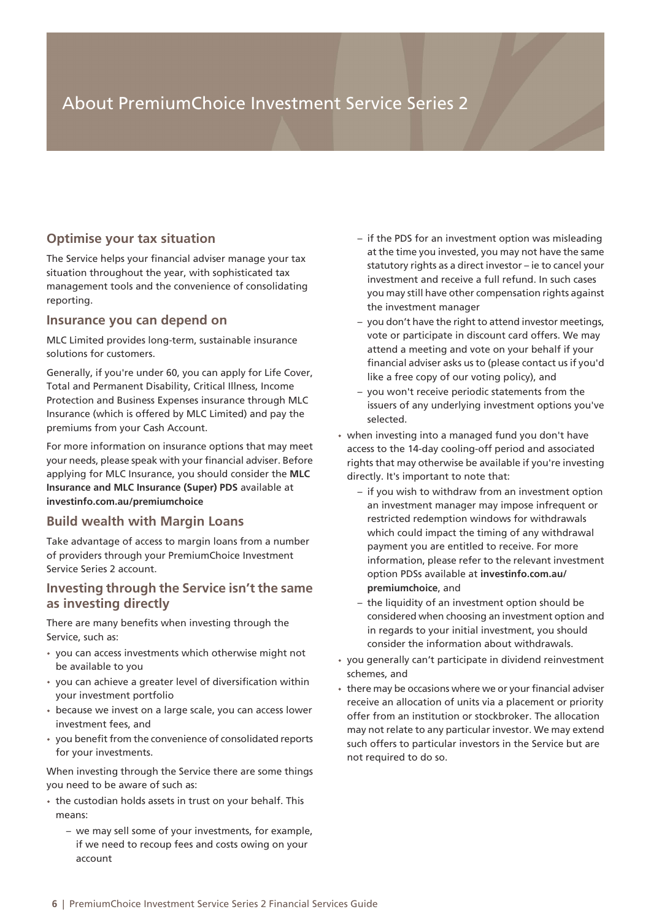## About PremiumChoice Investment Service Series 2

## **Optimise your tax situation**

The Service helps your financial adviser manage your tax situation throughout the year, with sophisticated tax management tools and the convenience of consolidating reporting.

### **Insurance you can depend on**

MLC Limited provides long-term, sustainable insurance solutions for customers.

Generally, if you're under 60, you can apply for Life Cover, Total and Permanent Disability, Critical Illness, Income Protection and Business Expenses insurance through MLC Insurance (which is offered by MLC Limited) and pay the premiums from your Cash Account.

For more information on insurance options that may meet your needs, please speak with your financial adviser. Before applying for MLC Insurance, you should consider the **MLC Insurance and MLC Insurance (Super) PDS** available at **[investinfo.com.au/premiumchoice](https://www.investinfo.com.au/premiumchoice)**

## **Build wealth with Margin Loans**

Take advantage of access to margin loans from a number of providers through your PremiumChoice Investment Service Series 2 account.

### **Investing through the Service isn't the same as investing directly**

There are many benefits when investing through the Service, such as:

- you can access investments which otherwise might not be available to you
- you can achieve a greater level of diversification within your investment portfolio
- because we invest on a large scale, you can access lower investment fees, and
- you benefit from the convenience of consolidated reports for your investments.

When investing through the Service there are some things you need to be aware of such as:

- the custodian holds assets in trust on your behalf. This means:
	- we may sell some of your investments, for example, if we need to recoup fees and costs owing on your account
- if the PDS for an investment option was misleading at the time you invested, you may not have the same statutory rights as a direct investor – ie to cancel your investment and receive a full refund. In such cases you may still have other compensation rights against the investment manager
- you don't have the right to attend investor meetings, vote or participate in discount card offers. We may attend a meeting and vote on your behalf if your financial adviser asks us to (please contact us if you'd like a free copy of our voting policy), and
- you won't receive periodic statements from the issuers of any underlying investment options you've selected.
- when investing into a managed fund you don't have access to the 14-day cooling-off period and associated rights that may otherwise be available if you're investing directly. It's important to note that:
	- if you wish to withdraw from an investment option an investment manager may impose infrequent or restricted redemption windows for withdrawals which could impact the timing of any withdrawal payment you are entitled to receive. For more information, please refer to the relevant investment option PDSs available at **[investinfo.com.au/](https://www.investinfo.com.au/premiumchoice) [premiumchoice](https://www.investinfo.com.au/premiumchoice)**, and
	- the liquidity of an investment option should be considered when choosing an investment option and in regards to your initial investment, you should consider the information about withdrawals.
- you generally can't participate in dividend reinvestment schemes, and
- there may be occasions where we or your financial adviser receive an allocation of units via a placement or priority offer from an institution or stockbroker. The allocation may not relate to any particular investor. We may extend such offers to particular investors in the Service but are not required to do so.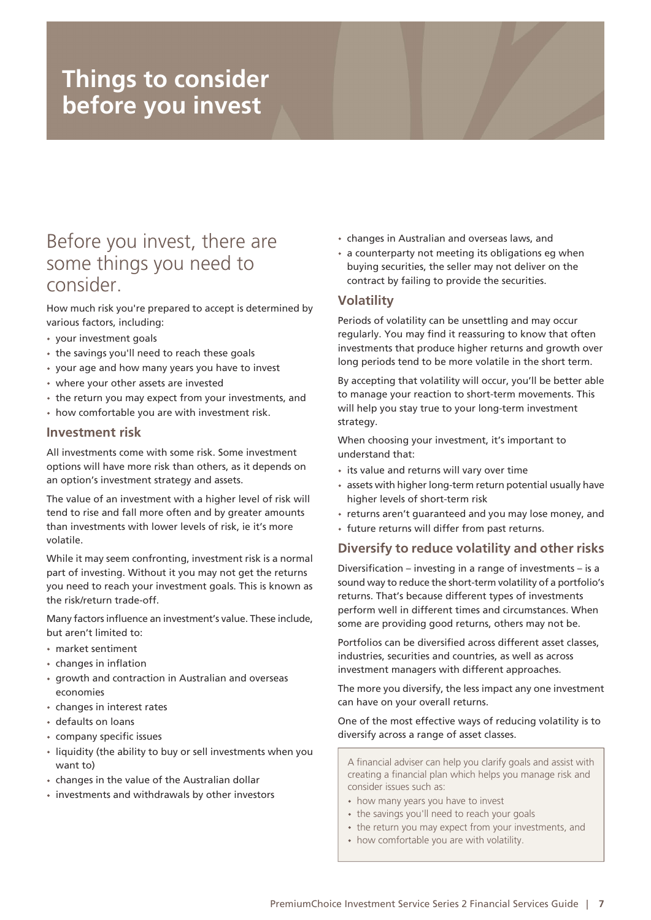## <span id="page-6-0"></span>Before you invest, there are some things you need to consider.

How much risk you're prepared to accept is determined by various factors, including:

- your investment goals
- the savings you'll need to reach these goals
- your age and how many years you have to invest
- where your other assets are invested
- the return you may expect from your investments, and
- how comfortable you are with investment risk.

### **Investment risk**

All investments come with some risk. Some investment options will have more risk than others, as it depends on an option's investment strategy and assets.

The value of an investment with a higher level of risk will tend to rise and fall more often and by greater amounts than investments with lower levels of risk, ie it's more volatile.

While it may seem confronting, investment risk is a normal part of investing. Without it you may not get the returns you need to reach your investment goals. This is known as the risk/return trade-off.

Many factors influence an investment's value. These include, but aren't limited to:

- market sentiment
- changes in inflation
- growth and contraction in Australian and overseas economies
- changes in interest rates
- defaults on loans
- company specific issues
- liquidity (the ability to buy or sell investments when you want to)
- changes in the value of the Australian dollar
- investments and withdrawals by other investors
- changes in Australian and overseas laws, and
- a counterparty not meeting its obligations eg when buying securities, the seller may not deliver on the contract by failing to provide the securities.

## **Volatility**

Periods of volatility can be unsettling and may occur regularly. You may find it reassuring to know that often investments that produce higher returns and growth over long periods tend to be more volatile in the short term.

By accepting that volatility will occur, you'll be better able to manage your reaction to short-term movements. This will help you stay true to your long-term investment strategy.

When choosing your investment, it's important to understand that:

- its value and returns will vary over time
- assets with higher long-term return potential usually have higher levels of short-term risk
- returns aren't guaranteed and you may lose money, and
- future returns will differ from past returns.

## **Diversify to reduce volatility and other risks**

Diversification – investing in a range of investments – is a sound way to reduce the short-term volatility of a portfolio's returns. That's because different types of investments perform well in different times and circumstances. When some are providing good returns, others may not be.

Portfolios can be diversified across different asset classes, industries, securities and countries, as well as across investment managers with different approaches.

The more you diversify, the less impact any one investment can have on your overall returns.

One of the most effective ways of reducing volatility is to diversify across a range of asset classes.

A financial adviser can help you clarify goals and assist with creating a financial plan which helps you manage risk and consider issues such as:

- how many years you have to invest
- the savings you'll need to reach your goals
- the return you may expect from your investments, and
- how comfortable you are with volatility.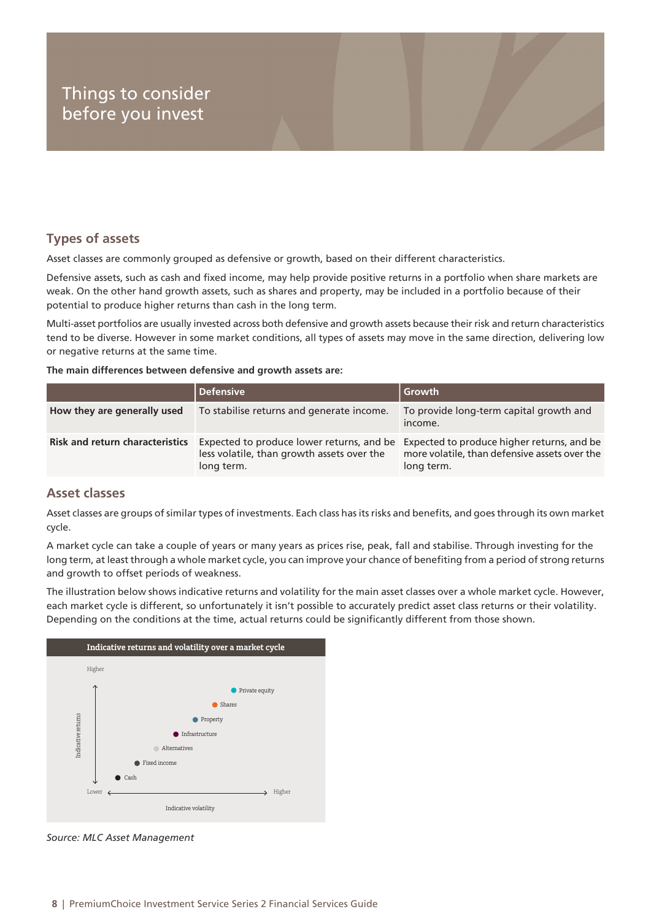## **Types of assets**

Asset classes are commonly grouped as defensive or growth, based on their different characteristics.

Defensive assets, such as cash and fixed income, may help provide positive returns in a portfolio when share markets are weak. On the other hand growth assets, such as shares and property, may be included in a portfolio because of their potential to produce higher returns than cash in the long term.

Multi-asset portfolios are usually invested across both defensive and growth assets because their risk and return characteristics tend to be diverse. However in some market conditions, all types of assets may move in the same direction, delivering low or negative returns at the same time.

**The main differences between defensive and growth assets are:**

|                                        | Defensive                                                | Growth                                                                                                                                              |
|----------------------------------------|----------------------------------------------------------|-----------------------------------------------------------------------------------------------------------------------------------------------------|
| How they are generally used            | To stabilise returns and generate income.                | To provide long-term capital growth and<br>income.                                                                                                  |
| <b>Risk and return characteristics</b> | less volatile, than growth assets over the<br>long term. | Expected to produce lower returns, and be Expected to produce higher returns, and be<br>more volatile, than defensive assets over the<br>long term. |

### **Asset classes**

Asset classes are groups of similar types of investments. Each class has its risks and benefits, and goes through its own market cycle.

A market cycle can take a couple of years or many years as prices rise, peak, fall and stabilise. Through investing for the long term, at least through a whole market cycle, you can improve your chance of benefiting from a period of strong returns and growth to offset periods of weakness.

The illustration below shows indicative returns and volatility for the main asset classes over a whole market cycle. However, each market cycle is different, so unfortunately it isn't possible to accurately predict asset class returns or their volatility. Depending on the conditions at the time, actual returns could be significantly different from those shown.



*Source: MLC Asset Management Source: MLC Asset Management*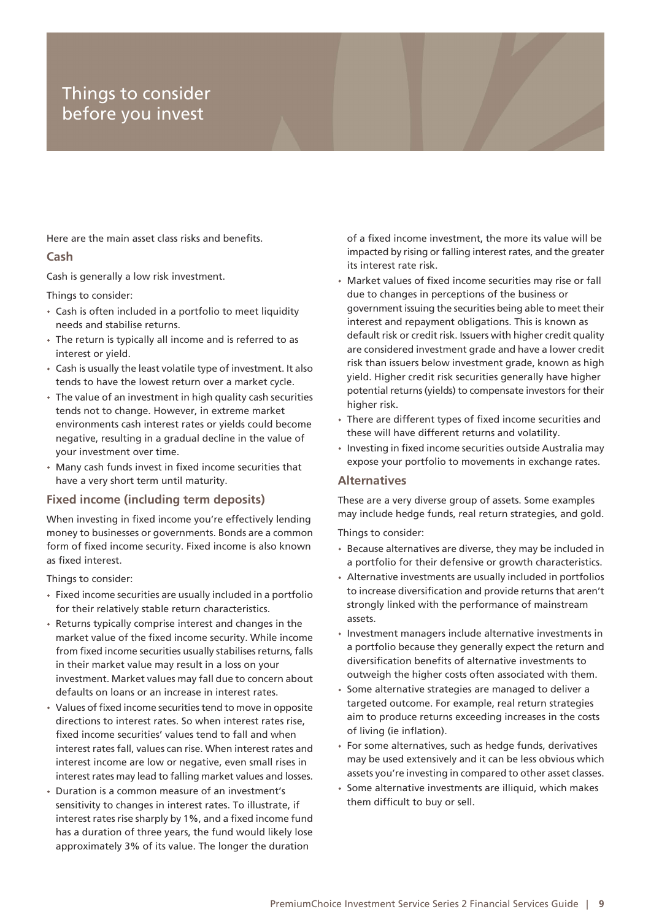Here are the main asset class risks and benefits.

### **Cash**

Cash is generally a low risk investment.

Things to consider:

- Cash is often included in a portfolio to meet liquidity needs and stabilise returns.
- The return is typically all income and is referred to as interest or yield.
- Cash is usually the least volatile type of investment. It also tends to have the lowest return over a market cycle.
- The value of an investment in high quality cash securities tends not to change. However, in extreme market environments cash interest rates or yields could become negative, resulting in a gradual decline in the value of your investment over time.
- Many cash funds invest in fixed income securities that have a very short term until maturity.

### **Fixed income (including term deposits)**

When investing in fixed income you're effectively lending money to businesses or governments. Bonds are a common form of fixed income security. Fixed income is also known as fixed interest.

Things to consider:

- Fixed income securities are usually included in a portfolio for their relatively stable return characteristics.
- Returns typically comprise interest and changes in the market value of the fixed income security. While income from fixed income securities usually stabilises returns, falls in their market value may result in a loss on your investment. Market values may fall due to concern about defaults on loans or an increase in interest rates.
- Values of fixed income securities tend to move in opposite directions to interest rates. So when interest rates rise, fixed income securities' values tend to fall and when interest rates fall, values can rise. When interest rates and interest income are low or negative, even small rises in interest rates may lead to falling market values and losses.
- Duration is a common measure of an investment's sensitivity to changes in interest rates. To illustrate, if interest rates rise sharply by 1%, and a fixed income fund has a duration of three years, the fund would likely lose approximately 3% of its value. The longer the duration

of a fixed income investment, the more its value will be impacted by rising or falling interest rates, and the greater its interest rate risk.

- Market values of fixed income securities may rise or fall due to changes in perceptions of the business or government issuing the securities being able to meet their interest and repayment obligations. This is known as default risk or credit risk. Issuers with higher credit quality are considered investment grade and have a lower credit risk than issuers below investment grade, known as high yield. Higher credit risk securities generally have higher potential returns (yields) to compensate investors for their higher risk.
- There are different types of fixed income securities and these will have different returns and volatility.
- Investing in fixed income securities outside Australia may expose your portfolio to movements in exchange rates.

### **Alternatives**

These are a very diverse group of assets. Some examples may include hedge funds, real return strategies, and gold.

Things to consider:

- Because alternatives are diverse, they may be included in a portfolio for their defensive or growth characteristics.
- Alternative investments are usually included in portfolios to increase diversification and provide returns that aren't strongly linked with the performance of mainstream assets.
- Investment managers include alternative investments in a portfolio because they generally expect the return and diversification benefits of alternative investments to outweigh the higher costs often associated with them.
- Some alternative strategies are managed to deliver a targeted outcome. For example, real return strategies aim to produce returns exceeding increases in the costs of living (ie inflation).
- For some alternatives, such as hedge funds, derivatives may be used extensively and it can be less obvious which assets you're investing in compared to other asset classes.
- Some alternative investments are illiquid, which makes them difficult to buy or sell.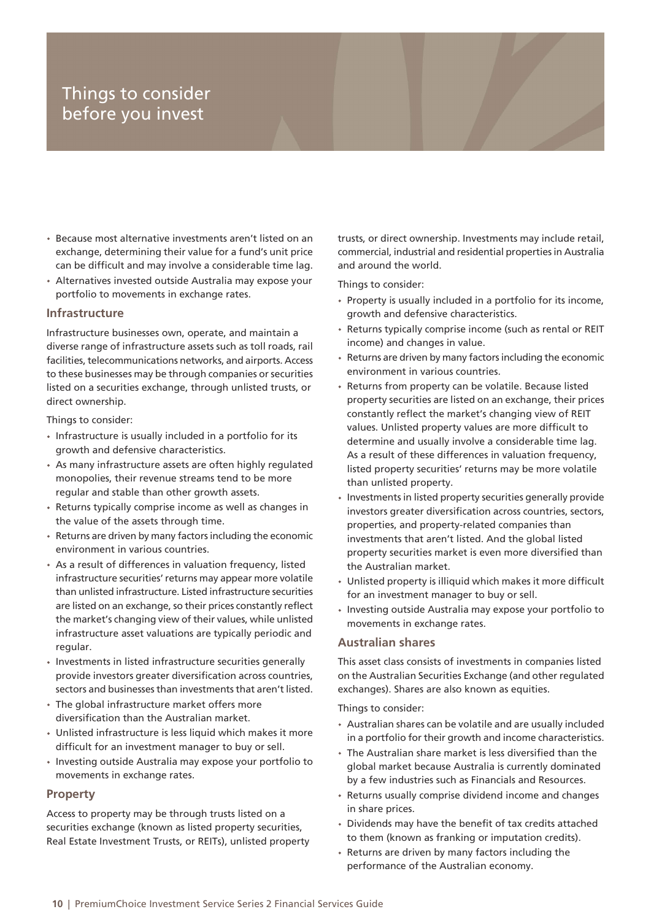- Because most alternative investments aren't listed on an exchange, determining their value for a fund's unit price can be difficult and may involve a considerable time lag.
- Alternatives invested outside Australia may expose your portfolio to movements in exchange rates.

#### **Infrastructure**

Infrastructure businesses own, operate, and maintain a diverse range of infrastructure assets such as toll roads, rail facilities, telecommunications networks, and airports. Access to these businesses may be through companies or securities listed on a securities exchange, through unlisted trusts, or direct ownership.

Things to consider:

- Infrastructure is usually included in a portfolio for its growth and defensive characteristics.
- As many infrastructure assets are often highly regulated monopolies, their revenue streams tend to be more regular and stable than other growth assets.
- Returns typically comprise income as well as changes in the value of the assets through time.
- Returns are driven by many factors including the economic environment in various countries.
- As a result of differences in valuation frequency, listed infrastructure securities' returns may appear more volatile than unlisted infrastructure. Listed infrastructure securities are listed on an exchange, so their prices constantly reflect the market's changing view of their values, while unlisted infrastructure asset valuations are typically periodic and regular.
- Investments in listed infrastructure securities generally provide investors greater diversification across countries, sectors and businesses than investments that aren't listed.
- The global infrastructure market offers more diversification than the Australian market.
- Unlisted infrastructure is less liquid which makes it more difficult for an investment manager to buy or sell.
- Investing outside Australia may expose your portfolio to movements in exchange rates.

#### **Property**

Access to property may be through trusts listed on a securities exchange (known as listed property securities, Real Estate Investment Trusts, or REITs), unlisted property trusts, or direct ownership. Investments may include retail, commercial, industrial and residential properties in Australia and around the world.

Things to consider:

- Property is usually included in a portfolio for its income, growth and defensive characteristics.
- Returns typically comprise income (such as rental or REIT income) and changes in value.
- Returns are driven by many factors including the economic environment in various countries.
- Returns from property can be volatile. Because listed property securities are listed on an exchange, their prices constantly reflect the market's changing view of REIT values. Unlisted property values are more difficult to determine and usually involve a considerable time lag. As a result of these differences in valuation frequency, listed property securities' returns may be more volatile than unlisted property.
- Investments in listed property securities generally provide investors greater diversification across countries, sectors, properties, and property-related companies than investments that aren't listed. And the global listed property securities market is even more diversified than the Australian market.
- Unlisted property is illiquid which makes it more difficult for an investment manager to buy or sell.
- Investing outside Australia may expose your portfolio to movements in exchange rates.

### **Australian shares**

This asset class consists of investments in companies listed on the Australian Securities Exchange (and other regulated exchanges). Shares are also known as equities.

Things to consider:

- Australian shares can be volatile and are usually included in a portfolio for their growth and income characteristics.
- The Australian share market is less diversified than the global market because Australia is currently dominated by a few industries such as Financials and Resources.
- Returns usually comprise dividend income and changes in share prices.
- Dividends may have the benefit of tax credits attached to them (known as franking or imputation credits).
- Returns are driven by many factors including the performance of the Australian economy.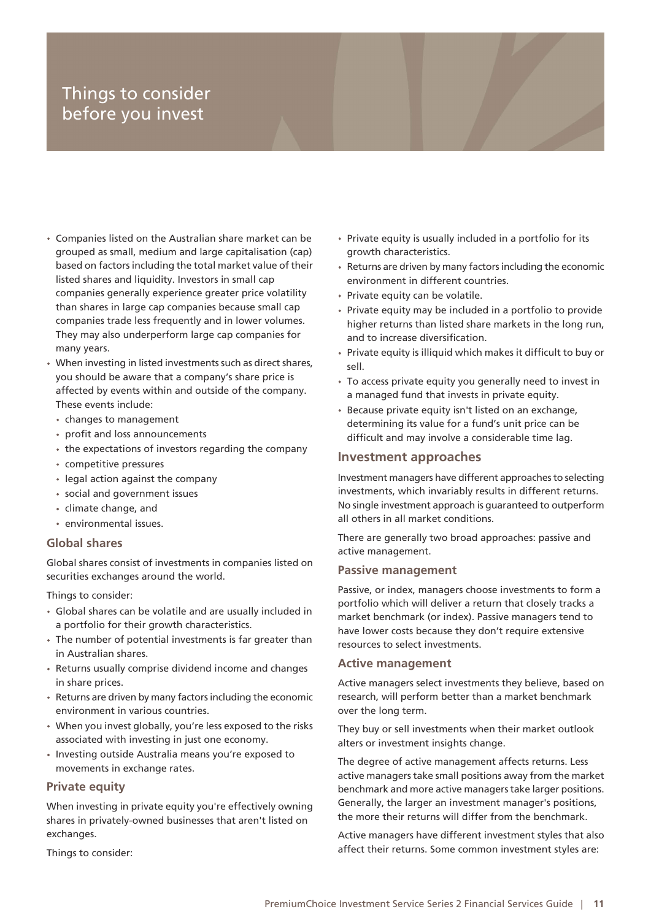- Companies listed on the Australian share market can be grouped as small, medium and large capitalisation (cap) based on factors including the total market value of their listed shares and liquidity. Investors in small cap companies generally experience greater price volatility than shares in large cap companies because small cap companies trade less frequently and in lower volumes. They may also underperform large cap companies for many years.
- When investing in listed investments such as direct shares, you should be aware that a company's share price is affected by events within and outside of the company. These events include:
	- changes to management
	- profit and loss announcements
	- the expectations of investors regarding the company
	- competitive pressures
	- legal action against the company
	- social and government issues
	- climate change, and
	- environmental issues.

#### **Global shares**

Global shares consist of investments in companies listed on securities exchanges around the world.

Things to consider:

- Global shares can be volatile and are usually included in a portfolio for their growth characteristics.
- The number of potential investments is far greater than in Australian shares.
- Returns usually comprise dividend income and changes in share prices.
- Returns are driven by many factors including the economic environment in various countries.
- When you invest globally, you're less exposed to the risks associated with investing in just one economy.
- Investing outside Australia means you're exposed to movements in exchange rates.

### **Private equity**

When investing in private equity you're effectively owning shares in privately-owned businesses that aren't listed on exchanges.

Things to consider:

- Private equity is usually included in a portfolio for its growth characteristics.
- Returns are driven by many factors including the economic environment in different countries.
- Private equity can be volatile.
- Private equity may be included in a portfolio to provide higher returns than listed share markets in the long run, and to increase diversification.
- Private equity is illiquid which makes it difficult to buy or sell.
- To access private equity you generally need to invest in a managed fund that invests in private equity.
- Because private equity isn't listed on an exchange, determining its value for a fund's unit price can be difficult and may involve a considerable time lag.

#### **Investment approaches**

Investment managers have different approaches to selecting investments, which invariably results in different returns. No single investment approach is guaranteed to outperform all others in all market conditions.

There are generally two broad approaches: passive and active management.

#### **Passive management**

Passive, or index, managers choose investments to form a portfolio which will deliver a return that closely tracks a market benchmark (or index). Passive managers tend to have lower costs because they don't require extensive resources to select investments.

#### **Active management**

Active managers select investments they believe, based on research, will perform better than a market benchmark over the long term.

They buy or sell investments when their market outlook alters or investment insights change.

The degree of active management affects returns. Less active managers take small positions away from the market benchmark and more active managers take larger positions. Generally, the larger an investment manager's positions, the more their returns will differ from the benchmark.

Active managers have different investment styles that also affect their returns. Some common investment styles are: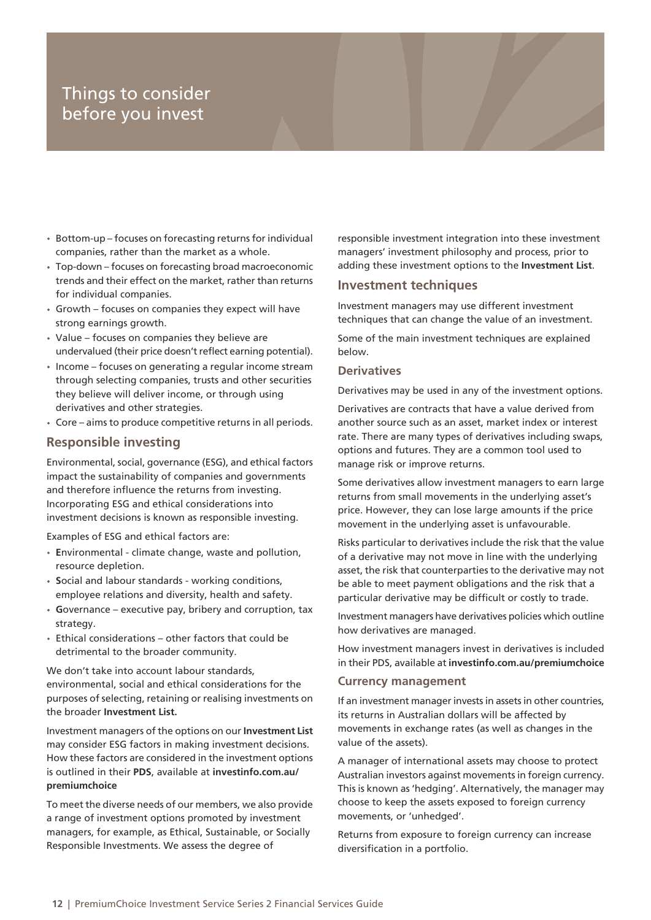- Bottom-up focuses on forecasting returns for individual companies, rather than the market as a whole.
- Top-down focuses on forecasting broad macroeconomic trends and their effect on the market, rather than returns for individual companies.
- Growth focuses on companies they expect will have strong earnings growth.
- Value focuses on companies they believe are undervalued (their price doesn't reflect earning potential).
- Income focuses on generating a regular income stream through selecting companies, trusts and other securities they believe will deliver income, or through using derivatives and other strategies.
- Core aims to produce competitive returns in all periods.

### **Responsible investing**

Environmental, social, governance (ESG), and ethical factors impact the sustainability of companies and governments and therefore influence the returns from investing. Incorporating ESG and ethical considerations into investment decisions is known as responsible investing.

Examples of ESG and ethical factors are:

- **E**nvironmental climate change, waste and pollution, resource depletion.
- **S**ocial and labour standards working conditions, employee relations and diversity, health and safety.
- **G**overnance executive pay, bribery and corruption, tax strategy.
- Ethical considerations other factors that could be detrimental to the broader community.

We don't take into account labour standards, environmental, social and ethical considerations for the purposes of selecting, retaining or realising investments on the broader **Investment List.**

Investment managers of the options on our **Investment List** may consider ESG factors in making investment decisions. How these factors are considered in the investment options is outlined in their **PDS**, available at **[investinfo.com.au/](https://www.investinfo.com.au/premiumchoice) [premiumchoice](https://www.investinfo.com.au/premiumchoice)**

To meet the diverse needs of our members, we also provide a range of investment options promoted by investment managers, for example, as Ethical, Sustainable, or Socially Responsible Investments. We assess the degree of

responsible investment integration into these investment managers' investment philosophy and process, prior to adding these investment options to the **Investment List**.

### **Investment techniques**

Investment managers may use different investment techniques that can change the value of an investment.

Some of the main investment techniques are explained below.

#### **Derivatives**

Derivatives may be used in any of the investment options.

Derivatives are contracts that have a value derived from another source such as an asset, market index or interest rate. There are many types of derivatives including swaps, options and futures. They are a common tool used to manage risk or improve returns.

Some derivatives allow investment managers to earn large returns from small movements in the underlying asset's price. However, they can lose large amounts if the price movement in the underlying asset is unfavourable.

Risks particular to derivatives include the risk that the value of a derivative may not move in line with the underlying asset, the risk that counterparties to the derivative may not be able to meet payment obligations and the risk that a particular derivative may be difficult or costly to trade.

Investment managers have derivatives policies which outline how derivatives are managed.

How investment managers invest in derivatives is included in their PDS, available at **[investinfo.com.au/premiumchoice](https://www.investinfo.com.au/premiumchoice)**

#### **Currency management**

If an investment manager invests in assets in other countries, its returns in Australian dollars will be affected by movements in exchange rates (as well as changes in the value of the assets).

A manager of international assets may choose to protect Australian investors against movements in foreign currency. This is known as 'hedging'. Alternatively, the manager may choose to keep the assets exposed to foreign currency movements, or 'unhedged'.

Returns from exposure to foreign currency can increase diversification in a portfolio.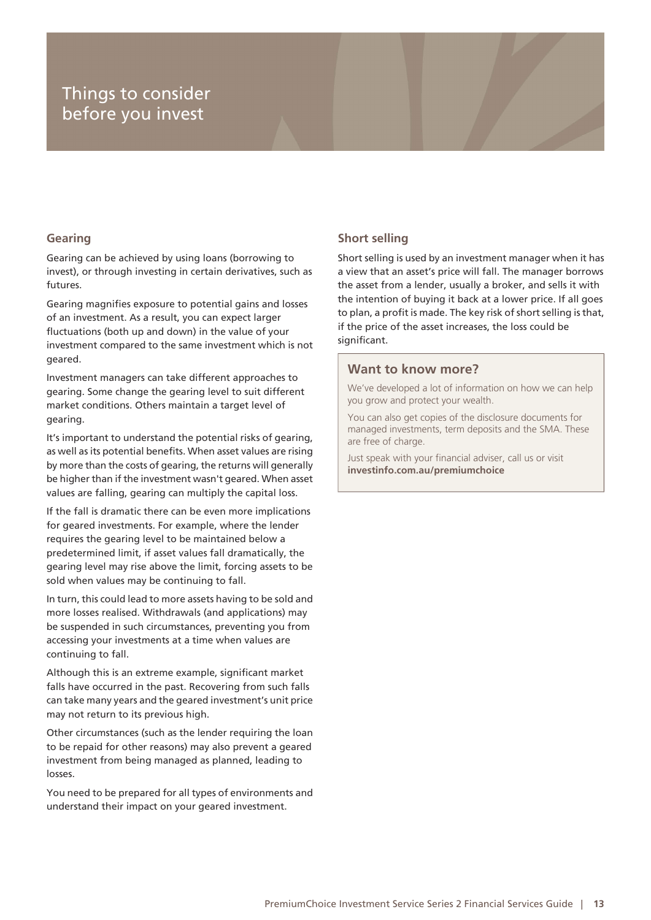### **Gearing**

Gearing can be achieved by using loans (borrowing to invest), or through investing in certain derivatives, such as futures.

Gearing magnifies exposure to potential gains and losses of an investment. As a result, you can expect larger fluctuations (both up and down) in the value of your investment compared to the same investment which is not geared.

Investment managers can take different approaches to gearing. Some change the gearing level to suit different market conditions. Others maintain a target level of gearing.

It's important to understand the potential risks of gearing, as well as its potential benefits. When asset values are rising by more than the costs of gearing, the returns will generally be higher than if the investment wasn't geared. When asset values are falling, gearing can multiply the capital loss.

If the fall is dramatic there can be even more implications for geared investments. For example, where the lender requires the gearing level to be maintained below a predetermined limit, if asset values fall dramatically, the gearing level may rise above the limit, forcing assets to be sold when values may be continuing to fall.

In turn, this could lead to more assets having to be sold and more losses realised. Withdrawals (and applications) may be suspended in such circumstances, preventing you from accessing your investments at a time when values are continuing to fall.

Although this is an extreme example, significant market falls have occurred in the past. Recovering from such falls can take many years and the geared investment's unit price may not return to its previous high.

Other circumstances (such as the lender requiring the loan to be repaid for other reasons) may also prevent a geared investment from being managed as planned, leading to losses.

You need to be prepared for all types of environments and understand their impact on your geared investment.

## **Short selling**

Short selling is used by an investment manager when it has a view that an asset's price will fall. The manager borrows the asset from a lender, usually a broker, and sells it with the intention of buying it back at a lower price. If all goes to plan, a profit is made. The key risk of short selling is that, if the price of the asset increases, the loss could be significant.

### **Want to know more?**

We've developed a lot of information on how we can help you grow and protect your wealth.

You can also get copies of the disclosure documents for managed investments, term deposits and the SMA. These are free of charge.

Just speak with your financial adviser, call us or visit **[investinfo.com.au/premiumchoice](https://www.investinfo.com.au/premiumchoice)**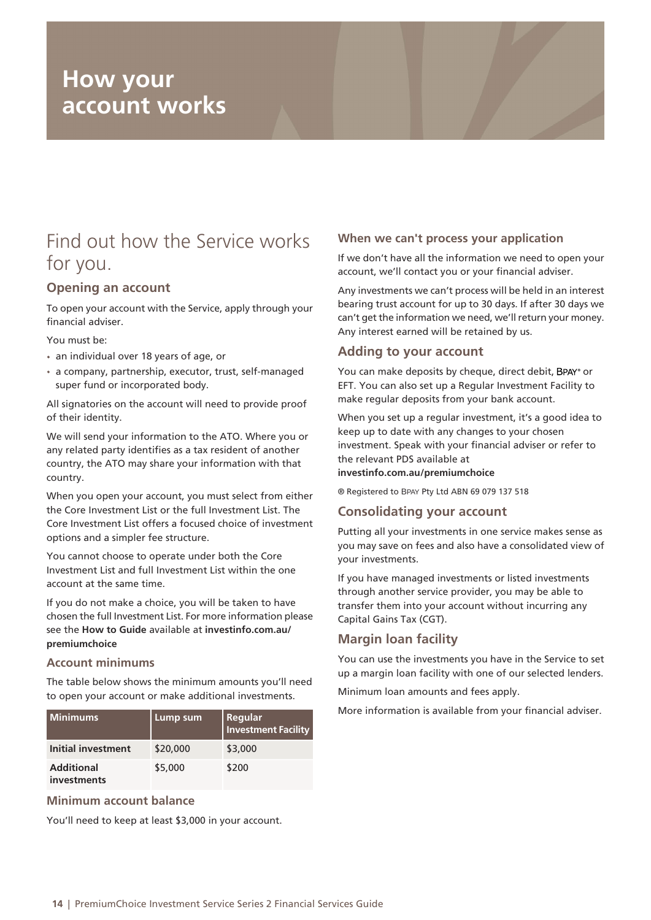# <span id="page-13-0"></span>Find out how the Service works for you.

## <span id="page-13-1"></span>**Opening an account**

To open your account with the Service, apply through your financial adviser.

You must be:

- an individual over 18 years of age, or
- a company, partnership, executor, trust, self-managed super fund or incorporated body.

All signatories on the account will need to provide proof of their identity.

We will send your information to the ATO. Where you or any related party identifies as a tax resident of another country, the ATO may share your information with that country.

When you open your account, you must select from either the Core Investment List or the full Investment List. The Core Investment List offers a focused choice of investment options and a simpler fee structure.

You cannot choose to operate under both the Core Investment List and full Investment List within the one account at the same time.

If you do not make a choice, you will be taken to have chosen the full Investment List. For more information please see the **How to Guide** available at **[investinfo.com.au/](https://www.investinfo.com.au/premiumchoice) [premiumchoice](https://www.investinfo.com.au/premiumchoice)**

### **Account minimums**

The table below shows the minimum amounts you'll need to open your account or make additional investments.

| <b>Minimums</b>                  | Lump sum | <b>Regular</b><br><b>Investment Facility</b> |
|----------------------------------|----------|----------------------------------------------|
| Initial investment               | \$20,000 | \$3,000                                      |
| <b>Additional</b><br>investments | \$5,000  | \$200                                        |

### **Minimum account balance**

You'll need to keep at least \$3,000 in your account.

### **When we can't process your application**

If we don't have all the information we need to open your account, we'll contact you or your financial adviser.

Any investments we can't process will be held in an interest bearing trust account for up to 30 days. If after 30 days we can't get the information we need, we'll return your money. Any interest earned will be retained by us.

### **Adding to your account**

You can make deposits by cheque, direct debit, BPAY<sup>®</sup> or EFT. You can also set up a Regular Investment Facility to make regular deposits from your bank account.

When you set up a regular investment, it's a good idea to keep up to date with any changes to your chosen investment. Speak with your financial adviser or refer to the relevant PDS available at

### **[investinfo.com.au/premiumchoice](https://www.investinfo.com.au/premiumchoice)**

® Registered to BPAY Pty Ltd ABN 69 079 137 518

### **Consolidating your account**

Putting all your investments in one service makes sense as you may save on fees and also have a consolidated view of your investments.

If you have managed investments or listed investments through another service provider, you may be able to transfer them into your account without incurring any Capital Gains Tax (CGT).

## **Margin loan facility**

You can use the investments you have in the Service to set up a margin loan facility with one of our selected lenders.

Minimum loan amounts and fees apply.

More information is available from your financial adviser.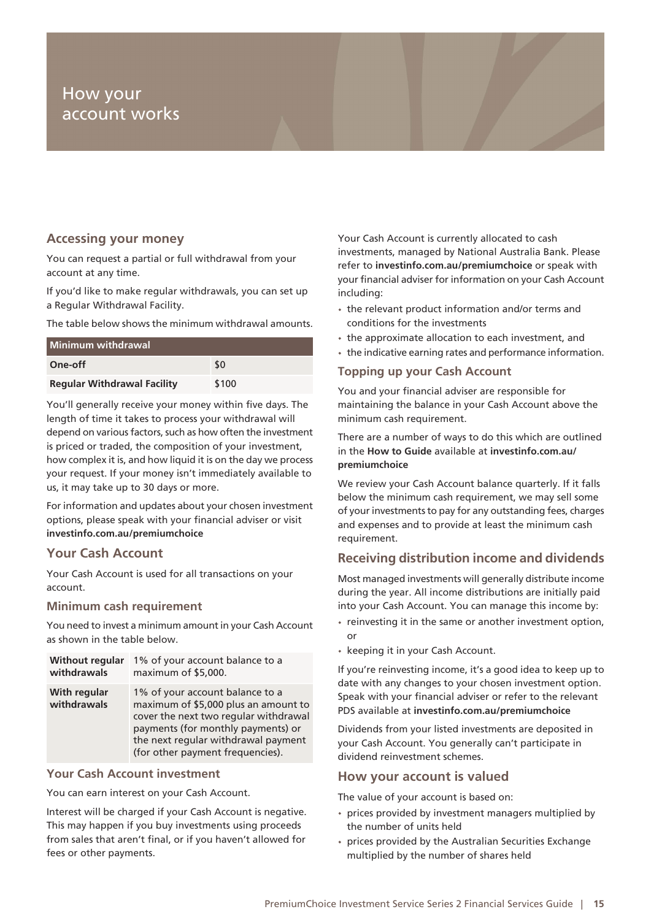### **Accessing your money**

You can request a partial or full withdrawal from your account at any time.

If you'd like to make regular withdrawals, you can set up a Regular Withdrawal Facility.

The table below shows the minimum withdrawal amounts.

| Minimum withdrawal                 |       |
|------------------------------------|-------|
| One-off                            | \$0   |
| <b>Regular Withdrawal Facility</b> | \$100 |

You'll generally receive your money within five days. The length of time it takes to process your withdrawal will depend on various factors, such as how often the investment is priced or traded, the composition of your investment, how complex it is, and how liquid it is on the day we process your request. If your money isn't immediately available to us, it may take up to 30 days or more.

For information and updates about your chosen investment options, please speak with your financial adviser or visit **[investinfo.com.au/premiumchoice](https://www.investinfo.com.au/premiumchoice)**

### **Your Cash Account**

Your Cash Account is used for all transactions on your account.

### **Minimum cash requirement**

You need to invest a minimum amount in your Cash Account as shown in the table below.

| <b>Without regular</b>             | 1% of your account balance to a                                                                                                                                                                                                   |
|------------------------------------|-----------------------------------------------------------------------------------------------------------------------------------------------------------------------------------------------------------------------------------|
| withdrawals                        | maximum of \$5,000.                                                                                                                                                                                                               |
| <b>With regular</b><br>withdrawals | 1% of your account balance to a<br>maximum of \$5,000 plus an amount to<br>cover the next two regular withdrawal<br>payments (for monthly payments) or<br>the next regular withdrawal payment<br>(for other payment frequencies). |

#### **Your Cash Account investment**

You can earn interest on your Cash Account.

Interest will be charged if your Cash Account is negative. This may happen if you buy investments using proceeds from sales that aren't final, or if you haven't allowed for fees or other payments.

Your Cash Account is currently allocated to cash investments, managed by National Australia Bank. Please refer to **[investinfo.com.au/premiumchoice](https://www.investinfo.com.au/premiumchoice)** or speak with your financial adviser for information on your Cash Account including:

- the relevant product information and/or terms and conditions for the investments
- $\bullet$  the approximate allocation to each investment, and
- the indicative earning rates and performance information.

#### **Topping up your Cash Account**

You and your financial adviser are responsible for maintaining the balance in your Cash Account above the minimum cash requirement.

There are a number of ways to do this which are outlined in the **How to Guide** available at **[investinfo.com.au/](https://www.investinfo.com.au/premiumchoice) [premiumchoice](https://www.investinfo.com.au/premiumchoice)**

We review your Cash Account balance quarterly. If it falls below the minimum cash requirement, we may sell some of your investments to pay for any outstanding fees, charges and expenses and to provide at least the minimum cash requirement.

### **Receiving distribution income and dividends**

Most managed investments will generally distribute income during the year. All income distributions are initially paid into your Cash Account. You can manage this income by:

- reinvesting it in the same or another investment option, or
- keeping it in your Cash Account.

If you're reinvesting income, it's a good idea to keep up to date with any changes to your chosen investment option. Speak with your financial adviser or refer to the relevant PDS available at **[investinfo.com.au/premiumchoice](https://www.investinfo.com.au/premiumchoice)**

Dividends from your listed investments are deposited in your Cash Account. You generally can't participate in dividend reinvestment schemes.

### **How your account is valued**

The value of your account is based on:

- prices provided by investment managers multiplied by the number of units held
- prices provided by the Australian Securities Exchange multiplied by the number of shares held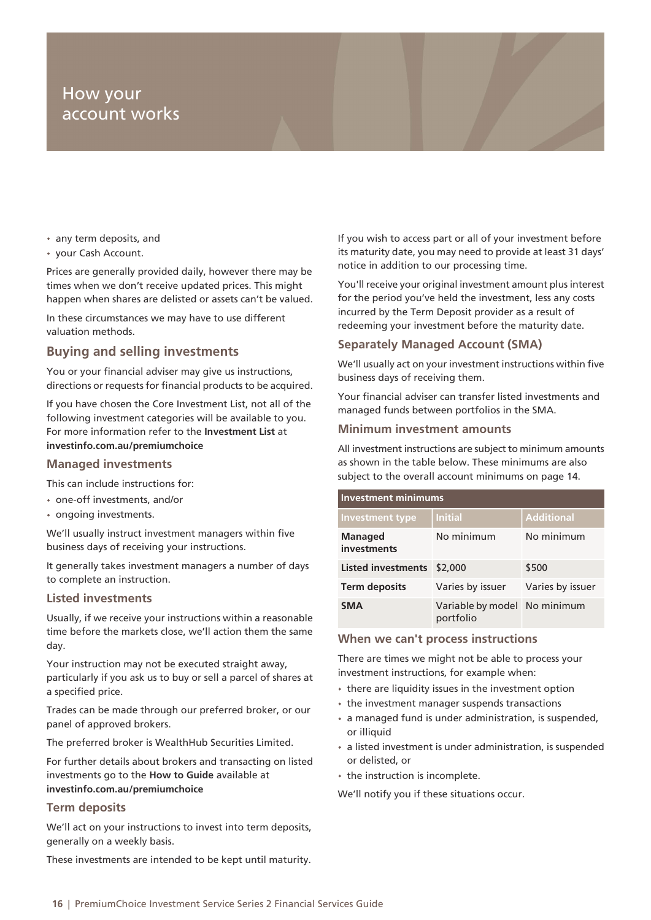- any term deposits, and
- your Cash Account.

Prices are generally provided daily, however there may be times when we don't receive updated prices. This might happen when shares are delisted or assets can't be valued.

In these circumstances we may have to use different valuation methods.

## **Buying and selling investments**

You or your financial adviser may give us instructions, directions or requests for financial products to be acquired.

If you have chosen the Core Investment List, not all of the following investment categories will be available to you. For more information refer to the **Investment List** at **[investinfo.com.au/premiumchoice](https://www.investinfo.com.au/premiumchoice)**

#### **Managed investments**

This can include instructions for:

- one-off investments, and/or
- ongoing investments.

We'll usually instruct investment managers within five business days of receiving your instructions.

It generally takes investment managers a number of days to complete an instruction.

#### **Listed investments**

Usually, if we receive your instructions within a reasonable time before the markets close, we'll action them the same day.

Your instruction may not be executed straight away, particularly if you ask us to buy or sell a parcel of shares at a specified price.

Trades can be made through our preferred broker, or our panel of approved brokers.

The preferred broker is WealthHub Securities Limited.

For further details about brokers and transacting on listed investments go to the **How to Guide** available at **[investinfo.com.au/premiumchoice](https://www.investinfo.com.au/premiumchoice)**

### **Term deposits**

We'll act on your instructions to invest into term deposits, generally on a weekly basis.

These investments are intended to be kept until maturity.

If you wish to access part or all of your investment before its maturity date, you may need to provide at least 31 days' notice in addition to our processing time.

You'll receive your original investment amount plus interest for the period you've held the investment, less any costs incurred by the Term Deposit provider as a result of redeeming your investment before the maturity date.

#### **Separately Managed Account (SMA)**

We'll usually act on your investment instructions within five business days of receiving them.

Your financial adviser can transfer listed investments and managed funds between portfolios in the SMA.

#### **Minimum investment amounts**

All investment instructions are subject to minimum amounts as shown in the table below. These minimums are also subject to the overall account minimums on page [14.](#page-13-1)

| <b>Investment minimums</b>    |                                           |                   |
|-------------------------------|-------------------------------------------|-------------------|
| <b>Investment type</b>        | <b>Initial</b>                            | <b>Additional</b> |
| <b>Managed</b><br>investments | No minimum                                | No minimum        |
| <b>Listed investments</b>     | \$2,000                                   | \$500             |
| <b>Term deposits</b>          | Varies by issuer                          | Varies by issuer  |
| <b>SMA</b>                    | Variable by model No minimum<br>portfolio |                   |

### **When we can't process instructions**

There are times we might not be able to process your investment instructions, for example when:

- there are liquidity issues in the investment option
- the investment manager suspends transactions
- a managed fund is under administration, is suspended, or illiquid
- a listed investment is under administration, is suspended or delisted, or
- the instruction is incomplete.

We'll notify you if these situations occur.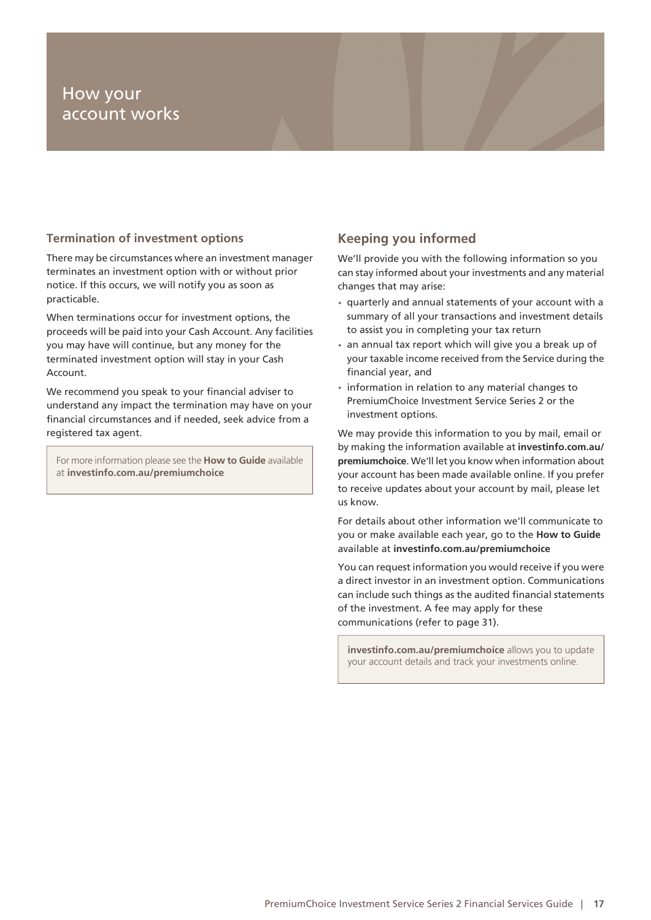### **Termination of investment options**

There may be circumstances where an investment manager terminates an investment option with or without prior notice. If this occurs, we will notify you as soon as practicable.

When terminations occur for investment options, the proceeds will be paid into your Cash Account. Any facilities you may have will continue, but any money for the terminated investment option will stay in your Cash Account.

We recommend you speak to your financial adviser to understand any impact the termination may have on your financial circumstances and if needed, seek advice from a registered tax agent.

For more information please see the **How to Guide** available at **[investinfo.com.au/premiumchoice](https://www.investinfo.com.au/premiumchoice)**

## **Keeping you informed**

We'll provide you with the following information so you can stay informed about your investments and any material changes that may arise:

- quarterly and annual statements of your account with a summary of all your transactions and investment details to assist you in completing your tax return
- an annual tax report which will give you a break up of your taxable income received from the Service during the financial year, and
- information in relation to any material changes to PremiumChoice Investment Service Series 2 or the investment options.

We may provide this information to you by mail, email or by making the information available at **[investinfo.com.au/](https://www.investinfo.com.au/premiumchoice) [premiumchoice](https://www.investinfo.com.au/premiumchoice)**. We'll let you know when information about your account has been made available online. If you prefer to receive updates about your account by mail, please let us know.

For details about other information we'll communicate to you or make available each year, go to the **How to Guide** available at **[investinfo.com.au/premiumchoice](https://www.investinfo.com.au/premiumchoice)**

You can request information you would receive if you were a direct investor in an investment option. Communications can include such things as the audited financial statements of the investment. A fee may apply for these communications (refer to page [31](#page-30-0)).

**[investinfo.com.au/premiumchoice](https://www.investinfo.com.au/premiumchoice)** allows you to update your account details and track your investments online.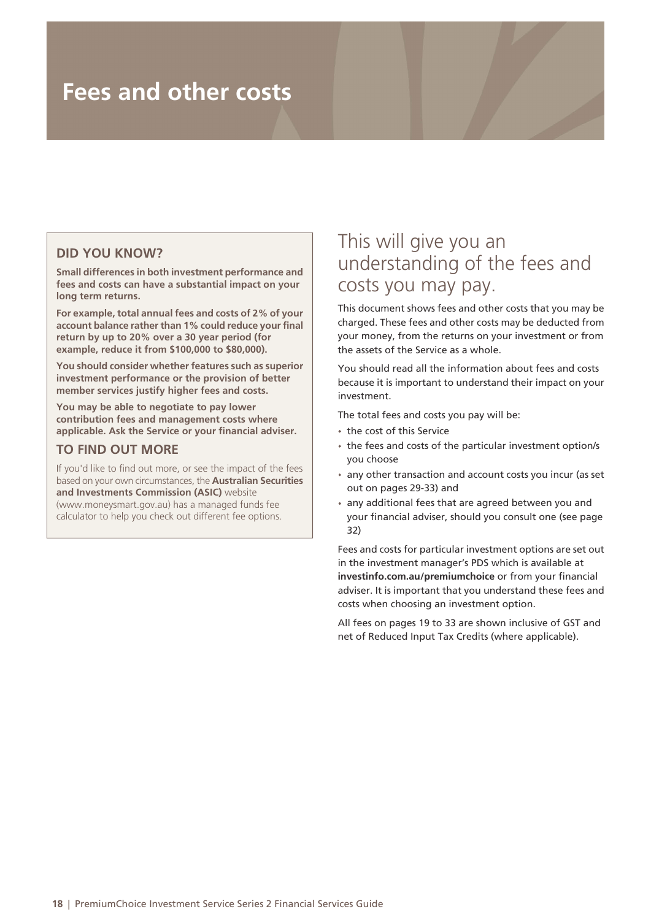## <span id="page-17-0"></span>**DID YOU KNOW?**

**Small differences in both investment performance and fees and costs can have a substantial impact on your long term returns.**

**For example, total annual fees and costs of 2% of your account balance rather than 1% could reduce your final return by up to 20% over a 30 year period (for example, reduce it from \$100,000 to \$80,000).**

**You should consider whether features such as superior investment performance or the provision of better member services justify higher fees and costs.**

**You may be able to negotiate to pay lower contribution fees and management costs where applicable. Ask the Service or your financial adviser.**

## **TO FIND OUT MORE**

If you'd like to find out more, or see the impact of the fees based on your own circumstances, the **Australian Securities and Investments Commission (ASIC)** website [\(www.moneysmart.gov.au\)](https://www.moneysmart.gov.au) has a managed funds fee calculator to help you check out different fee options.

## <span id="page-17-1"></span>This will give you an understanding of the fees and costs you may pay.

This document shows fees and other costs that you may be charged. These fees and other costs may be deducted from your money, from the returns on your investment or from the assets of the Service as a whole.

You should read all the information about fees and costs because it is important to understand their impact on your investment.

The total fees and costs you pay will be:

- the cost of this Service
- the fees and costs of the particular investment option/s you choose
- any other transaction and account costs you incur (as set out on pages [29-](#page-28-0)[33](#page-32-0)) and
- any additional fees that are agreed between you and your financial adviser, should you consult one (see page [32](#page-31-0))

Fees and costs for particular investment options are set out in the investment manager's PDS which is available at **[investinfo.com.au/premiumchoice](https://www.investinfo.com.au/premiumchoice)** or from your financial adviser. It is important that you understand these fees and costs when choosing an investment option.

All fees on pages [19](#page-18-0) to [33](#page-32-0) are shown inclusive of GST and net of Reduced Input Tax Credits (where applicable).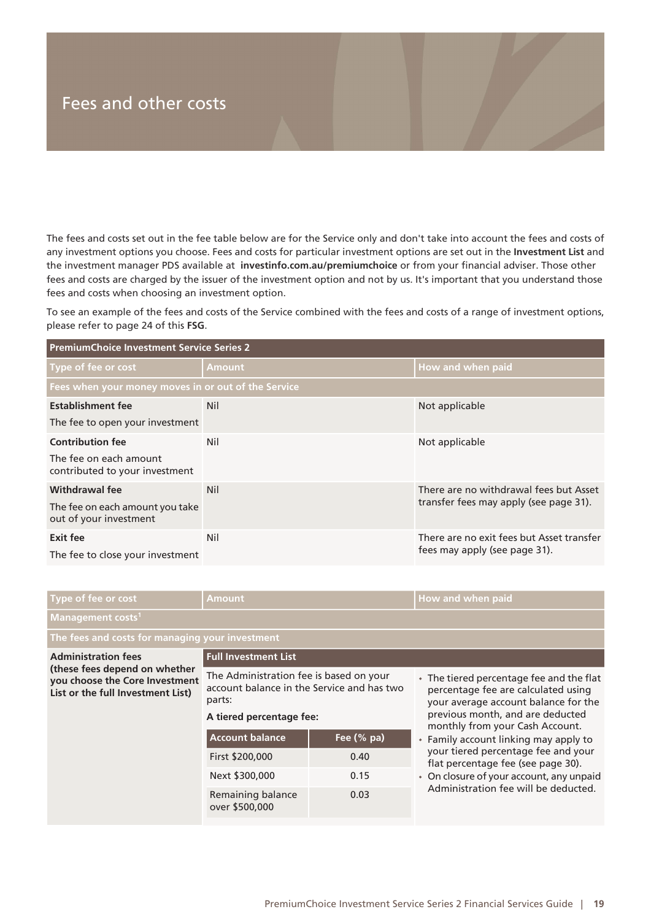<span id="page-18-0"></span>The fees and costs set out in the fee table below are for the Service only and don't take into account the fees and costs of any investment options you choose. Fees and costs for particular investment options are set out in the **Investment List** and the investment manager PDS available at **[investinfo.com.au/premiumchoice](https://www.investinfo.com.au/premiumchoice)** or from your financial adviser. Those other fees and costs are charged by the issuer of the investment option and not by us. It's important that you understand those fees and costs when choosing an investment option.

To see an example of the fees and costs of the Service combined with the fees and costs of a range of investment options, please refer to page [24](#page-23-0) of this **FSG**.

| <b>PremiumChoice Investment Service Series 2</b>          |               |                                           |
|-----------------------------------------------------------|---------------|-------------------------------------------|
| Type of fee or cost                                       | <b>Amount</b> | How and when paid                         |
| Fees when your money moves in or out of the Service       |               |                                           |
| <b>Establishment fee</b>                                  | <b>Nil</b>    | Not applicable                            |
| The fee to open your investment                           |               |                                           |
| <b>Contribution fee</b>                                   | Nil           | Not applicable                            |
| The fee on each amount<br>contributed to your investment  |               |                                           |
| Withdrawal fee                                            | Nil           | There are no withdrawal fees but Asset    |
| The fee on each amount you take<br>out of your investment |               | transfer fees may apply (see page 31).    |
| <b>Exit fee</b>                                           | Nil           | There are no exit fees but Asset transfer |
| The fee to close your investment                          |               | fees may apply (see page 31).             |

| Type of fee or cost                                                                                  | <b>Amount</b>                                                                                                               |            | How and when paid                                                                                                                                                                              |
|------------------------------------------------------------------------------------------------------|-----------------------------------------------------------------------------------------------------------------------------|------------|------------------------------------------------------------------------------------------------------------------------------------------------------------------------------------------------|
| Management costs <sup>1</sup>                                                                        |                                                                                                                             |            |                                                                                                                                                                                                |
| The fees and costs for managing your investment                                                      |                                                                                                                             |            |                                                                                                                                                                                                |
| <b>Administration fees</b>                                                                           | Full Investment List                                                                                                        |            |                                                                                                                                                                                                |
| (these fees depend on whether<br>you choose the Core Investment<br>List or the full Investment List) | The Administration fee is based on your<br>account balance in the Service and has two<br>parts:<br>A tiered percentage fee: |            | • The tiered percentage fee and the flat<br>percentage fee are calculated using<br>your average account balance for the<br>previous month, and are deducted<br>monthly from your Cash Account. |
|                                                                                                      | <b>Account balance</b>                                                                                                      | Fee (% pa) | • Family account linking may apply to                                                                                                                                                          |
|                                                                                                      | First \$200,000                                                                                                             | 0.40       | your tiered percentage fee and your<br>flat percentage fee (see page 30).                                                                                                                      |
|                                                                                                      | Next \$300,000                                                                                                              | 0.15       | • On closure of your account, any unpaid                                                                                                                                                       |
|                                                                                                      | Remaining balance<br>over \$500,000                                                                                         | 0.03       | Administration fee will be deducted.                                                                                                                                                           |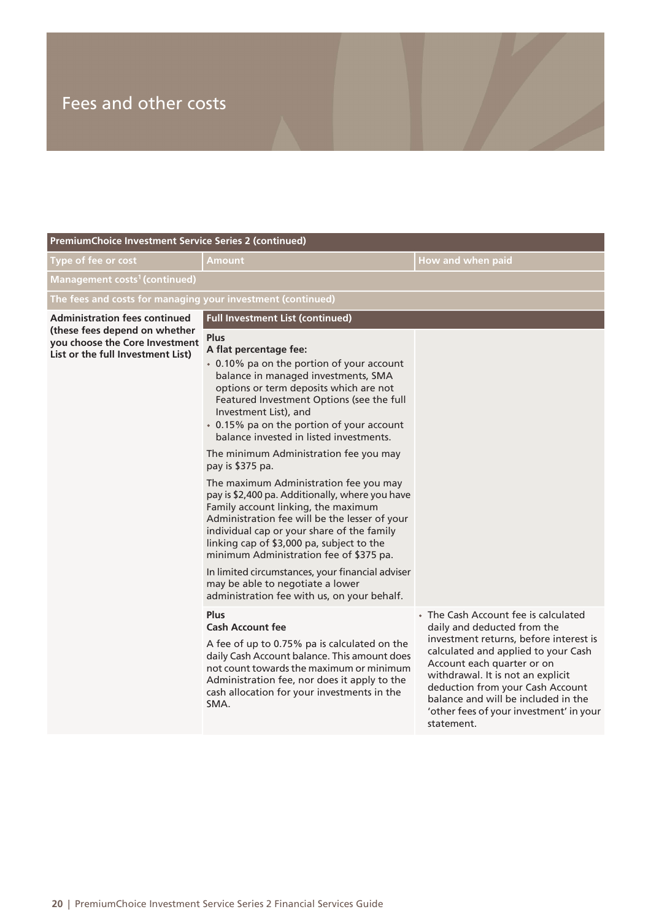| PremiumChoice Investment Service Series 2 (continued)                                                |                                                                                                                                                                                                                                                                                                                                                                                                                                                                                                                                                                                                                                                                                                                                                                                                                                                                   |                                                                                                                                                                                                                                                                                                                                                             |  |
|------------------------------------------------------------------------------------------------------|-------------------------------------------------------------------------------------------------------------------------------------------------------------------------------------------------------------------------------------------------------------------------------------------------------------------------------------------------------------------------------------------------------------------------------------------------------------------------------------------------------------------------------------------------------------------------------------------------------------------------------------------------------------------------------------------------------------------------------------------------------------------------------------------------------------------------------------------------------------------|-------------------------------------------------------------------------------------------------------------------------------------------------------------------------------------------------------------------------------------------------------------------------------------------------------------------------------------------------------------|--|
| Type of fee or cost                                                                                  | Amount                                                                                                                                                                                                                                                                                                                                                                                                                                                                                                                                                                                                                                                                                                                                                                                                                                                            | How and when paid                                                                                                                                                                                                                                                                                                                                           |  |
| Management costs <sup>1</sup> (continued)                                                            |                                                                                                                                                                                                                                                                                                                                                                                                                                                                                                                                                                                                                                                                                                                                                                                                                                                                   |                                                                                                                                                                                                                                                                                                                                                             |  |
| The fees and costs for managing your investment (continued)                                          |                                                                                                                                                                                                                                                                                                                                                                                                                                                                                                                                                                                                                                                                                                                                                                                                                                                                   |                                                                                                                                                                                                                                                                                                                                                             |  |
| <b>Administration fees continued</b>                                                                 | <b>Full Investment List (continued)</b>                                                                                                                                                                                                                                                                                                                                                                                                                                                                                                                                                                                                                                                                                                                                                                                                                           |                                                                                                                                                                                                                                                                                                                                                             |  |
| (these fees depend on whether<br>you choose the Core Investment<br>List or the full Investment List) | <b>Plus</b><br>A flat percentage fee:<br>• 0.10% pa on the portion of your account<br>balance in managed investments, SMA<br>options or term deposits which are not<br>Featured Investment Options (see the full<br>Investment List), and<br>• 0.15% pa on the portion of your account<br>balance invested in listed investments.<br>The minimum Administration fee you may<br>pay is \$375 pa.<br>The maximum Administration fee you may<br>pay is \$2,400 pa. Additionally, where you have<br>Family account linking, the maximum<br>Administration fee will be the lesser of your<br>individual cap or your share of the family<br>linking cap of \$3,000 pa, subject to the<br>minimum Administration fee of \$375 pa.<br>In limited circumstances, your financial adviser<br>may be able to negotiate a lower<br>administration fee with us, on your behalf. |                                                                                                                                                                                                                                                                                                                                                             |  |
|                                                                                                      | <b>Plus</b><br><b>Cash Account fee</b><br>A fee of up to 0.75% pa is calculated on the<br>daily Cash Account balance. This amount does<br>not count towards the maximum or minimum<br>Administration fee, nor does it apply to the<br>cash allocation for your investments in the<br>SMA.                                                                                                                                                                                                                                                                                                                                                                                                                                                                                                                                                                         | • The Cash Account fee is calculated<br>daily and deducted from the<br>investment returns, before interest is<br>calculated and applied to your Cash<br>Account each quarter or on<br>withdrawal. It is not an explicit<br>deduction from your Cash Account<br>balance and will be included in the<br>'other fees of your investment' in your<br>statement. |  |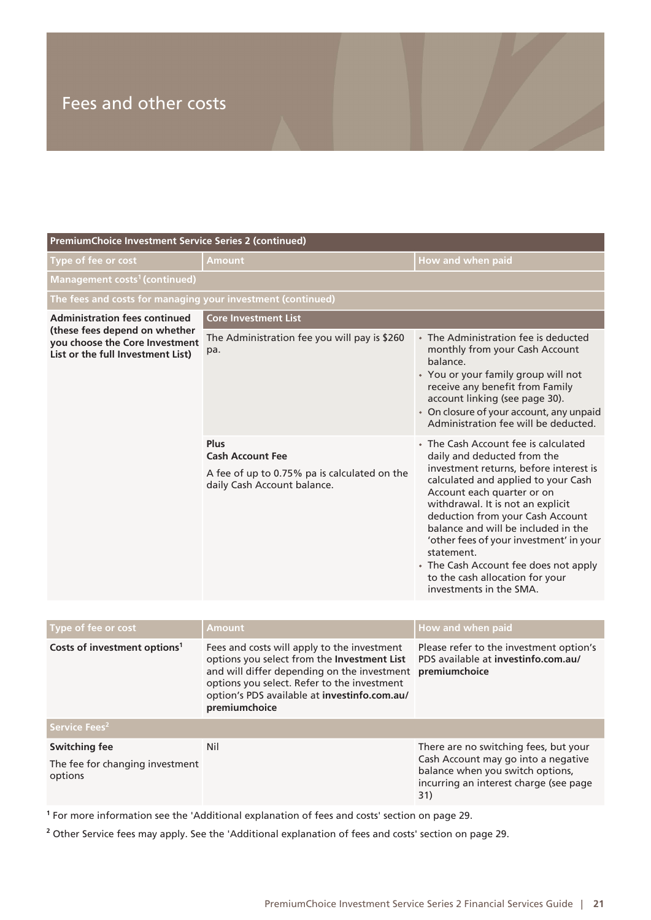#### **PremiumChoice Investment Service Series 2 (continued)**

| Type of fee or cost                                                                                  | <b>Amount</b>                                                                                                  | <b>How and when paid</b>                                                                                                                                                                                                                                                                                                                                                                                                                                           |  |
|------------------------------------------------------------------------------------------------------|----------------------------------------------------------------------------------------------------------------|--------------------------------------------------------------------------------------------------------------------------------------------------------------------------------------------------------------------------------------------------------------------------------------------------------------------------------------------------------------------------------------------------------------------------------------------------------------------|--|
| Management costs <sup>1</sup> (continued)                                                            |                                                                                                                |                                                                                                                                                                                                                                                                                                                                                                                                                                                                    |  |
| The fees and costs for managing your investment (continued)                                          |                                                                                                                |                                                                                                                                                                                                                                                                                                                                                                                                                                                                    |  |
| <b>Administration fees continued</b>                                                                 | <b>Core Investment List</b>                                                                                    |                                                                                                                                                                                                                                                                                                                                                                                                                                                                    |  |
| (these fees depend on whether<br>you choose the Core Investment<br>List or the full Investment List) | The Administration fee you will pay is \$260<br>pa.                                                            | • The Administration fee is deducted<br>monthly from your Cash Account<br>balance.<br>• You or your family group will not<br>receive any benefit from Family<br>account linking (see page 30).<br>• On closure of your account, any unpaid<br>Administration fee will be deducted.                                                                                                                                                                                 |  |
|                                                                                                      | Plus<br><b>Cash Account Fee</b><br>A fee of up to 0.75% pa is calculated on the<br>daily Cash Account balance. | • The Cash Account fee is calculated<br>daily and deducted from the<br>investment returns, before interest is<br>calculated and applied to your Cash<br>Account each quarter or on<br>withdrawal. It is not an explicit<br>deduction from your Cash Account<br>balance and will be included in the<br>'other fees of your investment' in your<br>statement.<br>• The Cash Account fee does not apply<br>to the cash allocation for your<br>investments in the SMA. |  |

| Type of fee or cost                                         | <b>Amount</b>                                                                                                                                                                                                                                                           | How and when paid                                                                                                                                                 |
|-------------------------------------------------------------|-------------------------------------------------------------------------------------------------------------------------------------------------------------------------------------------------------------------------------------------------------------------------|-------------------------------------------------------------------------------------------------------------------------------------------------------------------|
| Costs of investment options <sup>1</sup>                    | Fees and costs will apply to the investment<br>options you select from the Investment List<br>and will differ depending on the investment premiumchoice<br>options you select. Refer to the investment<br>option's PDS available at investinfo.com.au/<br>premiumchoice | Please refer to the investment option's<br>PDS available at investinfo.com.au/                                                                                    |
| Service Fees <sup>2</sup>                                   |                                                                                                                                                                                                                                                                         |                                                                                                                                                                   |
| Switching fee<br>The fee for changing investment<br>options | Nil                                                                                                                                                                                                                                                                     | There are no switching fees, but your<br>Cash Account may go into a negative<br>balance when you switch options,<br>incurring an interest charge (see page<br>31) |

**1** For more information see the 'Additional explanation of fees and costs' section on page [29.](#page-28-0)

**2** Other Service fees may apply. See the 'Additional explanation of fees and costs' section on page [29](#page-28-0).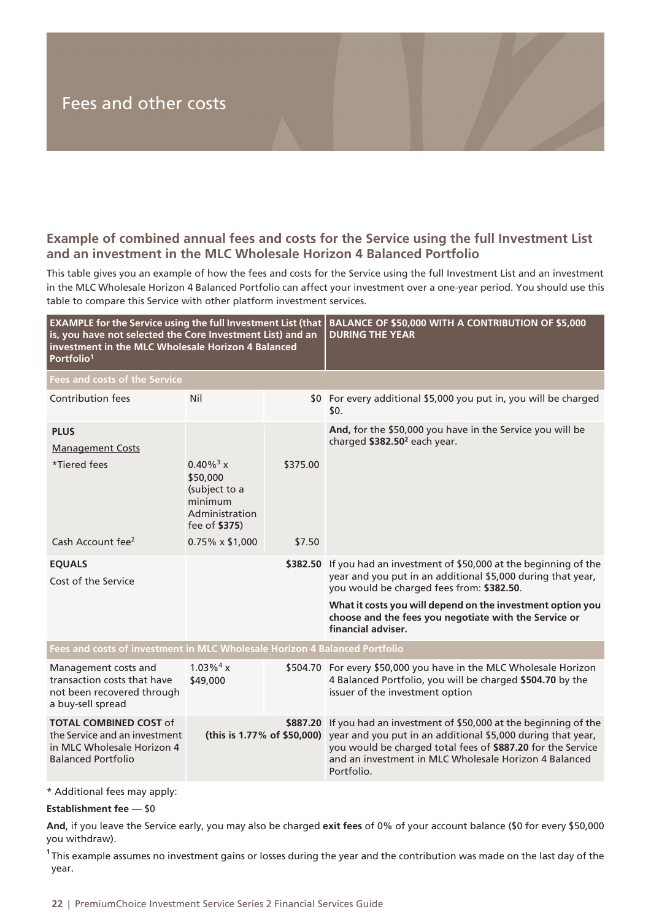## **Example of combined annual fees and costs for the Service using the full Investment List and an investment in the MLC Wholesale Horizon 4 Balanced Portfolio**

This table gives you an example of how the fees and costs for the Service using the full Investment List and an investment in the MLC Wholesale Horizon 4 Balanced Portfolio can affect your investment over a one-year period. You should use this table to compare this Service with other platform investment services.

| <b>EXAMPLE for the Service using the full Investment List (that</b><br>is, you have not selected the Core Investment List) and an<br>investment in the MLC Wholesale Horizon 4 Balanced<br>Portfolio <sup>1</sup> |                                                                                                                       |                    | BALANCE OF \$50,000 WITH A CONTRIBUTION OF \$5,000<br><b>DURING THE YEAR</b>                                                                                                                                                                                      |
|-------------------------------------------------------------------------------------------------------------------------------------------------------------------------------------------------------------------|-----------------------------------------------------------------------------------------------------------------------|--------------------|-------------------------------------------------------------------------------------------------------------------------------------------------------------------------------------------------------------------------------------------------------------------|
| <b>Fees and costs of the Service</b>                                                                                                                                                                              |                                                                                                                       |                    |                                                                                                                                                                                                                                                                   |
| Contribution fees                                                                                                                                                                                                 | Nil                                                                                                                   |                    | \$0 For every additional \$5,000 you put in, you will be charged<br>\$0.                                                                                                                                                                                          |
| <b>PLUS</b><br><b>Management Costs</b><br>*Tiered fees<br>Cash Account fee <sup>2</sup>                                                                                                                           | $0.40\%$ <sup>3</sup> x<br>\$50,000<br>(subject to a<br>minimum<br>Administration<br>fee of \$375)<br>0.75% x \$1,000 | \$375.00<br>\$7.50 | And, for the \$50,000 you have in the Service you will be<br>charged \$382.50 <sup>2</sup> each year.                                                                                                                                                             |
| <b>EQUALS</b><br>Cost of the Service                                                                                                                                                                              |                                                                                                                       |                    | \$382.50 If you had an investment of \$50,000 at the beginning of the<br>year and you put in an additional \$5,000 during that year,<br>you would be charged fees from: \$382.50.                                                                                 |
|                                                                                                                                                                                                                   |                                                                                                                       |                    | What it costs you will depend on the investment option you<br>choose and the fees you negotiate with the Service or<br>financial adviser.                                                                                                                         |
| Fees and costs of investment in MLC Wholesale Horizon 4 Balanced Portfolio                                                                                                                                        |                                                                                                                       |                    |                                                                                                                                                                                                                                                                   |
| Management costs and<br>transaction costs that have<br>not been recovered through<br>a buy-sell spread                                                                                                            | $1.03\%$ <sup>4</sup> x<br>\$49,000                                                                                   |                    | \$504.70 For every \$50,000 you have in the MLC Wholesale Horizon<br>4 Balanced Portfolio, you will be charged \$504.70 by the<br>issuer of the investment option                                                                                                 |
| <b>TOTAL COMBINED COST of</b><br>the Service and an investment<br>in MLC Wholesale Horizon 4<br><b>Balanced Portfolio</b>                                                                                         | (this is 1.77% of \$50,000)                                                                                           | \$887.20           | If you had an investment of \$50,000 at the beginning of the<br>year and you put in an additional \$5,000 during that year,<br>you would be charged total fees of \$887.20 for the Service<br>and an investment in MLC Wholesale Horizon 4 Balanced<br>Portfolio. |

\* Additional fees may apply:

#### **Establishment fee** — \$0

**And**, if you leave the Service early, you may also be charged **exit fees** of 0% of your account balance (\$0 for every \$50,000 you withdraw).

**1** This example assumes no investment gains or losses during the year and the contribution was made on the last day of the year.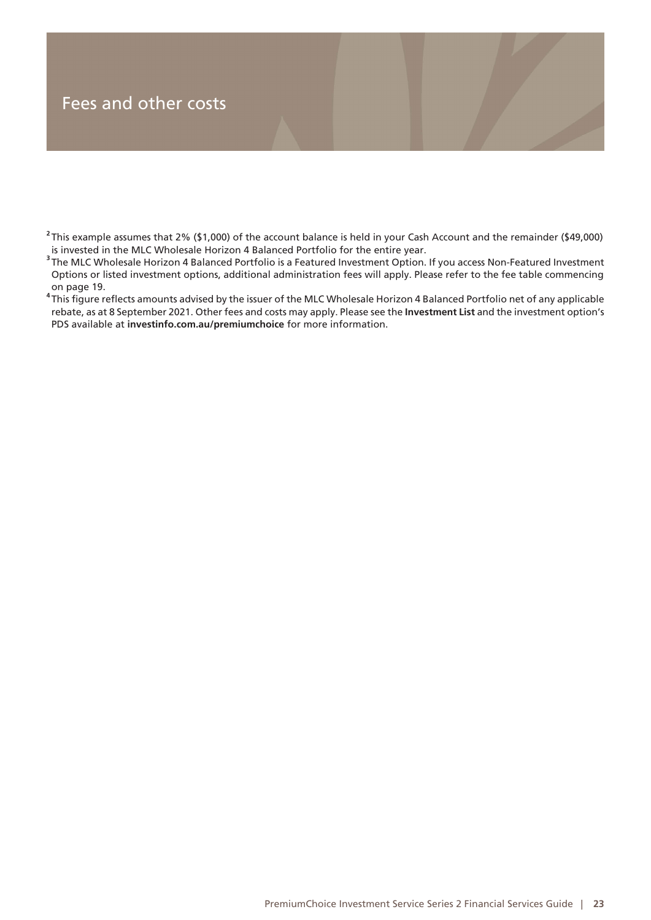**<sup>2</sup>** This example assumes that 2% (\$1,000) of the account balance is held in your Cash Account and the remainder (\$49,000) is invested in the MLC Wholesale Horizon 4 Balanced Portfolio for the entire year.

**<sup>3</sup>** The MLC Wholesale Horizon 4 Balanced Portfolio is a Featured Investment Option. If you access Non-Featured Investment Options or listed investment options, additional administration fees will apply. Please refer to the fee table commencing

on page [19](#page-18-0). **4** This figure reflects amounts advised by the issuer of the MLC Wholesale Horizon 4 Balanced Portfolio net of any applicable rebate, as at 8 September 2021. Other fees and costs may apply. Please see the **Investment List** and the investment option's PDS available at **[investinfo.com.au/premiumchoice](https://www.investinfo.com.au/premiumchoice)** for more information.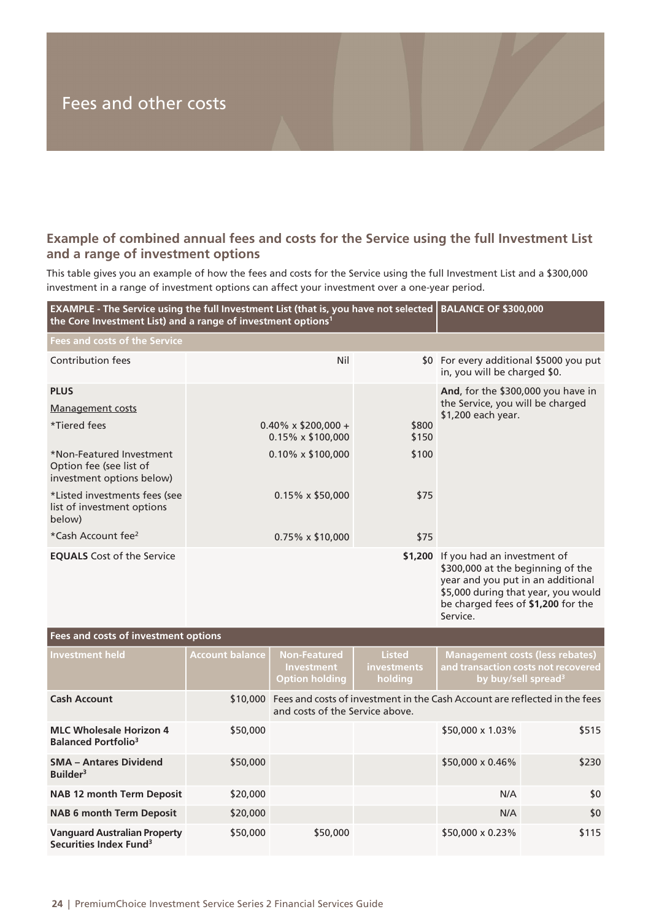## <span id="page-23-0"></span>**Example of combined annual fees and costs for the Service using the full Investment List and a range of investment options**

This table gives you an example of how the fees and costs for the Service using the full Investment List and a \$300,000 investment in a range of investment options can affect your investment over a one-year period.

| EXAMPLE - The Service using the full Investment List (that is, you have not selected<br>the Core Investment List) and a range of investment options <sup>1</sup> |                        |                                                                   |                                                | <b>BALANCE OF \$300,000</b>                                                                                                                                                                            |                                                                        |
|------------------------------------------------------------------------------------------------------------------------------------------------------------------|------------------------|-------------------------------------------------------------------|------------------------------------------------|--------------------------------------------------------------------------------------------------------------------------------------------------------------------------------------------------------|------------------------------------------------------------------------|
| <b>Fees and costs of the Service</b>                                                                                                                             |                        |                                                                   |                                                |                                                                                                                                                                                                        |                                                                        |
| <b>Contribution fees</b>                                                                                                                                         |                        | Nil                                                               |                                                | \$0 For every additional \$5000 you put<br>in, you will be charged \$0.                                                                                                                                |                                                                        |
| <b>PLUS</b><br><b>Management costs</b><br>*Tiered fees                                                                                                           |                        | $0.40\% \times $200,000 +$                                        | \$800                                          | And, for the \$300,000 you have in<br>the Service, you will be charged<br>\$1,200 each year.                                                                                                           |                                                                        |
|                                                                                                                                                                  |                        | 0.15% x \$100,000                                                 | \$150                                          |                                                                                                                                                                                                        |                                                                        |
| *Non-Featured Investment<br>Option fee (see list of<br>investment options below)                                                                                 |                        | 0.10% x \$100,000                                                 | \$100                                          |                                                                                                                                                                                                        |                                                                        |
| *Listed investments fees (see<br>list of investment options<br>below)                                                                                            |                        | $0.15\% \times $50,000$                                           | \$75                                           |                                                                                                                                                                                                        |                                                                        |
| *Cash Account fee <sup>2</sup>                                                                                                                                   |                        | $0.75\% \times $10,000$                                           | \$75                                           |                                                                                                                                                                                                        |                                                                        |
| <b>EQUALS</b> Cost of the Service                                                                                                                                |                        |                                                                   |                                                | \$1,200 If you had an investment of<br>\$300,000 at the beginning of the<br>year and you put in an additional<br>\$5,000 during that year, you would<br>be charged fees of \$1,200 for the<br>Service. |                                                                        |
| Fees and costs of investment options                                                                                                                             |                        |                                                                   |                                                |                                                                                                                                                                                                        |                                                                        |
| <b>Investment held</b>                                                                                                                                           | <b>Account balance</b> | <b>Non-Featured</b><br><b>Investment</b><br><b>Option holding</b> | <b>Listed</b><br><i>investments</i><br>holding | <b>Management costs (less rebates)</b>                                                                                                                                                                 | and transaction costs not recovered<br>by buy/sell spread <sup>3</sup> |
| <b>Cash Account</b>                                                                                                                                              |                        | and costs of the Service above.                                   |                                                | \$10,000 Fees and costs of investment in the Cash Account are reflected in the fees                                                                                                                    |                                                                        |
| <b>MLC Wholesale Horizon 4</b><br><b>Balanced Portfolio<sup>3</sup></b>                                                                                          | \$50,000               |                                                                   |                                                | \$50,000 x 1.03%                                                                                                                                                                                       | \$515                                                                  |
| <b>SMA - Antares Dividend</b><br>Builder <sup>3</sup>                                                                                                            | \$50,000               |                                                                   |                                                | \$50,000 x 0.46%                                                                                                                                                                                       | \$230                                                                  |
| <b>NAB 12 month Term Deposit</b>                                                                                                                                 | \$20,000               |                                                                   |                                                | N/A                                                                                                                                                                                                    | \$0                                                                    |
| <b>NAB 6 month Term Deposit</b>                                                                                                                                  | \$20,000               |                                                                   |                                                | N/A                                                                                                                                                                                                    | \$0                                                                    |
| <b>Vanguard Australian Property</b><br>Securities Index Fund <sup>3</sup>                                                                                        | \$50,000               | \$50,000                                                          |                                                | \$50,000 x 0.23%                                                                                                                                                                                       | \$115                                                                  |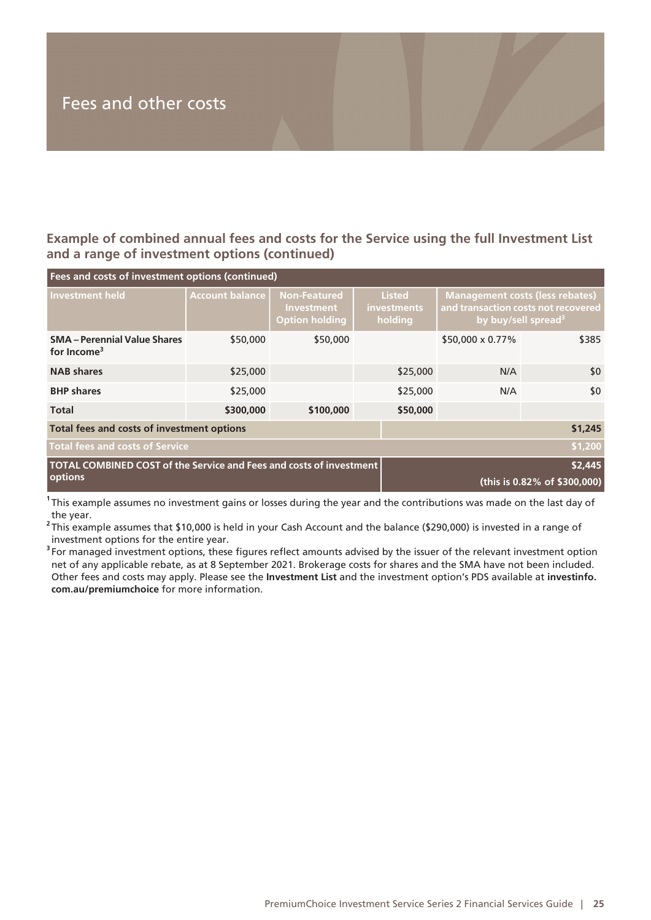**Example of combined annual fees and costs for the Service using the full Investment List and a range of investment options (continued)**

| Fees and costs of investment options (continued)                               |                        |                                                                   |                                                |                                                                           |                                         |
|--------------------------------------------------------------------------------|------------------------|-------------------------------------------------------------------|------------------------------------------------|---------------------------------------------------------------------------|-----------------------------------------|
| <b>Investment held</b>                                                         | <b>Account balance</b> | <b>Non-Featured</b><br><b>Investment</b><br><b>Option holding</b> | <b>Listed</b><br><b>investments</b><br>holding | <b>Management costs (less rebates)</b><br>by buy/sell spread <sup>3</sup> | and transaction costs not recovered     |
| <b>SMA</b> – Perennial Value Shares<br>for Income <sup>3</sup>                 | \$50,000               | \$50,000                                                          |                                                | \$50,000 x 0.77%                                                          | \$385                                   |
| <b>NAB</b> shares                                                              | \$25,000               |                                                                   | \$25,000                                       | N/A                                                                       | \$0                                     |
| <b>BHP</b> shares                                                              | \$25,000               |                                                                   | \$25,000                                       | N/A                                                                       | \$0                                     |
| <b>Total</b>                                                                   | \$300,000              | \$100,000                                                         | \$50,000                                       |                                                                           |                                         |
| Total fees and costs of investment options                                     |                        |                                                                   |                                                |                                                                           | \$1,245                                 |
| <b>Total fees and costs of Service</b>                                         |                        |                                                                   |                                                |                                                                           | \$1,200                                 |
| TOTAL COMBINED COST of the Service and Fees and costs of investment<br>options |                        |                                                                   |                                                |                                                                           | \$2,445<br>(this is 0.82% of \$300,000) |

**1** This example assumes no investment gains or losses during the year and the contributions was made on the last day of the year.

**2** This example assumes that \$10,000 is held in your Cash Account and the balance (\$290,000) is invested in a range of investment options for the entire year.

**3** For managed investment options, these figures reflect amounts advised by the issuer of the relevant investment option net of any applicable rebate, as at 8 September 2021. Brokerage costs for shares and the SMA have not been included. Other fees and costs may apply. Please see the **Investment List** and the investment option's PDS available at **[investinfo.](https://www.investinfo.com.au/premiumchoice) [com.au/premiumchoice](https://www.investinfo.com.au/premiumchoice)** for more information.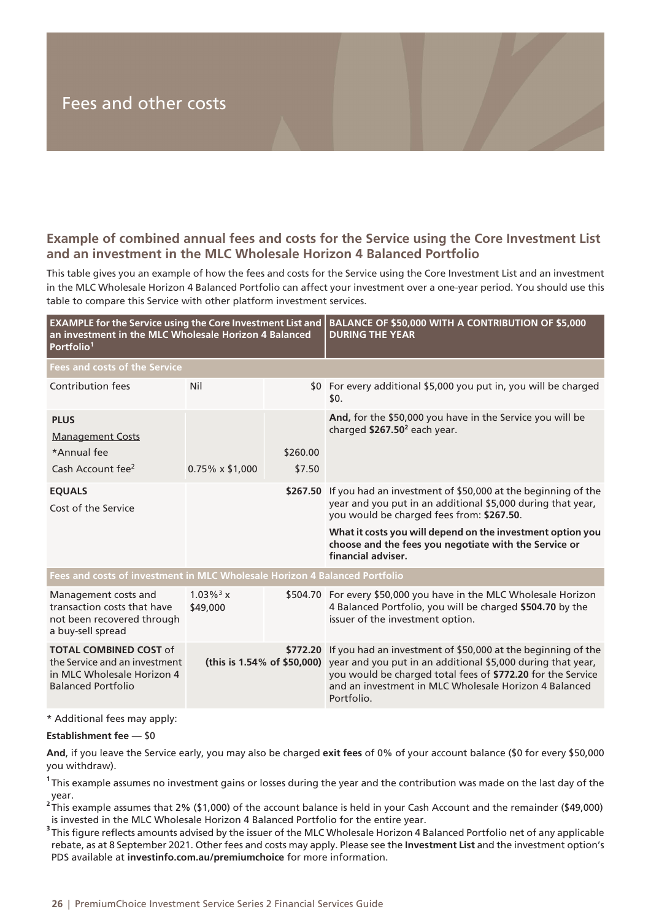## **Example of combined annual fees and costs for the Service using the Core Investment List and an investment in the MLC Wholesale Horizon 4 Balanced Portfolio**

This table gives you an example of how the fees and costs for the Service using the Core Investment List and an investment in the MLC Wholesale Horizon 4 Balanced Portfolio can affect your investment over a one-year period. You should use this table to compare this Service with other platform investment services.

**BALANCE OF \$50,000 WITH A CONTRIBUTION OF \$5,000 DURING THE YEAR EXAMPLE for the Service using the Core Investment List and an investment in the MLC Wholesale Horizon 4 Balanced Portfolio<sup>1</sup> Fees and costs of the Service** For every additional \$5,000 you put in, you will be charged \$0. Contribution fees Nil **And,** for the \$50,000 you have in the Service you will be charged **\$267.50<sup>2</sup>** each year. **PLUS** Management Costs \*Annual fee \$260.00 Cash Account fee<sup>2</sup> 0.75% x \$1,000 \$7.50 If you had an investment of \$50,000 at the beginning of the **EQUALS \$267.50** year and you put in an additional \$5,000 during that year, you would be charged fees from: **\$267.50**. Cost of the Service **What it costs you will depend on the investment option you choose and the fees you negotiate with the Service or financial adviser. Fees and costs of investment in MLC Wholesale Horizon 4 Balanced Portfolio** 1.03%<sup>3</sup> x  $$504.70$  For every \$50,000 you have in the MLC Wholesale Horizon 4 Balanced Portfolio, you will be charged **\$504.70** by the issuer of the investment option.  $1.03\%$ <sup>3</sup> x \$49,000 Management costs and transaction costs that have not been recovered through a buy-sell spread **\$772.20** If you had an investment of \$50,000 at the beginning of the year and you put in an additional \$5,000 during that year, you would be charged total fees of **\$772.20** for the Service and an investment in MLC Wholesale Horizon 4 Balanced Portfolio. **(this is 1.54% of \$50,000) TOTAL COMBINED COST** of the Service and an investment in MLC Wholesale Horizon 4 Balanced Portfolio

\* Additional fees may apply:

**Establishment fee** — \$0

**And**, if you leave the Service early, you may also be charged **exit fees** of 0% of your account balance (\$0 for every \$50,000 you withdraw).

**1** This example assumes no investment gains or losses during the year and the contribution was made on the last day of the year.

**2** This example assumes that 2% (\$1,000) of the account balance is held in your Cash Account and the remainder (\$49,000) is invested in the MLC Wholesale Horizon 4 Balanced Portfolio for the entire year.

**3** This figure reflects amounts advised by the issuer of the MLC Wholesale Horizon 4 Balanced Portfolio net of any applicable rebate, as at 8 September 2021. Other fees and costs may apply. Please see the **Investment List** and the investment option's PDS available at **[investinfo.com.au/premiumchoice](https://www.investinfo.com.au/premiumchoice)** for more information.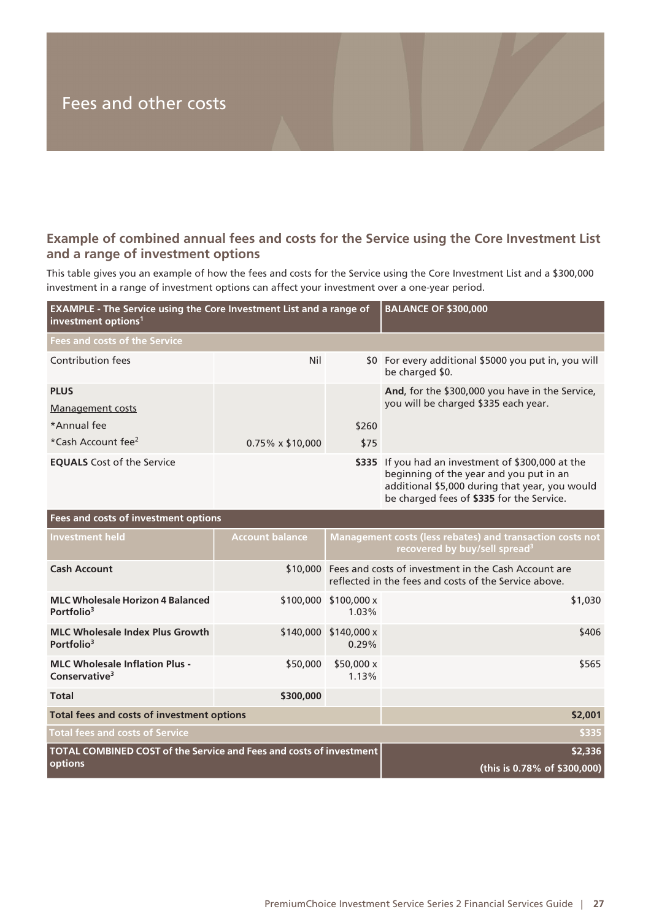## **Example of combined annual fees and costs for the Service using the Core Investment List and a range of investment options**

This table gives you an example of how the fees and costs for the Service using the Core Investment List and a \$300,000 investment in a range of investment options can affect your investment over a one-year period.

| <b>EXAMPLE</b> - The Service using the Core Investment List and a range of<br>investment options <sup>1</sup> |                         |       | <b>BALANCE OF \$300,000</b>                                                                                                                                                                  |
|---------------------------------------------------------------------------------------------------------------|-------------------------|-------|----------------------------------------------------------------------------------------------------------------------------------------------------------------------------------------------|
| <b>Fees and costs of the Service</b>                                                                          |                         |       |                                                                                                                                                                                              |
| Contribution fees                                                                                             | Nil                     |       | \$0 For every additional \$5000 you put in, you will<br>be charged \$0.                                                                                                                      |
| <b>PLUS</b><br><b>Management costs</b>                                                                        |                         |       | And, for the \$300,000 you have in the Service,<br>you will be charged \$335 each year.                                                                                                      |
| *Annual fee                                                                                                   |                         | \$260 |                                                                                                                                                                                              |
| *Cash Account fee <sup>2</sup>                                                                                | $0.75\% \times $10,000$ | \$75  |                                                                                                                                                                                              |
| <b>EQUALS</b> Cost of the Service                                                                             |                         |       | \$335 If you had an investment of \$300,000 at the<br>beginning of the year and you put in an<br>additional \$5,000 during that year, you would<br>be charged fees of \$335 for the Service. |

| Fees and costs of investment options                                           |                        |                     |                                                                                                                        |
|--------------------------------------------------------------------------------|------------------------|---------------------|------------------------------------------------------------------------------------------------------------------------|
| <b>Investment held</b>                                                         | <b>Account balance</b> |                     | Management costs (less rebates) and transaction costs not<br>recovered by buy/sell spread <sup>3</sup>                 |
| <b>Cash Account</b>                                                            |                        |                     | \$10,000 Fees and costs of investment in the Cash Account are<br>reflected in the fees and costs of the Service above. |
| <b>MLC Wholesale Horizon 4 Balanced</b><br>Portfolio <sup>3</sup>              | \$100,000              | \$100,000x<br>1.03% | \$1,030                                                                                                                |
| <b>MLC Wholesale Index Plus Growth</b><br>Portfolio <sup>3</sup>               | \$140,000              | \$140,000x<br>0.29% | \$406                                                                                                                  |
| <b>MLC Wholesale Inflation Plus -</b><br>Conservative <sup>3</sup>             | \$50,000               | \$50,000x<br>1.13%  | \$565                                                                                                                  |
| <b>Total</b>                                                                   | \$300,000              |                     |                                                                                                                        |
| Total fees and costs of investment options                                     |                        |                     | \$2,001                                                                                                                |
| <b>Total fees and costs of Service</b>                                         |                        |                     | \$335                                                                                                                  |
| TOTAL COMBINED COST of the Service and Fees and costs of investment<br>options |                        |                     | \$2,336<br>(this is 0.78% of \$300,000)                                                                                |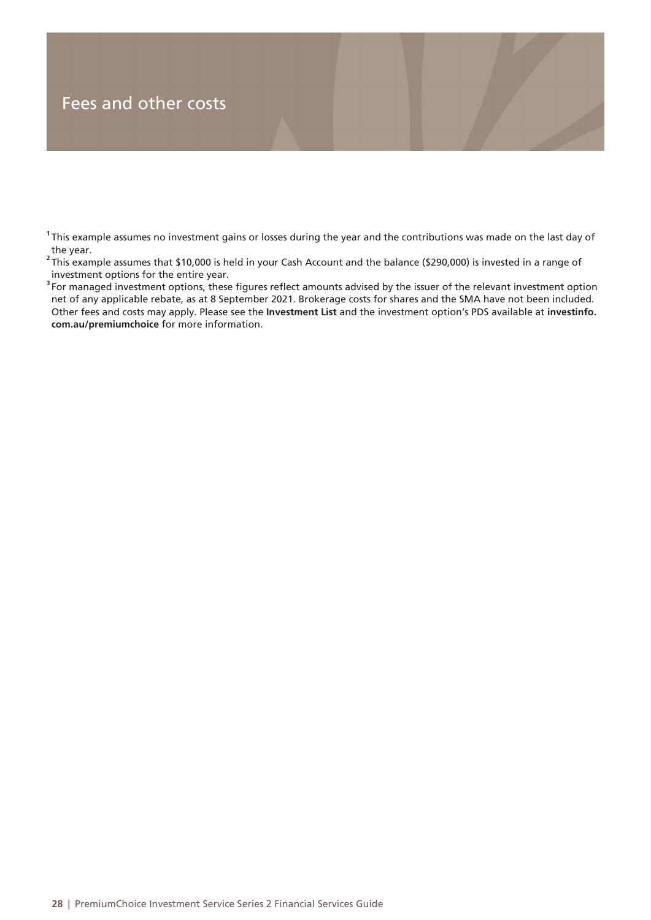**1** This example assumes no investment gains or losses during the year and the contributions was made on the last day of

the year. **2** This example assumes that \$10,000 is held in your Cash Account and the balance (\$290,000) is invested in a range of

investment options for the entire year. **3** For managed investment options, these figures reflect amounts advised by the issuer of the relevant investment option net of any applicable rebate, as at 8 September 2021. Brokerage costs for shares and the SMA have not been included. Other fees and costs may apply. Please see the **Investment List** and the investment option's PDS available at **[investinfo.](https://www.investinfo.com.au/premiumchoice) [com.au/premiumchoice](https://www.investinfo.com.au/premiumchoice)** for more information.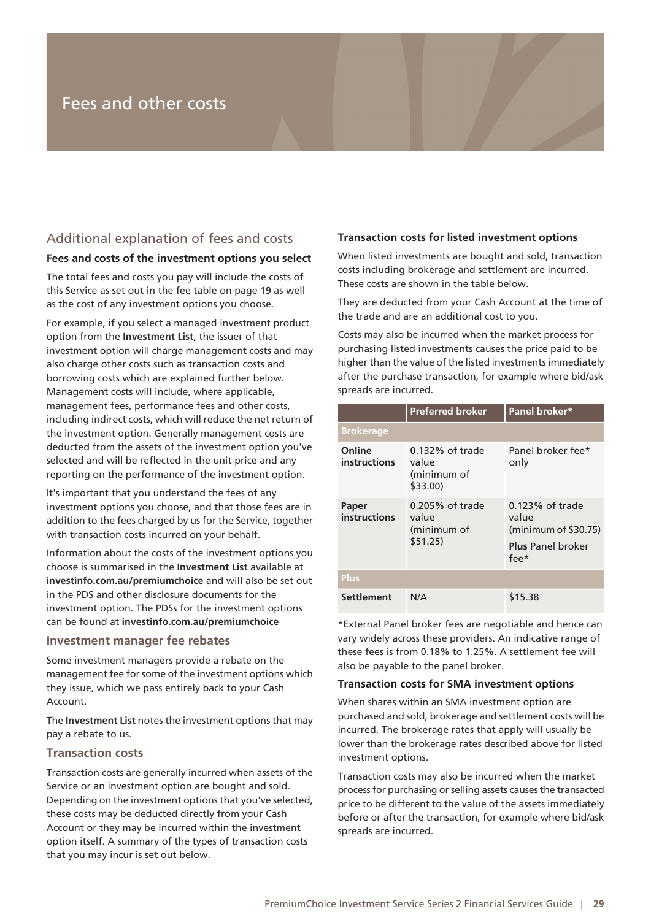## Additional explanation of fees and costs

#### <span id="page-28-0"></span>**Fees and costs of the investment options you select**

The total fees and costs you pay will include the costs of this Service as set out in the fee table on page [19](#page-18-0) as well as the cost of any investment options you choose.

For example, if you select a managed investment product option from the **Investment List**, the issuer of that investment option will charge management costs and may also charge other costs such as transaction costs and borrowing costs which are explained further below. Management costs will include, where applicable, management fees, performance fees and other costs, including indirect costs, which will reduce the net return of the investment option. Generally management costs are deducted from the assets of the investment option you've selected and will be reflected in the unit price and any reporting on the performance of the investment option.

It's important that you understand the fees of any investment options you choose, and that those fees are in addition to the fees charged by us for the Service, together with transaction costs incurred on your behalf.

Information about the costs of the investment options you choose is summarised in the **Investment List** available at **[investinfo.com.au/premiumchoice](https://www.investinfo.com.au/premiumchoice)** and will also be set out in the PDS and other disclosure documents for the investment option. The PDSs for the investment options can be found at **[investinfo.com.au/premiumchoice](https://www.investinfo.com.au/premiumchoice)**

#### **Investment manager fee rebates**

Some investment managers provide a rebate on the management fee for some of the investment options which they issue, which we pass entirely back to your Cash **Account** 

The **Investment List** notes the investment options that may pay a rebate to us.

#### **Transaction costs**

Transaction costs are generally incurred when assets of the Service or an investment option are bought and sold. Depending on the investment options that you've selected, these costs may be deducted directly from your Cash Account or they may be incurred within the investment option itself. A summary of the types of transaction costs that you may incur is set out below.

#### **Transaction costs for listed investment options**

When listed investments are bought and sold, transaction costs including brokerage and settlement are incurred. These costs are shown in the table below.

They are deducted from your Cash Account at the time of the trade and are an additional cost to you.

Costs may also be incurred when the market process for purchasing listed investments causes the price paid to be higher than the value of the listed investments immediately after the purchase transaction, for example where bid/ask spreads are incurred.

|                               | <b>Preferred broker</b>                                | Panel broker*                                                                            |
|-------------------------------|--------------------------------------------------------|------------------------------------------------------------------------------------------|
| <b>Brokerage</b>              |                                                        |                                                                                          |
| Online<br><b>instructions</b> | $0.132\%$ of trade<br>value<br>(minimum of<br>\$33.00) | Panel broker fee*<br>only                                                                |
| Paper<br>instructions         | $0.205%$ of trade<br>value<br>(minimum of<br>\$51.25   | $0.123%$ of trade<br>value<br>(minimum of \$30.75)<br><b>Plus Panel broker</b><br>$fee*$ |
| <b>Plus</b>                   |                                                        |                                                                                          |
| <b>Settlement</b>             | N/A                                                    | \$15.38                                                                                  |

\*External Panel broker fees are negotiable and hence can vary widely across these providers. An indicative range of these fees is from 0.18% to 1.25%. A settlement fee will also be payable to the panel broker.

#### **Transaction costs for SMA investment options**

When shares within an SMA investment option are purchased and sold, brokerage and settlement costs will be incurred. The brokerage rates that apply will usually be lower than the brokerage rates described above for listed investment options.

Transaction costs may also be incurred when the market process for purchasing or selling assets causes the transacted price to be different to the value of the assets immediately before or after the transaction, for example where bid/ask spreads are incurred.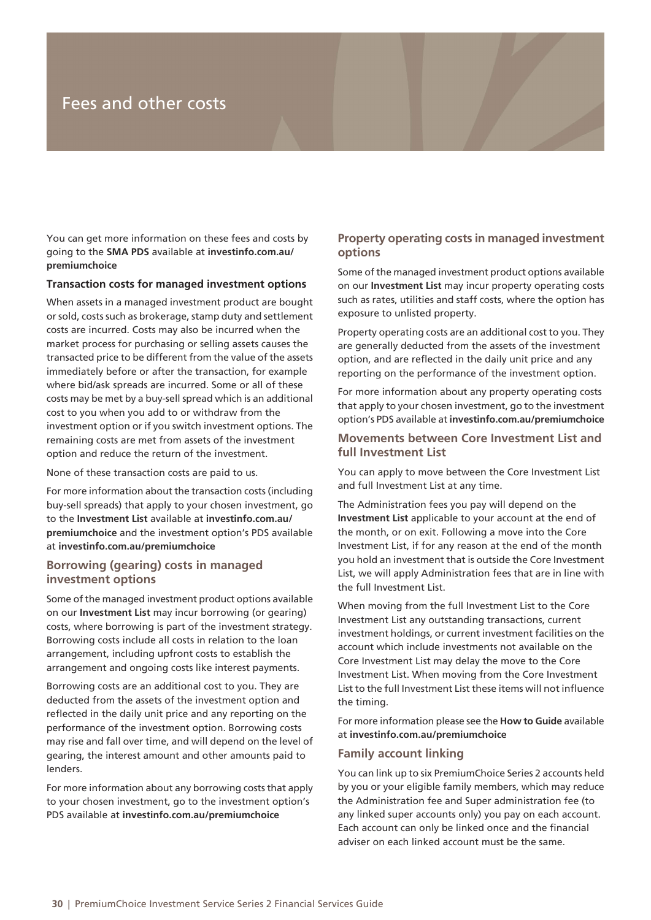You can get more information on these fees and costs by going to the **SMA PDS** available at **[investinfo.com.au/](https://www.investinfo.com.au/premiumchoice) [premiumchoice](https://www.investinfo.com.au/premiumchoice)**

#### **Transaction costs for managed investment options**

When assets in a managed investment product are bought or sold, costs such as brokerage, stamp duty and settlement costs are incurred. Costs may also be incurred when the market process for purchasing or selling assets causes the transacted price to be different from the value of the assets immediately before or after the transaction, for example where bid/ask spreads are incurred. Some or all of these costs may be met by a buy-sell spread which is an additional cost to you when you add to or withdraw from the investment option or if you switch investment options. The remaining costs are met from assets of the investment option and reduce the return of the investment.

None of these transaction costs are paid to us.

For more information about the transaction costs (including buy-sell spreads) that apply to your chosen investment, go to the **Investment List** available at **[investinfo.com.au/](https://www.investinfo.com.au/premiumchoice) [premiumchoice](https://www.investinfo.com.au/premiumchoice)** and the investment option's PDS available at **[investinfo.com.au/premiumchoice](https://www.investinfo.com.au/premiumchoice)**

#### **Borrowing (gearing) costs in managed investment options**

Some of the managed investment product options available on our **Investment List** may incur borrowing (or gearing) costs, where borrowing is part of the investment strategy. Borrowing costs include all costs in relation to the loan arrangement, including upfront costs to establish the arrangement and ongoing costs like interest payments.

Borrowing costs are an additional cost to you. They are deducted from the assets of the investment option and reflected in the daily unit price and any reporting on the performance of the investment option. Borrowing costs may rise and fall over time, and will depend on the level of gearing, the interest amount and other amounts paid to lenders.

For more information about any borrowing costs that apply to your chosen investment, go to the investment option's PDS available at **[investinfo.com.au/premiumchoice](https://www.investinfo.com.au/premiumchoice)**

### **Property operating costs in managed investment options**

Some of the managed investment product options available on our **Investment List** may incur property operating costs such as rates, utilities and staff costs, where the option has exposure to unlisted property.

Property operating costs are an additional cost to you. They are generally deducted from the assets of the investment option, and are reflected in the daily unit price and any reporting on the performance of the investment option.

For more information about any property operating costs that apply to your chosen investment, go to the investment option's PDS available at **[investinfo.com.au/premiumchoice](https://www.investinfo.com.au/premiumchoice)**

### **Movements between Core Investment List and full Investment List**

You can apply to move between the Core Investment List and full Investment List at any time.

The Administration fees you pay will depend on the **Investment List** applicable to your account at the end of the month, or on exit. Following a move into the Core Investment List, if for any reason at the end of the month you hold an investment that is outside the Core Investment List, we will apply Administration fees that are in line with the full Investment List.

When moving from the full Investment List to the Core Investment List any outstanding transactions, current investment holdings, or current investment facilities on the account which include investments not available on the Core Investment List may delay the move to the Core Investment List. When moving from the Core Investment List to the full Investment List these items will not influence the timing.

<span id="page-29-0"></span>For more information please see the **How to Guide** available at **[investinfo.com.au/premiumchoice](https://www.investinfo.com.au/premiumchoice)**

### **Family account linking**

You can link up to six PremiumChoice Series 2 accounts held by you or your eligible family members, which may reduce the Administration fee and Super administration fee (to any linked super accounts only) you pay on each account. Each account can only be linked once and the financial adviser on each linked account must be the same.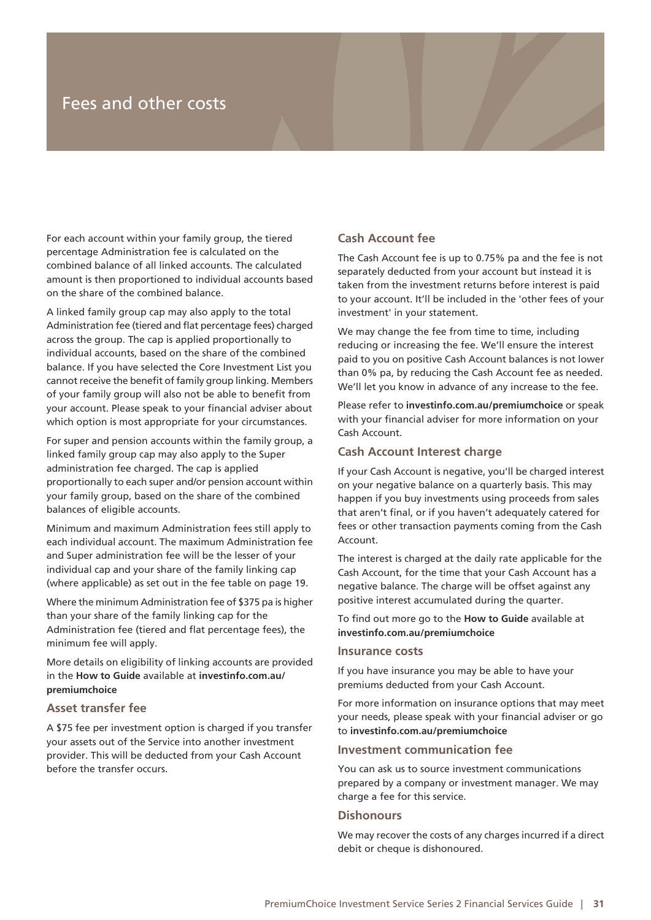For each account within your family group, the tiered percentage Administration fee is calculated on the combined balance of all linked accounts. The calculated amount is then proportioned to individual accounts based on the share of the combined balance.

A linked family group cap may also apply to the total Administration fee (tiered and flat percentage fees) charged across the group. The cap is applied proportionally to individual accounts, based on the share of the combined balance. If you have selected the Core Investment List you cannot receive the benefit of family group linking. Members of your family group will also not be able to benefit from your account. Please speak to your financial adviser about which option is most appropriate for your circumstances.

For super and pension accounts within the family group, a linked family group cap may also apply to the Super administration fee charged. The cap is applied proportionally to each super and/or pension account within your family group, based on the share of the combined balances of eligible accounts.

Minimum and maximum Administration fees still apply to each individual account. The maximum Administration fee and Super administration fee will be the lesser of your individual cap and your share of the family linking cap (where applicable) as set out in the fee table on page [19.](#page-18-0)

Where the minimum Administration fee of \$375 pa is higher than your share of the family linking cap for the Administration fee (tiered and flat percentage fees), the minimum fee will apply.

<span id="page-30-1"></span>More details on eligibility of linking accounts are provided in the **How to Guide** available at **[investinfo.com.au/](https://www.investinfo.com.au/premiumchoice) [premiumchoice](https://www.investinfo.com.au/premiumchoice)**

#### **Asset transfer fee**

A \$75 fee per investment option is charged if you transfer your assets out of the Service into another investment provider. This will be deducted from your Cash Account before the transfer occurs.

### **Cash Account fee**

The Cash Account fee is up to 0.75% pa and the fee is not separately deducted from your account but instead it is taken from the investment returns before interest is paid to your account. It'll be included in the 'other fees of your investment' in your statement.

We may change the fee from time to time, including reducing or increasing the fee. We'll ensure the interest paid to you on positive Cash Account balances is not lower than 0% pa, by reducing the Cash Account fee as needed. We'll let you know in advance of any increase to the fee.

<span id="page-30-2"></span>Please refer to **[investinfo.com.au/premiumchoice](https://www.investinfo.com.au/premiumchoice)** or speak with your financial adviser for more information on your Cash Account.

#### **Cash Account Interest charge**

If your Cash Account is negative, you'll be charged interest on your negative balance on a quarterly basis. This may happen if you buy investments using proceeds from sales that aren't final, or if you haven't adequately catered for fees or other transaction payments coming from the Cash Account.

The interest is charged at the daily rate applicable for the Cash Account, for the time that your Cash Account has a negative balance. The charge will be offset against any positive interest accumulated during the quarter.

To find out more go to the **How to Guide** available at **[investinfo.com.au/premiumchoice](https://www.investinfo.com.au/premiumchoice)**

#### **Insurance costs**

If you have insurance you may be able to have your premiums deducted from your Cash Account.

<span id="page-30-0"></span>For more information on insurance options that may meet your needs, please speak with your financial adviser or go to **[investinfo.com.au/premiumchoice](https://www.investinfo.com.au/premiumchoice)**

#### **Investment communication fee**

You can ask us to source investment communications prepared by a company or investment manager. We may charge a fee for this service.

#### **Dishonours**

We may recover the costs of any charges incurred if a direct debit or cheque is dishonoured.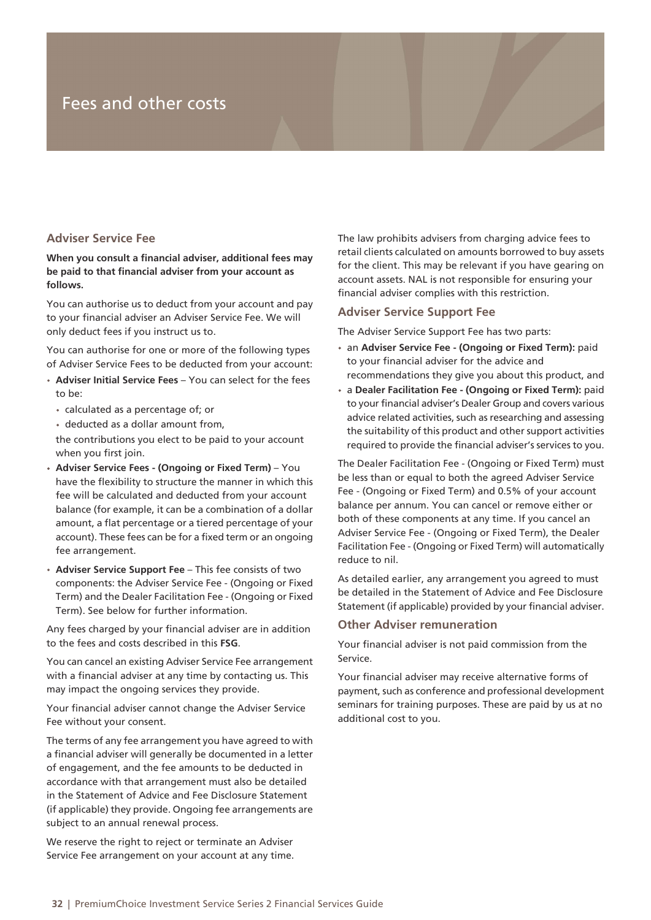#### <span id="page-31-0"></span>**Adviser Service Fee**

**When you consult a financial adviser, additional fees may be paid to that financial adviser from your account as follows.**

You can authorise us to deduct from your account and pay to your financial adviser an Adviser Service Fee. We will only deduct fees if you instruct us to.

You can authorise for one or more of the following types of Adviser Service Fees to be deducted from your account:

- **Adviser Initial Service Fees** You can select for the fees to be:
	- calculated as a percentage of; or
	- deducted as a dollar amount from,

the contributions you elect to be paid to your account when you first join.

- **Adviser Service Fees (Ongoing or Fixed Term)**  You have the flexibility to structure the manner in which this fee will be calculated and deducted from your account balance (for example, it can be a combination of a dollar amount, a flat percentage or a tiered percentage of your account). These fees can be for a fixed term or an ongoing fee arrangement.
- **Adviser Service Support Fee** This fee consists of two components: the Adviser Service Fee - (Ongoing or Fixed Term) and the Dealer Facilitation Fee - (Ongoing or Fixed Term). See below for further information.

Any fees charged by your financial adviser are in addition to the fees and costs described in this **FSG**.

You can cancel an existing Adviser Service Fee arrangement with a financial adviser at any time by contacting us. This may impact the ongoing services they provide.

Your financial adviser cannot change the Adviser Service Fee without your consent.

The terms of any fee arrangement you have agreed to with a financial adviser will generally be documented in a letter of engagement, and the fee amounts to be deducted in accordance with that arrangement must also be detailed in the Statement of Advice and Fee Disclosure Statement (if applicable) they provide. Ongoing fee arrangements are subject to an annual renewal process.

We reserve the right to reject or terminate an Adviser Service Fee arrangement on your account at any time. The law prohibits advisers from charging advice fees to retail clients calculated on amounts borrowed to buy assets for the client. This may be relevant if you have gearing on account assets. NAL is not responsible for ensuring your financial adviser complies with this restriction.

#### **Adviser Service Support Fee**

The Adviser Service Support Fee has two parts:

- an **Adviser Service Fee (Ongoing or Fixed Term):** paid to your financial adviser for the advice and recommendations they give you about this product, and
- a **Dealer Facilitation Fee (Ongoing or Fixed Term):** paid to your financial adviser's Dealer Group and covers various advice related activities, such as researching and assessing the suitability of this product and other support activities required to provide the financial adviser's services to you.

The Dealer Facilitation Fee - (Ongoing or Fixed Term) must be less than or equal to both the agreed Adviser Service Fee - (Ongoing or Fixed Term) and 0.5% of your account balance per annum. You can cancel or remove either or both of these components at any time. If you cancel an Adviser Service Fee - (Ongoing or Fixed Term), the Dealer Facilitation Fee - (Ongoing or Fixed Term) will automatically reduce to nil.

As detailed earlier, any arrangement you agreed to must be detailed in the Statement of Advice and Fee Disclosure Statement (if applicable) provided by your financial adviser.

#### **Other Adviser remuneration**

Your financial adviser is not paid commission from the Service.

Your financial adviser may receive alternative forms of payment, such as conference and professional development seminars for training purposes. These are paid by us at no additional cost to you.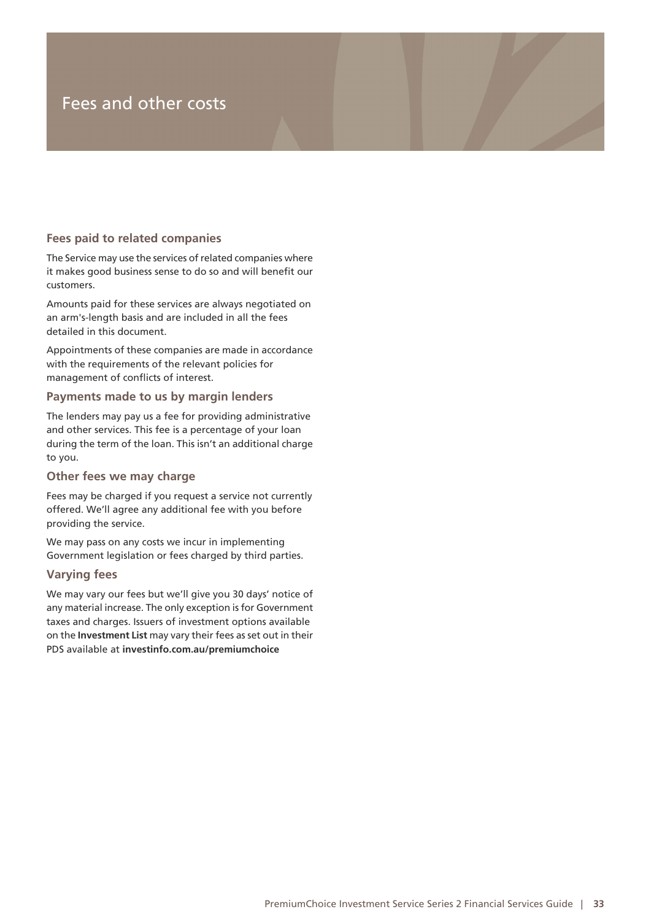### **Fees paid to related companies**

The Service may use the services of related companies where it makes good business sense to do so and will benefit our customers.

Amounts paid for these services are always negotiated on an arm's-length basis and are included in all the fees detailed in this document.

Appointments of these companies are made in accordance with the requirements of the relevant policies for management of conflicts of interest.

#### **Payments made to us by margin lenders**

The lenders may pay us a fee for providing administrative and other services. This fee is a percentage of your loan during the term of the loan. This isn't an additional charge to you.

#### **Other fees we may charge**

Fees may be charged if you request a service not currently offered. We'll agree any additional fee with you before providing the service.

<span id="page-32-0"></span>We may pass on any costs we incur in implementing Government legislation or fees charged by third parties.

#### **Varying fees**

We may vary our fees but we'll give you 30 days' notice of any material increase. The only exception is for Government taxes and charges. Issuers of investment options available on the **Investment List** may vary their fees as set out in their PDS available at **[investinfo.com.au/premiumchoice](https://www.investinfo.com.au/premiumchoice)**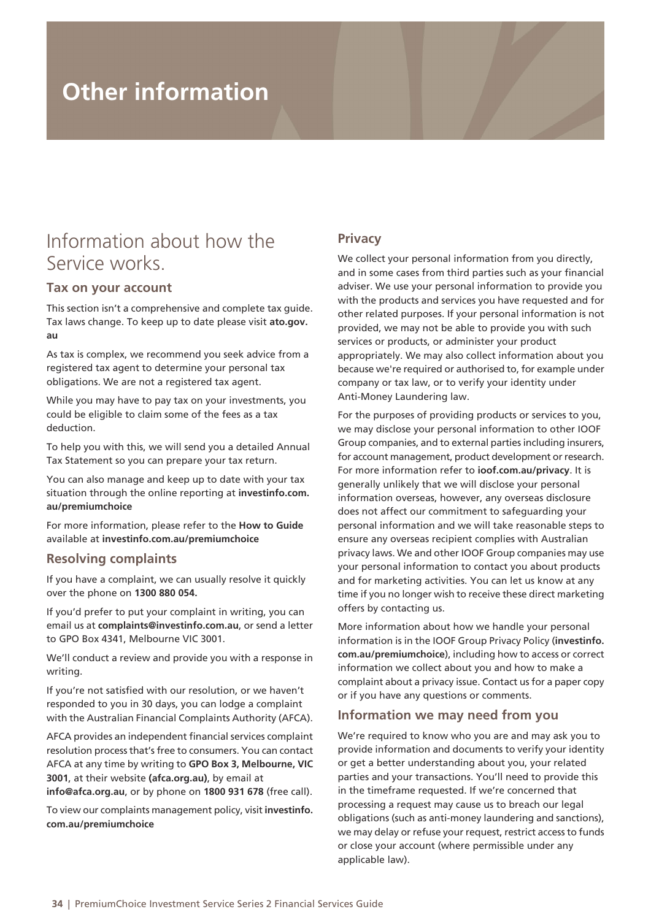# **Other information**

## <span id="page-33-0"></span>Information about how the Service works.

### **Tax on your account**

This section isn't a comprehensive and complete tax guide. Tax laws change. To keep up to date please visit **[ato.gov.](https://www.ato.gov.au/) [au](https://www.ato.gov.au/)**

As tax is complex, we recommend you seek advice from a registered tax agent to determine your personal tax obligations. We are not a registered tax agent.

While you may have to pay tax on your investments, you could be eligible to claim some of the fees as a tax deduction.

To help you with this, we will send you a detailed Annual Tax Statement so you can prepare your tax return.

You can also manage and keep up to date with your tax situation through the online reporting at **[investinfo.com.](https://www.investinfo.com.au/premiumchoice) [au/premiumchoice](https://www.investinfo.com.au/premiumchoice)**

For more information, please refer to the **How to Guide** available at **[investinfo.com.au/premiumchoice](https://www.investinfo.com.au/premiumchoice)**

### **Resolving complaints**

If you have a complaint, we can usually resolve it quickly over the phone on **1300 880 054.**

If you'd prefer to put your complaint in writing, you can email us at **[complaints@investinfo.com.au](mailto:complaints@investinfo.com.au)**, or send a letter to GPO Box 4341, Melbourne VIC 3001.

We'll conduct a review and provide you with a response in writing.

If you're not satisfied with our resolution, or we haven't responded to you in 30 days, you can lodge a complaint with the Australian Financial Complaints Authority (AFCA).

AFCA provides an independent financial services complaint resolution process that's free to consumers. You can contact AFCA at any time by writing to **GPO Box 3, Melbourne, VIC 3001**, at their website **[\(afca.org.au\)](http://afca.org.au/)**, by email at **[info@afca.org.au](mailto:info@afca.org.au)**, or by phone on **1800 931 678** (free call).

To view our complaints management policy, visit **[investinfo.](https://www.investinfo.com.au/premiumchoice) [com.au/premiumchoice](https://www.investinfo.com.au/premiumchoice)**

### **Privacy**

We collect your personal information from you directly, and in some cases from third parties such as your financial adviser. We use your personal information to provide you with the products and services you have requested and for other related purposes. If your personal information is not provided, we may not be able to provide you with such services or products, or administer your product appropriately. We may also collect information about you because we're required or authorised to, for example under company or tax law, or to verify your identity under Anti-Money Laundering law.

For the purposes of providing products or services to you, we may disclose your personal information to other IOOF Group companies, and to external parties including insurers, for account management, product development or research. For more information refer to **[ioof.com.au/privacy](https://www.ioof.com.au/privacy)**. It is generally unlikely that we will disclose your personal information overseas, however, any overseas disclosure does not affect our commitment to safeguarding your personal information and we will take reasonable steps to ensure any overseas recipient complies with Australian privacy laws. We and other IOOF Group companies may use your personal information to contact you about products and for marketing activities. You can let us know at any time if you no longer wish to receive these direct marketing offers by contacting us.

More information about how we handle your personal information is in the IOOF Group Privacy Policy (**[investinfo.](https://www.investinfo.com.au/site/cms/premium-choice/public/index.html) [com.au/premiumchoice](https://www.investinfo.com.au/site/cms/premium-choice/public/index.html)**), including how to access or correct information we collect about you and how to make a complaint about a privacy issue. Contact us for a paper copy or if you have any questions or comments.

### **Information we may need from you**

We're required to know who you are and may ask you to provide information and documents to verify your identity or get a better understanding about you, your related parties and your transactions. You'll need to provide this in the timeframe requested. If we're concerned that processing a request may cause us to breach our legal obligations (such as anti-money laundering and sanctions), we may delay or refuse your request, restrict access to funds or close your account (where permissible under any applicable law).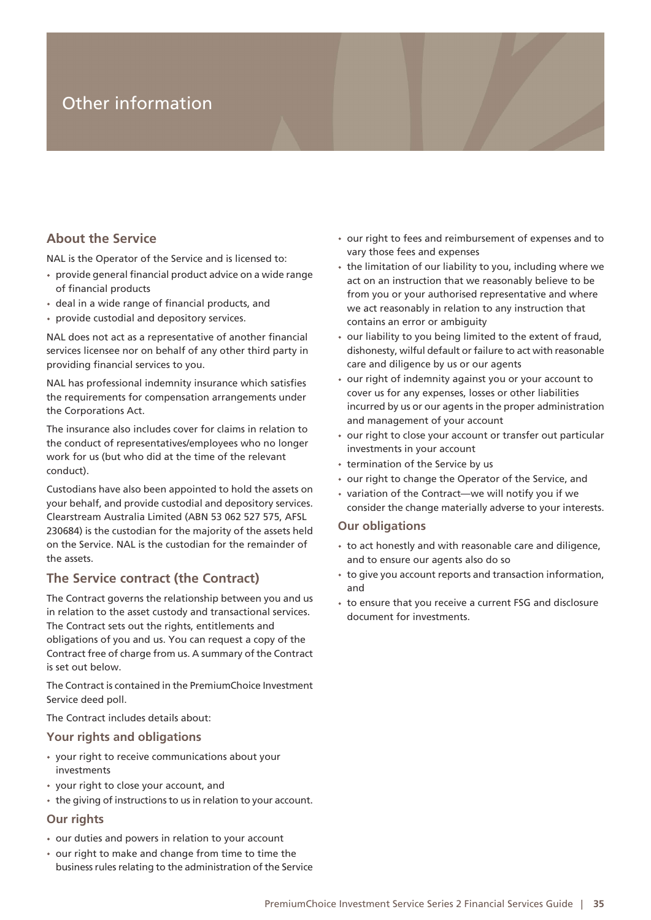## Other information

## **About the Service**

NAL is the Operator of the Service and is licensed to:

- provide general financial product advice on a wide range of financial products
- deal in a wide range of financial products, and
- provide custodial and depository services.

NAL does not act as a representative of another financial services licensee nor on behalf of any other third party in providing financial services to you.

NAL has professional indemnity insurance which satisfies the requirements for compensation arrangements under the Corporations Act.

The insurance also includes cover for claims in relation to the conduct of representatives/employees who no longer work for us (but who did at the time of the relevant conduct).

Custodians have also been appointed to hold the assets on your behalf, and provide custodial and depository services. Clearstream Australia Limited (ABN 53 062 527 575, AFSL 230684) is the custodian for the majority of the assets held on the Service. NAL is the custodian for the remainder of the assets.

### **The Service contract (the Contract)**

The Contract governs the relationship between you and us in relation to the asset custody and transactional services. The Contract sets out the rights, entitlements and obligations of you and us. You can request a copy of the Contract free of charge from us. A summary of the Contract is set out below.

The Contract is contained in the PremiumChoice Investment Service deed poll.

The Contract includes details about:

#### **Your rights and obligations**

- your right to receive communications about your investments
- your right to close your account, and
- the giving of instructions to us in relation to your account.

### **Our rights**

- our duties and powers in relation to your account
- our right to make and change from time to time the business rules relating to the administration of the Service
- our right to fees and reimbursement of expenses and to vary those fees and expenses
- the limitation of our liability to you, including where we act on an instruction that we reasonably believe to be from you or your authorised representative and where we act reasonably in relation to any instruction that contains an error or ambiguity
- our liability to you being limited to the extent of fraud, dishonesty, wilful default or failure to act with reasonable care and diligence by us or our agents
- our right of indemnity against you or your account to cover us for any expenses, losses or other liabilities incurred by us or our agents in the proper administration and management of your account
- our right to close your account or transfer out particular investments in your account
- termination of the Service by us
- our right to change the Operator of the Service, and
- variation of the Contract—we will notify you if we consider the change materially adverse to your interests.

#### **Our obligations**

- to act honestly and with reasonable care and diligence, and to ensure our agents also do so
- to give you account reports and transaction information, and
- to ensure that you receive a current FSG and disclosure document for investments.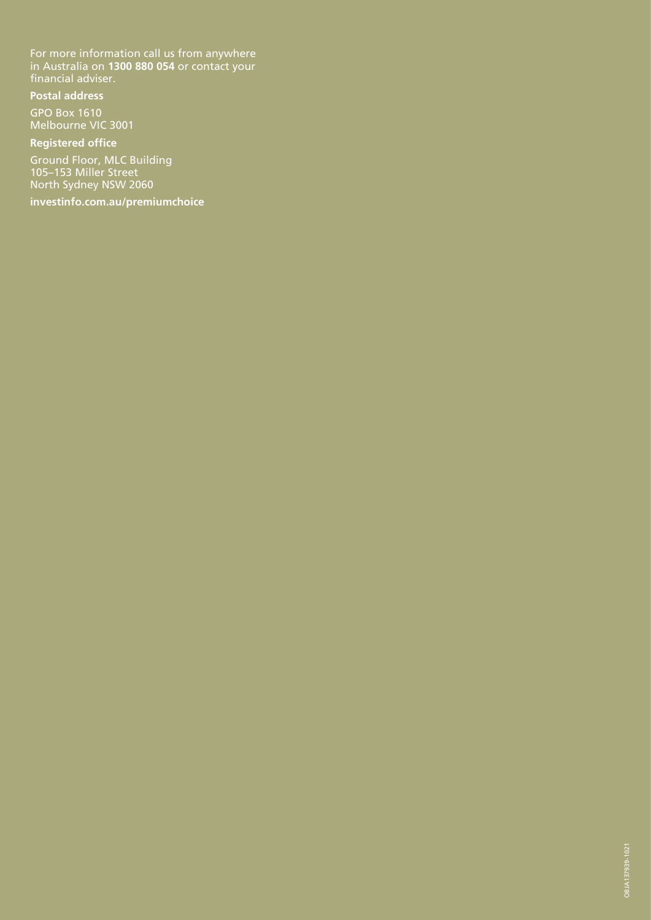For more information call us from anywhere in Australia on **1300 880 054** or contact your financial adviser.

**Postal address**

GPO Box 1610 Melbourne VIC 3001

**investinfo.com.au/premiumchoice**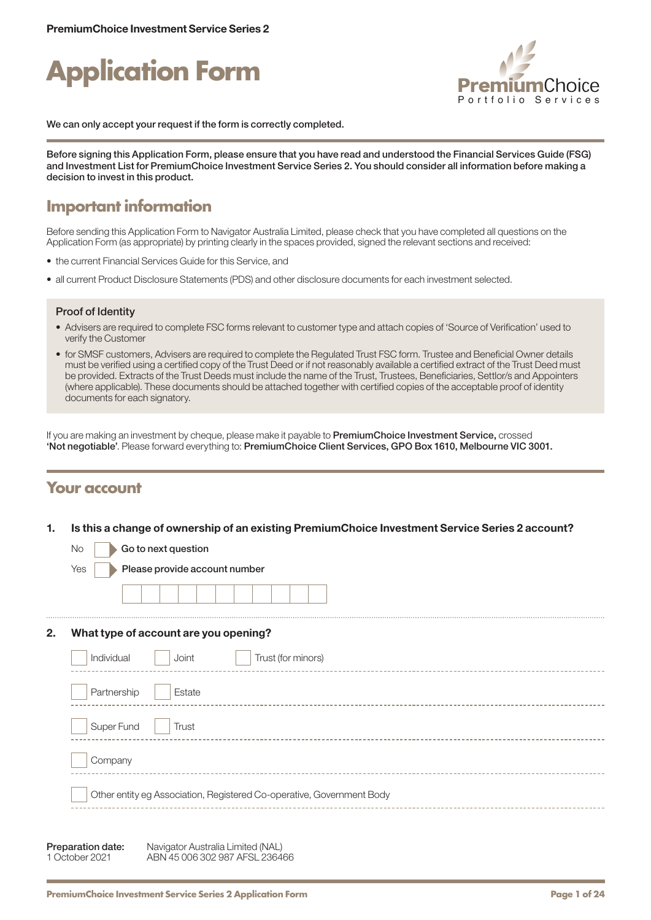



We can only accept your request if the form is correctly completed.

Before signing this Application Form, please ensure that you have read and understood the Financial Services Guide (FSG) and Investment List for PremiumChoice Investment Service Series 2. You should consider all information before making a decision to invest in this product.

## **Important information**

Before sending this Application Form to Navigator Australia Limited, please check that you have completed all questions on the Application Form (as appropriate) by printing clearly in the spaces provided, signed the relevant sections and received:

- the current Financial Services Guide for this Service, and
- all current Product Disclosure Statements (PDS) and other disclosure documents for each investment selected.

#### Proof of Identity

- Advisers are required to complete FSC forms relevant to customer type and attach copies of 'Source of Verification' used to verify the Customer
- for SMSF customers, Advisers are required to complete the Regulated Trust FSC form. Trustee and Beneficial Owner details must be verified using a certified copy of the Trust Deed or if not reasonably available a certified extract of the Trust Deed must be provided. Extracts of the Trust Deeds must include the name of the Trust, Trustees, Beneficiaries, Settlor/s and Appointers (where applicable). These documents should be attached together with certified copies of the acceptable proof of identity documents for each signatory.

If you are making an investment by cheque, please make it payable to PremiumChoice Investment Service, crossed 'Not negotiable'. Please forward everything to: PremiumChoice Client Services, GPO Box 1610, Melbourne VIC 3001.

## **Your account**

#### 1. Is this a change of ownership of an existing PremiumChoice Investment Service Series 2 account?

|    | Go to next question<br>No                                                                                  |
|----|------------------------------------------------------------------------------------------------------------|
|    | Yes<br>Please provide account number                                                                       |
|    |                                                                                                            |
| 2. | What type of account are you opening?                                                                      |
|    | Trust (for minors)<br>Individual<br>Joint                                                                  |
|    | Partnership<br>Estate                                                                                      |
|    | Super Fund<br>Trust                                                                                        |
|    | Company                                                                                                    |
|    | Other entity eg Association, Registered Co-operative, Government Body                                      |
|    | Preparation date:<br>Navigator Australia Limited (NAL)<br>ABN 45 006 302 987 AFSL 236466<br>1 October 2021 |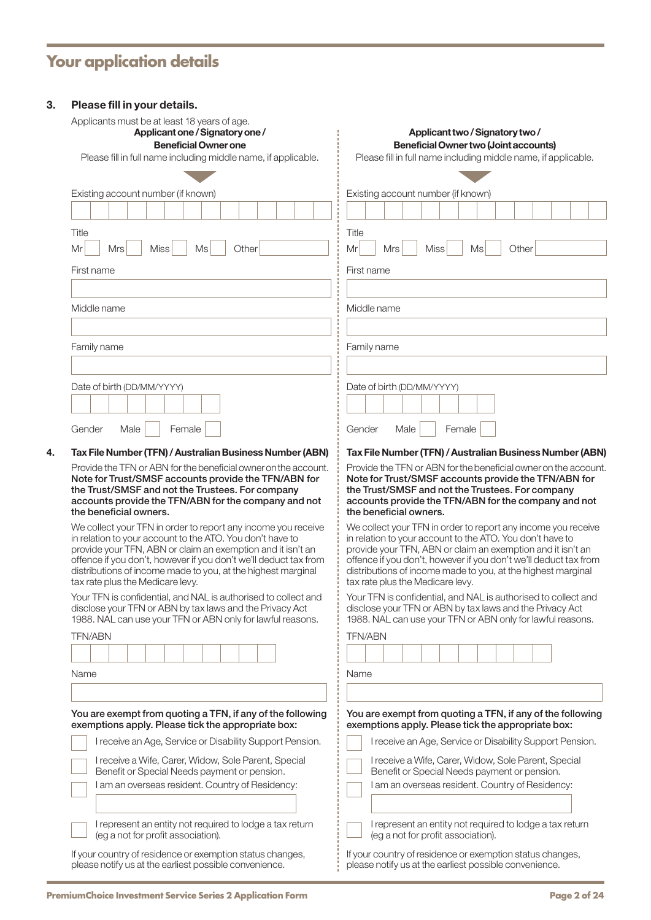# **Your application details**

| Applicant one / Signatory one /<br><b>Beneficial Owner one</b><br>Please fill in full name including middle name, if applicable.                                                                                                                                             | Applicant two / Signatory two /<br><b>Beneficial Owner two (Joint accounts)</b><br>Please fill in full name including middle name, if applicable.                                                                                                                                  |
|------------------------------------------------------------------------------------------------------------------------------------------------------------------------------------------------------------------------------------------------------------------------------|------------------------------------------------------------------------------------------------------------------------------------------------------------------------------------------------------------------------------------------------------------------------------------|
|                                                                                                                                                                                                                                                                              |                                                                                                                                                                                                                                                                                    |
| Existing account number (if known)                                                                                                                                                                                                                                           | Existing account number (if known)                                                                                                                                                                                                                                                 |
|                                                                                                                                                                                                                                                                              |                                                                                                                                                                                                                                                                                    |
| Title<br><b>Miss</b><br>Ms<br>Other<br>Mr<br><b>Mrs</b>                                                                                                                                                                                                                      | Title<br>Mr<br><b>Miss</b><br>Ms<br>Other<br><b>Mrs</b>                                                                                                                                                                                                                            |
| First name                                                                                                                                                                                                                                                                   | First name                                                                                                                                                                                                                                                                         |
|                                                                                                                                                                                                                                                                              |                                                                                                                                                                                                                                                                                    |
| Middle name                                                                                                                                                                                                                                                                  | Middle name                                                                                                                                                                                                                                                                        |
|                                                                                                                                                                                                                                                                              |                                                                                                                                                                                                                                                                                    |
| Family name                                                                                                                                                                                                                                                                  | Family name                                                                                                                                                                                                                                                                        |
|                                                                                                                                                                                                                                                                              |                                                                                                                                                                                                                                                                                    |
| Date of birth (DD/MM/YYYY)                                                                                                                                                                                                                                                   | Date of birth (DD/MM/YYYY)                                                                                                                                                                                                                                                         |
|                                                                                                                                                                                                                                                                              |                                                                                                                                                                                                                                                                                    |
| Gender<br>Male<br>Female                                                                                                                                                                                                                                                     | Gender<br>Male<br>Female                                                                                                                                                                                                                                                           |
| Tax File Number (TFN) / Australian Business Number (ABN)                                                                                                                                                                                                                     | Tax File Number (TFN) / Australian Business Number (ABN)                                                                                                                                                                                                                           |
| the Trust/SMSF and not the Trustees. For company<br>accounts provide the TFN/ABN for the company and not<br>the beneficial owners.<br>We collect your TFN in order to report any income you receive<br>in relation to your account to the ATO. You don't have to             | the Trust/SMSF and not the Trustees. For company<br>accounts provide the TFN/ABN for the company and not<br>the beneficial owners.<br>We collect your TFN in order to report any income you receive<br>in relation to your account to the ATO. You don't have to                   |
| provide your TFN, ABN or claim an exemption and it isn't an                                                                                                                                                                                                                  | provide your TFN, ABN or claim an exemption and it isn't an                                                                                                                                                                                                                        |
| tax rate plus the Medicare levy.                                                                                                                                                                                                                                             | tax rate plus the Medicare levy.                                                                                                                                                                                                                                                   |
|                                                                                                                                                                                                                                                                              | disclose your TFN or ABN by tax laws and the Privacy Act                                                                                                                                                                                                                           |
| Your TFN is confidential, and NAL is authorised to collect and                                                                                                                                                                                                               | offence if you don't, however if you don't we'll deduct tax from<br>distributions of income made to you, at the highest marginal<br>Your TFN is confidential, and NAL is authorised to collect and<br>1988. NAL can use your TFN or ABN only for lawful reasons.<br><b>TFN/ABN</b> |
|                                                                                                                                                                                                                                                                              |                                                                                                                                                                                                                                                                                    |
| Name                                                                                                                                                                                                                                                                         | Name                                                                                                                                                                                                                                                                               |
| offence if you don't, however if you don't we'll deduct tax from<br>distributions of income made to you, at the highest marginal<br>disclose your TFN or ABN by tax laws and the Privacy Act<br>1988. NAL can use your TFN or ABN only for lawful reasons.<br><b>TFN/ABN</b> |                                                                                                                                                                                                                                                                                    |
| You are exempt from quoting a TFN, if any of the following                                                                                                                                                                                                                   |                                                                                                                                                                                                                                                                                    |
| exemptions apply. Please tick the appropriate box:                                                                                                                                                                                                                           | exemptions apply. Please tick the appropriate box:                                                                                                                                                                                                                                 |
| I receive an Age, Service or Disability Support Pension.<br>I receive a Wife, Carer, Widow, Sole Parent, Special                                                                                                                                                             | I receive a Wife, Carer, Widow, Sole Parent, Special                                                                                                                                                                                                                               |
| Benefit or Special Needs payment or pension.<br>am an overseas resident. Country of Residency:                                                                                                                                                                               | You are exempt from quoting a TFN, if any of the following<br>I receive an Age, Service or Disability Support Pension.<br>Benefit or Special Needs payment or pension.<br>I am an overseas resident. Country of Residency:                                                         |
|                                                                                                                                                                                                                                                                              |                                                                                                                                                                                                                                                                                    |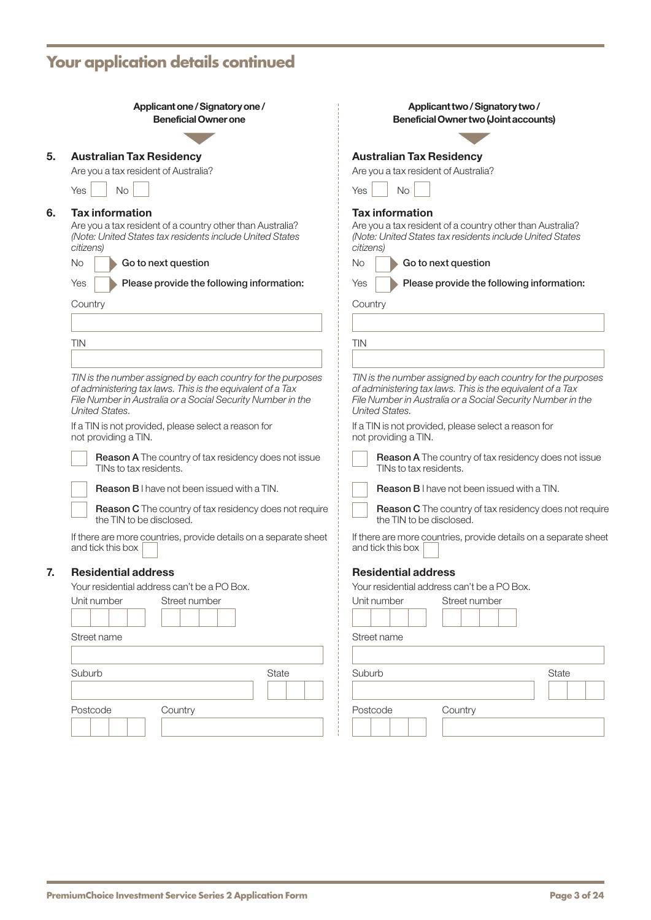# **Your application details continued**

| Applicant one / Signatory one /                                  | Applicant two / Signatory two /                                  |
|------------------------------------------------------------------|------------------------------------------------------------------|
| <b>Beneficial Owner one</b>                                      | <b>Beneficial Owner two (Joint accounts)</b>                     |
| <b>Australian Tax Residency</b>                                  | <b>Australian Tax Residency</b>                                  |
| Are you a tax resident of Australia?                             | Are you a tax resident of Australia?                             |
| Yes                                                              | <b>No</b>                                                        |
| No                                                               | Yes                                                              |
| <b>Tax information</b>                                           | <b>Tax information</b>                                           |
| Are you a tax resident of a country other than Australia?        | Are you a tax resident of a country other than Australia?        |
| (Note: United States tax residents include United States         | (Note: United States tax residents include United States         |
| citizens)                                                        | citizens)                                                        |
| No                                                               | <b>No</b>                                                        |
| Go to next question                                              | Go to next question                                              |
| Please provide the following information:                        | Please provide the following information:                        |
| Yes                                                              | Yes                                                              |
| Country                                                          | Country                                                          |
| <b>TIN</b>                                                       | <b>TIN</b>                                                       |
| TIN is the number assigned by each country for the purposes      | TIN is the number assigned by each country for the purposes      |
| of administering tax laws. This is the equivalent of a Tax       | of administering tax laws. This is the equivalent of a Tax       |
| File Number in Australia or a Social Security Number in the      | File Number in Australia or a Social Security Number in the      |
| <b>United States.</b>                                            | <b>United States.</b>                                            |
| If a TIN is not provided, please select a reason for             | If a TIN is not provided, please select a reason for             |
| not providing a TIN.                                             | not providing a TIN.                                             |
| Reason A The country of tax residency does not issue             | <b>Reason A</b> The country of tax residency does not issue      |
| TINs to tax residents.                                           | TINs to tax residents.                                           |
| <b>Reason B</b> I have not been issued with a TIN.               | <b>Reason B</b> I have not been issued with a TIN.               |
| <b>Reason C</b> The country of tax residency does not require    | <b>Reason C</b> The country of tax residency does not require    |
| the TIN to be disclosed.                                         | the TIN to be disclosed.                                         |
| If there are more countries, provide details on a separate sheet | If there are more countries, provide details on a separate sheet |
| and tick this box                                                | and tick this box                                                |
| <b>Residential address</b>                                       | <b>Residential address</b>                                       |
| Your residential address can't be a PO Box.                      | Your residential address can't be a PO Box.                      |
| Unit number                                                      | Unit number                                                      |
| Street number                                                    | Street number                                                    |
| Street name                                                      | Street name                                                      |
|                                                                  |                                                                  |
| State                                                            | State                                                            |
| Suburb                                                           | Suburb                                                           |
| Postcode                                                         | Country                                                          |
| Country                                                          | Postcode                                                         |
|                                                                  |                                                                  |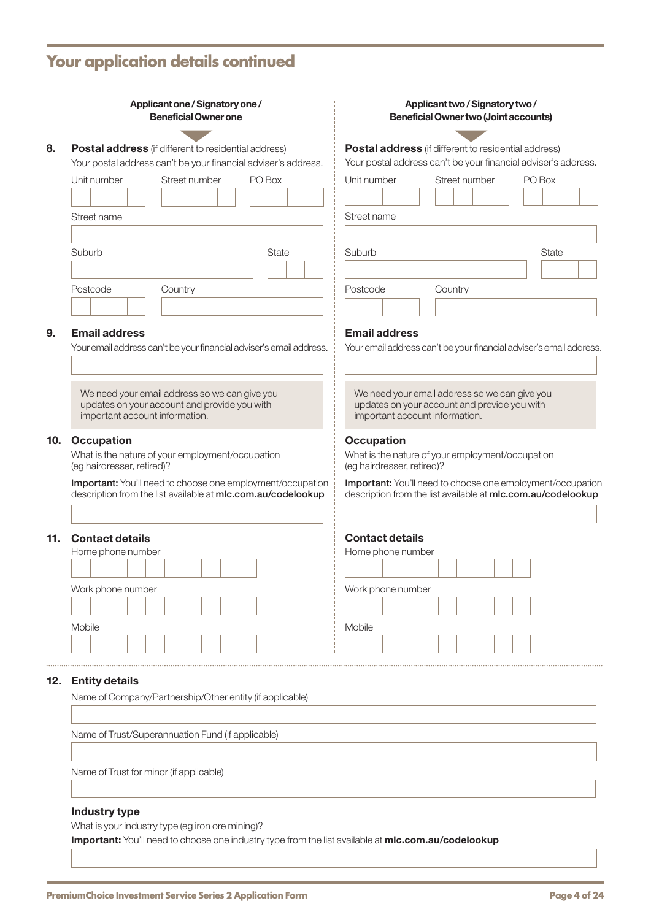# **Your application details continued**

|          | Applicant one / Signatory one /<br><b>Beneficial Owner one</b>                                                                                                                                                                                                      | Applicant two / Signatory two /<br><b>Beneficial Owner two (Joint accounts)</b>                                                                           |
|----------|---------------------------------------------------------------------------------------------------------------------------------------------------------------------------------------------------------------------------------------------------------------------|-----------------------------------------------------------------------------------------------------------------------------------------------------------|
|          | <b>Postal address</b> (if different to residential address)<br>Your postal address can't be your financial adviser's address.                                                                                                                                       | <b>Postal address</b> (if different to residential address)<br>Your postal address can't be your financial adviser's address.                             |
|          | Street number<br>PO Box<br>Unit number<br>Street name                                                                                                                                                                                                               | PO Box<br>Unit number<br>Street number<br>Street name                                                                                                     |
| Suburb   | <b>State</b>                                                                                                                                                                                                                                                        | Suburb<br>State                                                                                                                                           |
| Postcode | Country                                                                                                                                                                                                                                                             | Postcode<br>Country                                                                                                                                       |
|          | <b>Email address</b><br>Your email address can't be your financial adviser's email address.                                                                                                                                                                         | <b>Email address</b><br>Your email address can't be your financial adviser's email address.                                                               |
|          | We need your email address so we can give you<br>updates on your account and provide you with                                                                                                                                                                       | We need your email address so we can give you<br>updates on your account and provide you with                                                             |
|          | important account information.<br><b>Occupation</b><br>What is the nature of your employment/occupation<br>(eg hairdresser, retired)?<br>Important: You'll need to choose one employment/occupation<br>description from the list available at mlc.com.au/codelookup | important account information.<br><b>Occupation</b><br>What is the nature of your employment/occupation<br>(eg hairdresser, retired)?                     |
|          | <b>Contact details</b><br>Home phone number                                                                                                                                                                                                                         | <b>Contact details</b><br>Home phone number                                                                                                               |
| Mobile   | Work phone number                                                                                                                                                                                                                                                   | Important: You'll need to choose one employment/occupation<br>description from the list available at mlc.com.au/codelookup<br>Work phone number<br>Mobile |

### 12. Entity details

Name of Company/Partnership/Other entity (if applicable)

Name of Trust/Superannuation Fund (if applicable)

Name of Trust for minor (if applicable)

### Industry type

What is your industry type (eg iron ore mining)?

Important: You'll need to choose one industry type from the list available at [mlc.com.au/codelookup](https://www.mlc.com.au/personal/codelookup)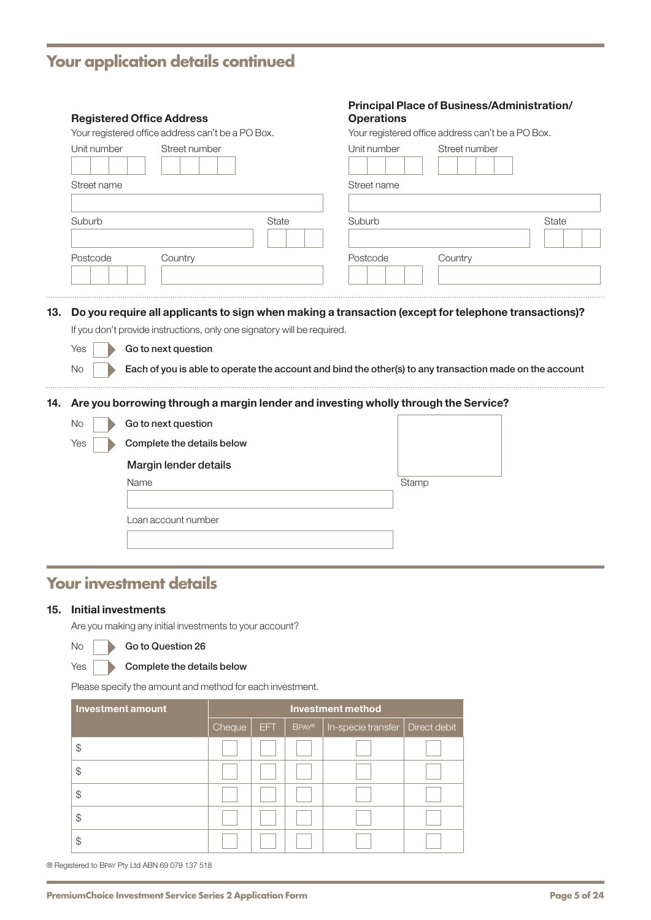# **Your application details continued**

| <b>Registered Office Address</b><br>Your registered office address can't be a PO Box. |                                                                         | <b>Principal Place of Business/Administration/</b><br><b>Operations</b><br>Your registered office address can't be a PO Box.                                                                       |              |
|---------------------------------------------------------------------------------------|-------------------------------------------------------------------------|----------------------------------------------------------------------------------------------------------------------------------------------------------------------------------------------------|--------------|
| Unit number                                                                           | Street number                                                           | Unit number<br>Street number                                                                                                                                                                       |              |
| Street name                                                                           |                                                                         | Street name                                                                                                                                                                                        |              |
| Suburb                                                                                | <b>State</b>                                                            | Suburb                                                                                                                                                                                             | <b>State</b> |
| Postcode<br>Country                                                                   |                                                                         | Country<br>Postcode                                                                                                                                                                                |              |
| Go to next question<br>Yes<br><b>No</b>                                               | If you don't provide instructions, only one signatory will be required. | Each of you is able to operate the account and bind the other(s) to any transaction made on the account<br>14. Are you borrowing through a margin lender and investing wholly through the Service? |              |
| Go to next question<br>No                                                             |                                                                         |                                                                                                                                                                                                    |              |
| Yes                                                                                   | Complete the details below                                              |                                                                                                                                                                                                    |              |
| Margin lender details                                                                 |                                                                         |                                                                                                                                                                                                    |              |
| Name                                                                                  |                                                                         | Stamp                                                                                                                                                                                              |              |
| Loan account number                                                                   |                                                                         |                                                                                                                                                                                                    |              |
|                                                                                       |                                                                         |                                                                                                                                                                                                    |              |

## **Your investment details**

#### 15. Initial investments

t.

 $\ddot{\phantom{a}}$ 

Are you making any initial investments to your account?

No Go to Question 26

#### Yes **Complete the details below**

Please specify the amount and method for each investment.

| <b>Investment amount</b> |        |     |              | <b>Investment method</b>          |  |
|--------------------------|--------|-----|--------------|-----------------------------------|--|
|                          | Cheque | EFT | <b>BPAY®</b> | In-specie transfer   Direct debit |  |
| \$                       |        |     |              |                                   |  |
| \$                       |        |     |              |                                   |  |
| \$                       |        |     |              |                                   |  |
| \$                       |        |     |              |                                   |  |
| S                        |        |     |              |                                   |  |

```
® Registered to BPAY Pty Ltd ABN 69 079 137 518
```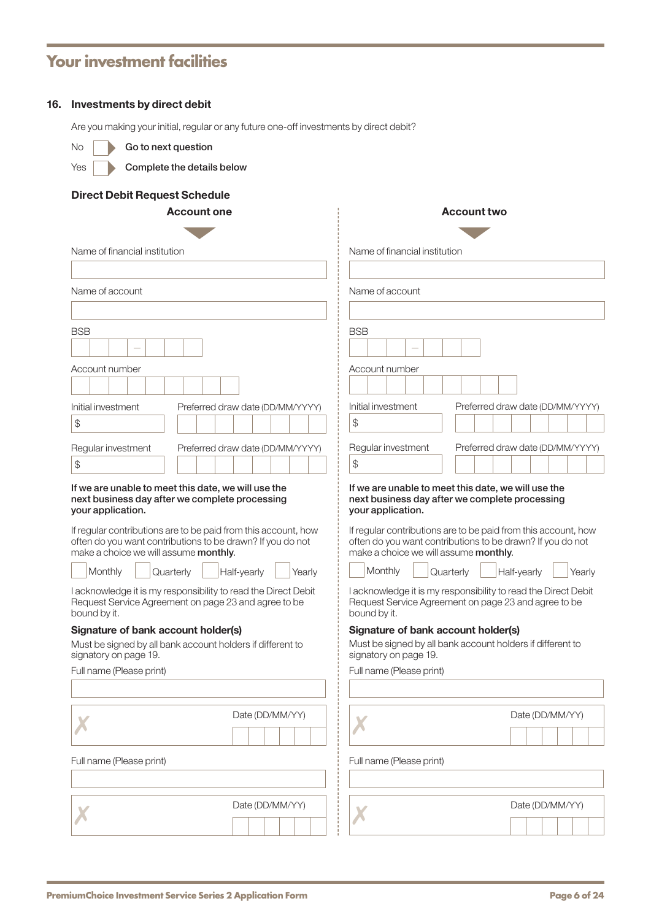## **Your investment facilities**

### 16. Investments by direct debit

Are you making your initial, regular or any future one-off investments by direct debit?

| <b>Direct Debit Request Schedule</b>                                                                                                                                                               |                                                                                                                                                                                                    |
|----------------------------------------------------------------------------------------------------------------------------------------------------------------------------------------------------|----------------------------------------------------------------------------------------------------------------------------------------------------------------------------------------------------|
| <b>Account one</b>                                                                                                                                                                                 | <b>Account two</b>                                                                                                                                                                                 |
| Name of financial institution                                                                                                                                                                      | Name of financial institution                                                                                                                                                                      |
|                                                                                                                                                                                                    |                                                                                                                                                                                                    |
| Name of account                                                                                                                                                                                    | Name of account                                                                                                                                                                                    |
|                                                                                                                                                                                                    |                                                                                                                                                                                                    |
| <b>BSB</b>                                                                                                                                                                                         | <b>BSB</b>                                                                                                                                                                                         |
| Account number                                                                                                                                                                                     | Account number                                                                                                                                                                                     |
|                                                                                                                                                                                                    |                                                                                                                                                                                                    |
| Initial investment<br>Preferred draw date (DD/MM/YYYY)                                                                                                                                             | Initial investment<br>Preferred draw date (DD/MM/YYYY)                                                                                                                                             |
| $\frac{1}{2}$                                                                                                                                                                                      | \$                                                                                                                                                                                                 |
| Regular investment<br>Preferred draw date (DD/MM/YYYY)                                                                                                                                             | Regular investment<br>Preferred draw date (DD/MM/YYYY)                                                                                                                                             |
| $\frac{1}{2}$                                                                                                                                                                                      | \$                                                                                                                                                                                                 |
| If we are unable to meet this date, we will use the<br>next business day after we complete processing<br>your application.                                                                         | If we are unable to meet this date, we will use the<br>next business day after we complete processing                                                                                              |
|                                                                                                                                                                                                    | your application.                                                                                                                                                                                  |
| If regular contributions are to be paid from this account, how<br>often do you want contributions to be drawn? If you do not<br>make a choice we will assume monthly.                              | often do you want contributions to be drawn? If you do not<br>make a choice we will assume monthly.                                                                                                |
| Monthly<br>Half-yearly<br>Quarterly<br>Yearly                                                                                                                                                      | Monthly<br>Half-yearly<br>Quarterly                                                                                                                                                                |
| I acknowledge it is my responsibility to read the Direct Debit<br>Request Service Agreement on page 23 and agree to be                                                                             | If regular contributions are to be paid from this account, how<br>Yearly<br>I acknowledge it is my responsibility to read the Direct Debit<br>Request Service Agreement on page 23 and agree to be |
|                                                                                                                                                                                                    | bound by it.<br>Signature of bank account holder(s)                                                                                                                                                |
|                                                                                                                                                                                                    | Must be signed by all bank account holders if different to<br>signatory on page 19.                                                                                                                |
|                                                                                                                                                                                                    | Full name (Please print)                                                                                                                                                                           |
|                                                                                                                                                                                                    |                                                                                                                                                                                                    |
| Date (DD/MM/YY)                                                                                                                                                                                    | Date (DD/MM/YY)                                                                                                                                                                                    |
|                                                                                                                                                                                                    |                                                                                                                                                                                                    |
|                                                                                                                                                                                                    | Full name (Please print)                                                                                                                                                                           |
| bound by it.<br>Signature of bank account holder(s)<br>Must be signed by all bank account holders if different to<br>signatory on page 19.<br>Full name (Please print)<br>Full name (Please print) |                                                                                                                                                                                                    |
| Date (DD/MM/YY)                                                                                                                                                                                    | Date (DD/MM/YY)                                                                                                                                                                                    |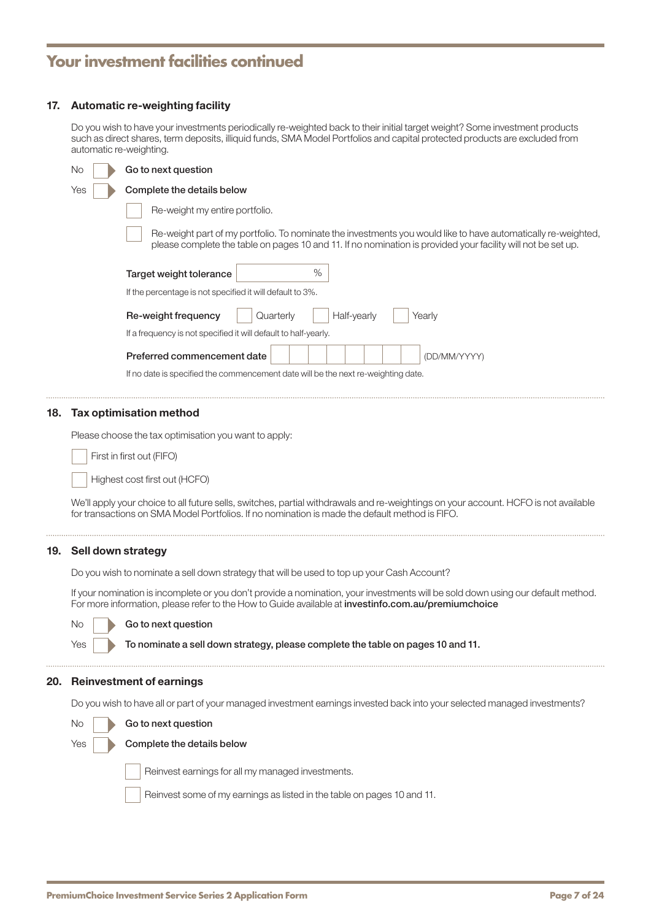## **Your investment facilities continued**

#### 17. Automatic re-weighting facility

Do you wish to have your investments periodically re-weighted back to their initial target weight? Some investment products such as direct shares, term deposits, illiquid funds, SMA Model Portfolios and capital protected products are excluded from automatic re-weighting.

| No  | Go to next question                                                                                                                                                                                                           |
|-----|-------------------------------------------------------------------------------------------------------------------------------------------------------------------------------------------------------------------------------|
| Yes | Complete the details below                                                                                                                                                                                                    |
|     | Re-weight my entire portfolio.                                                                                                                                                                                                |
|     | Re-weight part of my portfolio. To nominate the investments you would like to have automatically re-weighted,<br>please complete the table on pages 10 and 11. If no nomination is provided your facility will not be set up. |
|     | %<br>Target weight tolerance                                                                                                                                                                                                  |
|     | If the percentage is not specified it will default to 3%.                                                                                                                                                                     |
|     | Half-yearly<br>Re-weight frequency<br>Quarterly<br>Yearly                                                                                                                                                                     |
|     | If a frequency is not specified it will default to half-yearly.                                                                                                                                                               |
|     | Preferred commencement date<br>(DD/MM/YYYY)                                                                                                                                                                                   |
|     | If no date is specified the commencement date will be the next re-weighting date.                                                                                                                                             |

#### 18. Tax optimisation method

Please choose the tax optimisation you want to apply:

 $\overline{\phantom{a}}$ First in first out (FIFO)

 $\overline{\phantom{a}}$ Highest cost first out (HCFO)

We'll apply your choice to all future sells, switches, partial withdrawals and re-weightings on your account. HCFO is not available for transactions on SMA Model Portfolios. If no nomination is made the default method is FIFO.

#### 19. Sell down strategy

Do you wish to nominate a sell down strategy that will be used to top up your Cash Account?

If your nomination is incomplete or you don't provide a nomination, your investments will be sold down using our default method. For more information, please refer to the How to Guide available at [investinfo.com.au/premiumchoice](https://www.investinfo.com.au/site/cms/premium-choice/public/index.html)

No Go to next question

Yes **To nominate a sell down strategy, please complete the table on pages 10 and 11.** 

#### 20. Reinvestment of earnings

Do you wish to have all or part of your managed investment earnings invested back into your selected managed investments?

 $\overline{\phantom{a}}$   $\overline{\phantom{a}}$  Go to next question Yes **Complete the details below** I Reinvest earnings for all my managed investments. I Reinvest some of my earnings as listed in the table on pages 10 and 11.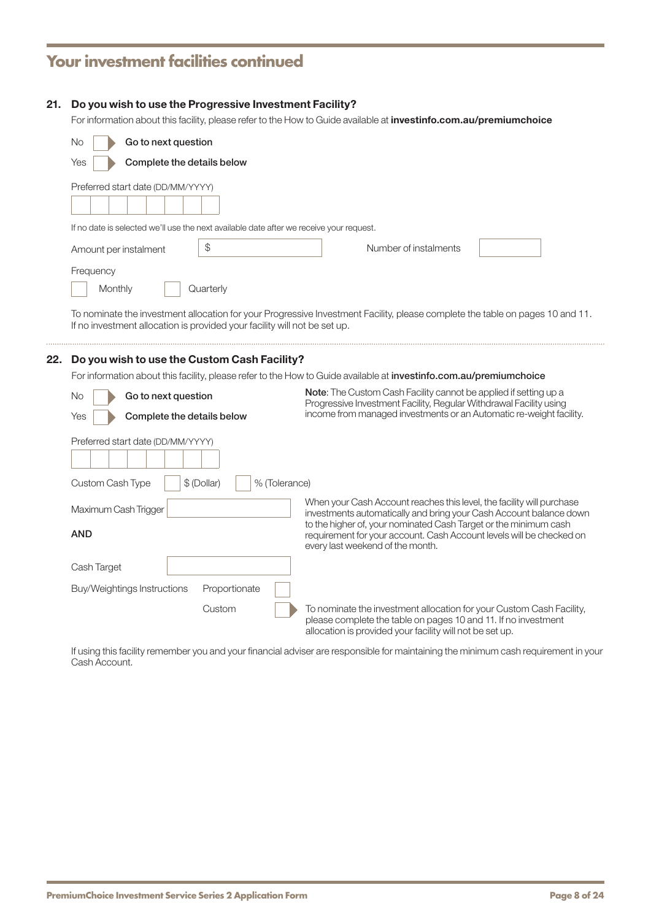## **Your investment facilities continued**

#### 21. Do you wish to use the Progressive Investment Facility?

For information about this facility, please refer to the How to Guide available at *[investinfo.com.au/premiumchoice](https://www.investinfo.com.au/premiumchoice)* 

|     | Go to next question<br>No                                                                                                                                                                        |                                                                                                                                                                                                                                                                                                                                     |
|-----|--------------------------------------------------------------------------------------------------------------------------------------------------------------------------------------------------|-------------------------------------------------------------------------------------------------------------------------------------------------------------------------------------------------------------------------------------------------------------------------------------------------------------------------------------|
|     | Complete the details below<br>Yes                                                                                                                                                                |                                                                                                                                                                                                                                                                                                                                     |
|     | Preferred start date (DD/MM/YYYY)<br>If no date is selected we'll use the next available date after we receive your request.<br>\$<br>Amount per instalment<br>Frequency<br>Monthly<br>Quarterly | Number of instalments                                                                                                                                                                                                                                                                                                               |
|     | If no investment allocation is provided your facility will not be set up.                                                                                                                        | To nominate the investment allocation for your Progressive Investment Facility, please complete the table on pages 10 and 11.                                                                                                                                                                                                       |
| 22. | Do you wish to use the Custom Cash Facility?<br>Go to next question<br>No<br>Complete the details below<br>Yes                                                                                   | For information about this facility, please refer to the How to Guide available at investinfo.com.au/premiumchoice<br>Note: The Custom Cash Facility cannot be applied if setting up a<br>Progressive Investment Facility, Regular Withdrawal Facility using<br>income from managed investments or an Automatic re-weight facility. |
|     | Preferred start date (DD/MM/YYYY)<br>\$ (Dollar)<br>% (Tolerance)<br>Custom Cash Type<br>Maximum Cash Trigger<br><b>AND</b>                                                                      | When your Cash Account reaches this level, the facility will purchase<br>investments automatically and bring your Cash Account balance down<br>to the higher of, your nominated Cash Target or the minimum cash<br>requirement for your account. Cash Account levels will be checked on<br>every last weekend of the month.         |
|     | Cash Target<br><b>Buy/Weightings Instructions</b><br>Proportionate                                                                                                                               |                                                                                                                                                                                                                                                                                                                                     |
|     | Custom                                                                                                                                                                                           | To nominate the investment allocation for your Custom Cash Facility,<br>please complete the table on pages 10 and 11. If no investment                                                                                                                                                                                              |

If using this facility remember you and your financial adviser are responsible for maintaining the minimum cash requirement in your Cash Account.

allocation is provided your facility will not be set up.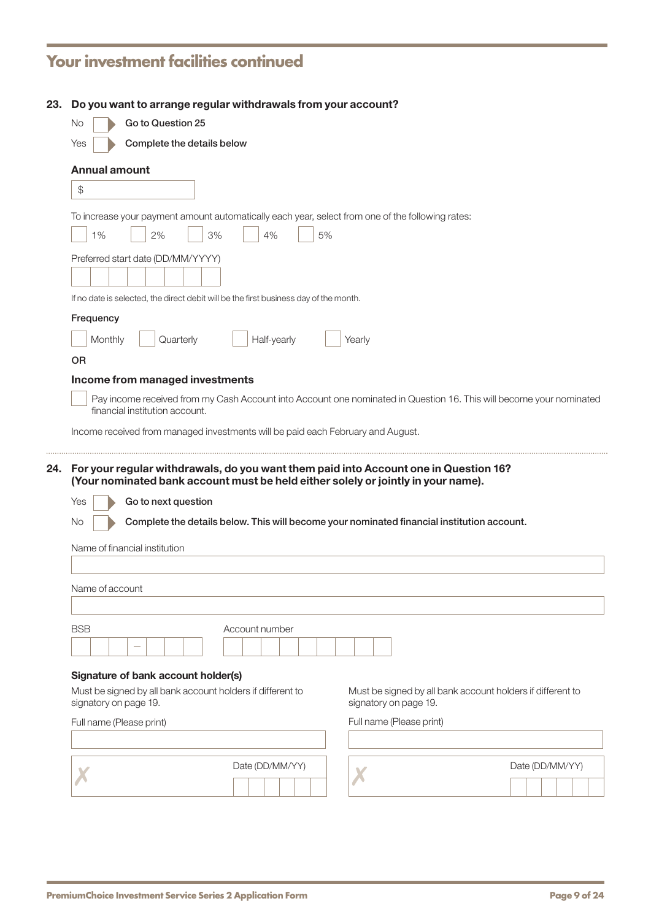# **Your investment facilities continued**

| Do you want to arrange regular withdrawals from your account?<br>23.                                                                                                           |                                                                                                                     |
|--------------------------------------------------------------------------------------------------------------------------------------------------------------------------------|---------------------------------------------------------------------------------------------------------------------|
| Go to Question 25<br>No                                                                                                                                                        |                                                                                                                     |
| Complete the details below<br>Yes                                                                                                                                              |                                                                                                                     |
| <b>Annual amount</b>                                                                                                                                                           |                                                                                                                     |
| \$                                                                                                                                                                             |                                                                                                                     |
| To increase your payment amount automatically each year, select from one of the following rates:                                                                               |                                                                                                                     |
| 1%<br>2%<br>3%<br>4%                                                                                                                                                           | 5%                                                                                                                  |
| Preferred start date (DD/MM/YYYY)                                                                                                                                              |                                                                                                                     |
| If no date is selected, the direct debit will be the first business day of the month.                                                                                          |                                                                                                                     |
| Frequency                                                                                                                                                                      |                                                                                                                     |
| Monthly<br>Quarterly<br>Half-yearly                                                                                                                                            | Yearly                                                                                                              |
| <b>OR</b>                                                                                                                                                                      |                                                                                                                     |
| Income from managed investments                                                                                                                                                |                                                                                                                     |
|                                                                                                                                                                                | Pay income received from my Cash Account into Account one nominated in Question 16. This will become your nominated |
| financial institution account.                                                                                                                                                 |                                                                                                                     |
|                                                                                                                                                                                |                                                                                                                     |
| Income received from managed investments will be paid each February and August.<br>For your regular withdrawals, do you want them paid into Account one in Question 16?<br>24. |                                                                                                                     |
| (Your nominated bank account must be held either solely or jointly in your name).<br>Yes<br>Go to next question<br>No<br>Name of financial institution                         | Complete the details below. This will become your nominated financial institution account.                          |
|                                                                                                                                                                                |                                                                                                                     |
| Name of account                                                                                                                                                                |                                                                                                                     |
|                                                                                                                                                                                |                                                                                                                     |
| <b>BSB</b><br>Account number                                                                                                                                                   |                                                                                                                     |
|                                                                                                                                                                                |                                                                                                                     |
|                                                                                                                                                                                |                                                                                                                     |
| Signature of bank account holder(s)<br>Must be signed by all bank account holders if different to<br>signatory on page 19.                                                     | Must be signed by all bank account holders if different to<br>signatory on page 19.                                 |
| Full name (Please print)                                                                                                                                                       | Full name (Please print)                                                                                            |
|                                                                                                                                                                                |                                                                                                                     |
| Date (DD/MM/YY)                                                                                                                                                                | Date (DD/MM/YY)                                                                                                     |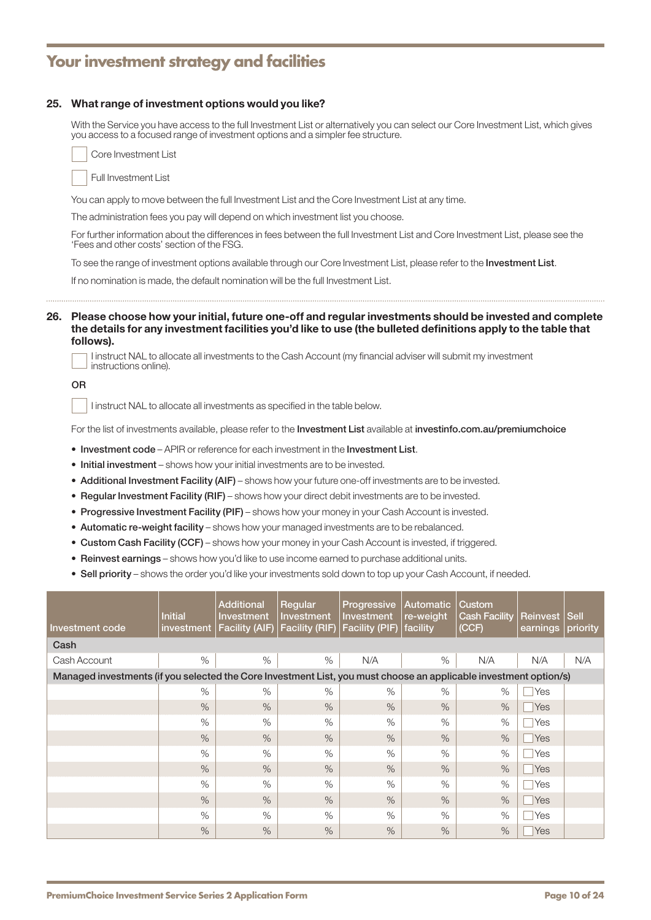## **Your investment strategy and facilities**

#### 25. What range of investment options would you like?

With the Service you have access to the full Investment List or alternatively you can select our Core Investment List, which gives you access to a focused range of investment options and a simpler fee structure.

 $\overline{\phantom{a}}$ Core Investment List

Full Investment List

 $\overline{\phantom{a}}$ 

You can apply to move between the full Investment List and the Core Investment List at any time.

The administration fees you pay will depend on which investment list you choose.

For further information about the differences in fees between the full Investment List and Core Investment List, please see the 'Fees and other costs' section of the FSG.

To see the range of investment options available through our Core Investment List, please refer to the Investment List.

If no nomination is made, the default nomination will be the full Investment List.

26. Please choose how your initial, future one-off and regular investments should be invested and complete the details for any investment facilities you'd like to use (the bulleted definitions apply to the table that follows).

 instructions online). I instruct NAL to allocate all investments to the Cash Account (my financial adviser will submit my investment

OR

I instruct NAL to allocate all investments as specified in the table below.

For the list of investments available, please refer to the Investment List available at [investinfo.com.au/premiumchoice](https://www.investinfo.com.au/site/cms/premium-choice/public/index.html)

- Investment code APIR or reference for each investment in the Investment List.
- Initial investment shows how your initial investments are to be invested.
- Additional Investment Facility (AIF) shows how your future one-off investments are to be invested.
- Regular Investment Facility (RIF) shows how your direct debit investments are to be invested.
- Progressive Investment Facility (PIF) shows how your money in your Cash Account is invested.
- Automatic re-weight facility shows how your managed investments are to be rebalanced.
- Custom Cash Facility (CCF) shows how your money in your Cash Account is invested, if triggered.
- Reinvest earnings shows how you'd like to use income earned to purchase additional units.
- Sell priority shows the order you'd like your investments sold down to top up your Cash Account, if needed.

| <b>Investment code</b>                                                                                            | <b>Initial</b><br>investment | <b>Additional</b><br><b>Investment</b><br><b>Facility (AIF)</b> | Regular<br><b>Investment</b><br><b>Facility (RIF)</b> | Progressive<br><b>Investment</b><br><b>Facility (PIF)</b> | <b>Automatic</b><br>re-weight<br>facility | Custom<br><b>Cash Facility</b><br>(CCF) | <b>Reinvest</b><br>earnings | <b>Sell</b><br>priority |
|-------------------------------------------------------------------------------------------------------------------|------------------------------|-----------------------------------------------------------------|-------------------------------------------------------|-----------------------------------------------------------|-------------------------------------------|-----------------------------------------|-----------------------------|-------------------------|
| Cash                                                                                                              |                              |                                                                 |                                                       |                                                           |                                           |                                         |                             |                         |
| Cash Account                                                                                                      | $\%$                         | $\%$                                                            | $\%$                                                  | N/A                                                       | $\%$                                      | N/A                                     | N/A                         | N/A                     |
| Managed investments (if you selected the Core Investment List, you must choose an applicable investment option/s) |                              |                                                                 |                                                       |                                                           |                                           |                                         |                             |                         |
|                                                                                                                   | $\%$                         | $\%$                                                            | $\%$                                                  | $\%$                                                      | $\%$                                      | $\%$                                    | Yes                         |                         |
|                                                                                                                   | $\%$                         | $\%$                                                            | $\%$                                                  | $\%$                                                      | $\%$                                      | $\%$                                    | <b>Yes</b>                  |                         |
|                                                                                                                   | $\%$                         | $\%$                                                            | $\%$                                                  | $\%$                                                      | $\%$                                      | $\%$                                    | Yes                         |                         |
|                                                                                                                   | $\%$                         | $\%$                                                            | $\%$                                                  | $\%$                                                      | $\%$                                      | $\%$                                    | <b>Yes</b>                  |                         |
|                                                                                                                   | $\%$                         | $\%$                                                            | $\%$                                                  | $\%$                                                      | $\%$                                      | $\%$                                    | Yes                         |                         |
|                                                                                                                   | $\%$                         | $\%$                                                            | $\%$                                                  | $\%$                                                      | $\%$                                      | $\%$                                    | <b>Yes</b>                  |                         |
|                                                                                                                   | $\%$                         | $\%$                                                            | $\%$                                                  | $\%$                                                      | $\%$                                      | $\%$                                    | Yes                         |                         |
|                                                                                                                   | $\%$                         | $\%$                                                            | $\%$                                                  | $\%$                                                      | $\%$                                      | $\%$                                    | <b>Yes</b>                  |                         |
|                                                                                                                   | $\%$                         | $\%$                                                            | $\%$                                                  | $\%$                                                      | $\%$                                      | $\%$                                    | Yes                         |                         |
|                                                                                                                   | $\%$                         | $\%$                                                            | $\%$                                                  | $\%$                                                      | $\%$                                      | $\%$                                    | Yes                         |                         |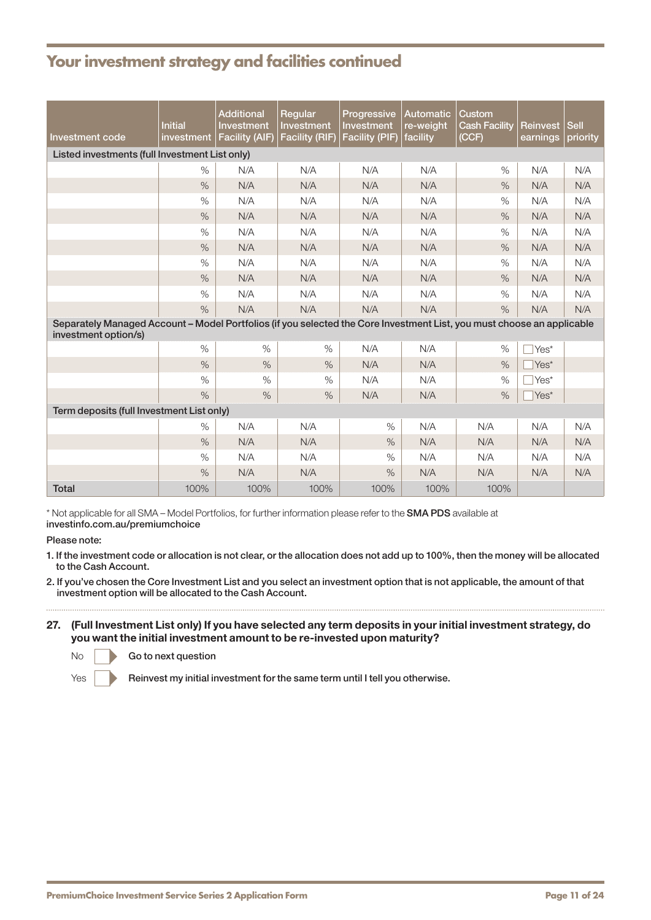## **Your investment strategy and facilities continued**

| <b>Investment code</b>                                                                                                                         | <b>Initial</b> | <b>Additional</b><br>Investment<br>investment   Facility (AIF) | Regular<br><b>Investment</b><br><b>Facility (RIF)</b> | Progressive<br>Investment<br><b>Facility (PIF)</b> | <b>Automatic</b><br>re-weight<br>facility | Custom<br><b>Cash Facility</b><br>(CCF) | <b>Reinvest</b><br>earnings | <b>Sell</b><br>priority |
|------------------------------------------------------------------------------------------------------------------------------------------------|----------------|----------------------------------------------------------------|-------------------------------------------------------|----------------------------------------------------|-------------------------------------------|-----------------------------------------|-----------------------------|-------------------------|
| Listed investments (full Investment List only)                                                                                                 |                |                                                                |                                                       |                                                    |                                           |                                         |                             |                         |
|                                                                                                                                                | $\%$           | N/A                                                            | N/A                                                   | N/A                                                | N/A                                       | $\%$                                    | N/A                         | N/A                     |
|                                                                                                                                                | $\%$           | N/A                                                            | N/A                                                   | N/A                                                | N/A                                       | $\%$                                    | N/A                         | N/A                     |
|                                                                                                                                                | $\%$           | N/A                                                            | N/A                                                   | N/A                                                | N/A                                       | $\%$                                    | N/A                         | N/A                     |
|                                                                                                                                                | $\%$           | N/A                                                            | N/A                                                   | N/A                                                | N/A                                       | $\%$                                    | N/A                         | N/A                     |
|                                                                                                                                                | $\%$           | N/A                                                            | N/A                                                   | N/A                                                | N/A                                       | $\%$                                    | N/A                         | N/A                     |
|                                                                                                                                                | $\%$           | N/A                                                            | N/A                                                   | N/A                                                | N/A                                       | $\%$                                    | N/A                         | N/A                     |
|                                                                                                                                                | $\%$           | N/A                                                            | N/A                                                   | N/A                                                | N/A                                       | $\%$                                    | N/A                         | N/A                     |
|                                                                                                                                                | $\%$           | N/A                                                            | N/A                                                   | N/A                                                | N/A                                       | $\%$                                    | N/A                         | N/A                     |
|                                                                                                                                                | $\%$           | N/A                                                            | N/A                                                   | N/A                                                | N/A                                       | $\%$                                    | N/A                         | N/A                     |
|                                                                                                                                                | %              | N/A                                                            | N/A                                                   | N/A                                                | N/A                                       | %                                       | N/A                         | N/A                     |
| Separately Managed Account - Model Portfolios (if you selected the Core Investment List, you must choose an applicable<br>investment option/s) |                |                                                                |                                                       |                                                    |                                           |                                         |                             |                         |
|                                                                                                                                                | $\%$           | $\%$                                                           | $\%$                                                  | N/A                                                | N/A                                       | %                                       | Yes*                        |                         |
|                                                                                                                                                | $\%$           | $\%$                                                           | $\%$                                                  | N/A                                                | N/A                                       | $\%$                                    | Yes <sup>*</sup>            |                         |
|                                                                                                                                                | $\%$           | $\%$                                                           | $\%$                                                  | N/A                                                | N/A                                       | $\%$                                    | Yes*                        |                         |
|                                                                                                                                                | $\%$           | %                                                              | $\%$                                                  | N/A                                                | N/A                                       | $\%$                                    | Yes*                        |                         |
| Term deposits (full Investment List only)                                                                                                      |                |                                                                |                                                       |                                                    |                                           |                                         |                             |                         |
|                                                                                                                                                | $\%$           | N/A                                                            | N/A                                                   | $\%$                                               | N/A                                       | N/A                                     | N/A                         | N/A                     |
|                                                                                                                                                | $\frac{0}{0}$  | N/A                                                            | N/A                                                   | $\%$                                               | N/A                                       | N/A                                     | N/A                         | N/A                     |
|                                                                                                                                                | $\%$           | N/A                                                            | N/A                                                   | %                                                  | N/A                                       | N/A                                     | N/A                         | N/A                     |
|                                                                                                                                                | $\%$           | N/A                                                            | N/A                                                   | $\%$                                               | N/A                                       | N/A                                     | N/A                         | N/A                     |
| <b>Total</b>                                                                                                                                   | 100%           | 100%                                                           | 100%                                                  | 100%                                               | 100%                                      | 100%                                    |                             |                         |

\* Not applicable for all SMA – Model Portfolios, for further information please refer to the SMA PDS available at [investinfo.com.au/premiumchoice](https://www.investinfo.com.au/premiumchoice)

Please note:

1. If the investment code or allocation is not clear, or the allocation does not add up to 100%, then the money will be allocated to the Cash Account.

2. If you've chosen the Core Investment List and you select an investment option that is not applicable, the amount of that investment option will be allocated to the Cash Account.

27. (Full Investment List only) If you have selected any term deposits in your initial investment strategy, do you want the initial investment amount to be re-invested upon maturity?

No Go to next question

 $Yes$  Reinvest my initial investment for the same term until I tell you otherwise.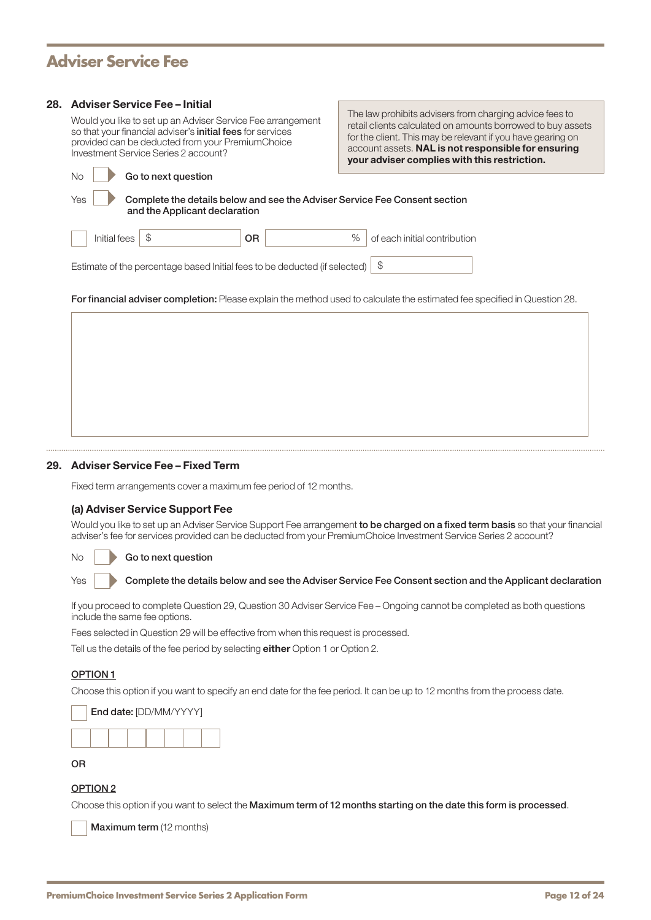## **Adviser Service Fee**

| 28. |           |              | <b>Adviser Service Fee - Initial</b>                                                                                                                                                                                  |    |      |                                                                                                                                                                                                                                                                                              |
|-----|-----------|--------------|-----------------------------------------------------------------------------------------------------------------------------------------------------------------------------------------------------------------------|----|------|----------------------------------------------------------------------------------------------------------------------------------------------------------------------------------------------------------------------------------------------------------------------------------------------|
|     |           |              | Would you like to set up an Adviser Service Fee arrangement<br>so that your financial adviser's initial fees for services<br>provided can be deducted from your PremiumChoice<br>Investment Service Series 2 account? |    |      | The law prohibits advisers from charging advice fees to<br>retail clients calculated on amounts borrowed to buy assets<br>for the client. This may be relevant if you have gearing on<br>account assets. NAL is not responsible for ensuring<br>your adviser complies with this restriction. |
|     | <b>No</b> |              | Go to next question                                                                                                                                                                                                   |    |      |                                                                                                                                                                                                                                                                                              |
|     | Yes       |              | Complete the details below and see the Adviser Service Fee Consent section<br>and the Applicant declaration                                                                                                           |    |      |                                                                                                                                                                                                                                                                                              |
|     |           | Initial fees | S                                                                                                                                                                                                                     | 0R | $\%$ | of each initial contribution                                                                                                                                                                                                                                                                 |
|     |           |              | Estimate of the percentage based Initial fees to be deducted (if selected)                                                                                                                                            |    |      | -\$                                                                                                                                                                                                                                                                                          |
|     |           |              |                                                                                                                                                                                                                       |    |      | <b>For financial adviser completion:</b> Please explain the method used to calculate the estimated fee specified in Question 28.                                                                                                                                                             |
|     |           |              |                                                                                                                                                                                                                       |    |      |                                                                                                                                                                                                                                                                                              |

### 29. Adviser Service Fee – Fixed Term

Fixed term arrangements cover a maximum fee period of 12 months.

### (a) Adviser Service Support Fee

Would you like to set up an Adviser Service Support Fee arrangement to be charged on a fixed term basis so that your financial adviser's fee for services provided can be deducted from your PremiumChoice Investment Service Series 2 account?

 $\sim$  Go to next question

Yes Complete the details below and see the Adviser Service Fee Consent section and the Applicant declaration

If you proceed to complete Question 29, Question 30 Adviser Service Fee – Ongoing cannot be completed as both questions include the same fee options.

Fees selected in Question 29 will be effective from when this request is processed.

Tell us the details of the fee period by selecting **either** Option 1 or Option 2.

## OPTION 1

Choose this option if you want to specify an end date for the fee period. It can be up to 12 months from the process date.





#### OR

#### OPTION 2

Choose this option if you want to select the Maximum term of 12 months starting on the date this form is processed.

Maximum term (12 months)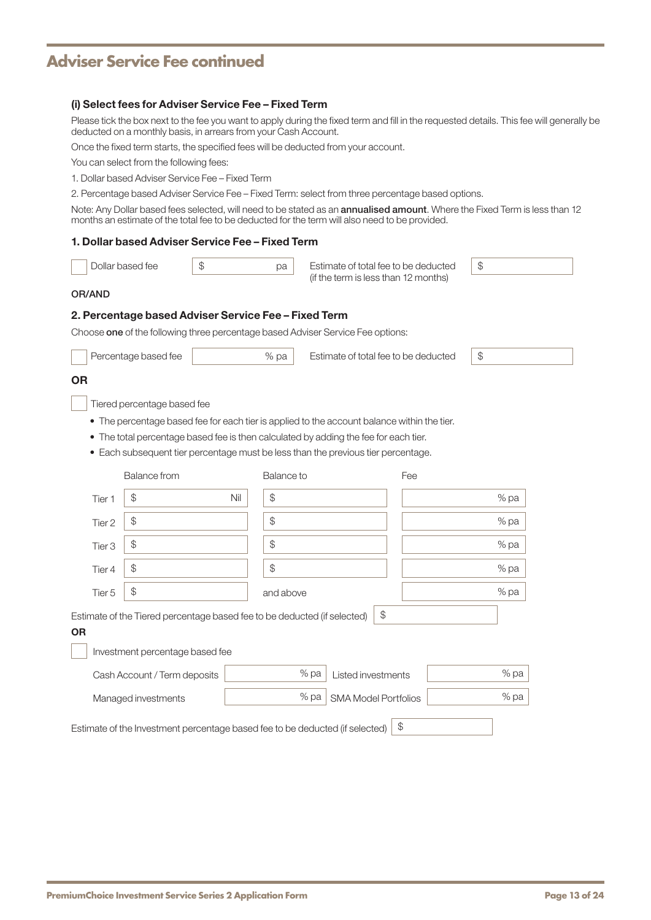(i) Select fees for Adviser Service Fee – Fixed Term

| Please tick the box next to the fee you want to apply during the fixed term and fill in the requested details. This fee will generally be<br>deducted on a monthly basis, in arrears from your Cash Account.                 |                                                                                    |                                               |                                                                              |     |                                               |  |
|------------------------------------------------------------------------------------------------------------------------------------------------------------------------------------------------------------------------------|------------------------------------------------------------------------------------|-----------------------------------------------|------------------------------------------------------------------------------|-----|-----------------------------------------------|--|
|                                                                                                                                                                                                                              | Once the fixed term starts, the specified fees will be deducted from your account. |                                               |                                                                              |     |                                               |  |
| You can select from the following fees:                                                                                                                                                                                      |                                                                                    |                                               |                                                                              |     |                                               |  |
| 1. Dollar based Adviser Service Fee - Fixed Term                                                                                                                                                                             |                                                                                    |                                               |                                                                              |     |                                               |  |
| 2. Percentage based Adviser Service Fee - Fixed Term: select from three percentage based options.                                                                                                                            |                                                                                    |                                               |                                                                              |     |                                               |  |
| Note: Any Dollar based fees selected, will need to be stated as an annualised amount. Where the Fixed Term is less than 12<br>months an estimate of the total fee to be deducted for the term will also need to be provided. |                                                                                    |                                               |                                                                              |     |                                               |  |
| 1. Dollar based Adviser Service Fee - Fixed Term                                                                                                                                                                             |                                                                                    |                                               |                                                                              |     |                                               |  |
| Dollar based fee<br>\$                                                                                                                                                                                                       |                                                                                    | рa                                            | Estimate of total fee to be deducted<br>(if the term is less than 12 months) |     | $\, \, \raisebox{12pt}{$\scriptstyle \circ$}$ |  |
| OR/AND                                                                                                                                                                                                                       |                                                                                    |                                               |                                                                              |     |                                               |  |
| 2. Percentage based Adviser Service Fee - Fixed Term                                                                                                                                                                         |                                                                                    |                                               |                                                                              |     |                                               |  |
| Choose one of the following three percentage based Adviser Service Fee options:                                                                                                                                              |                                                                                    |                                               |                                                                              |     |                                               |  |
| Percentage based fee                                                                                                                                                                                                         |                                                                                    | % pa                                          | Estimate of total fee to be deducted                                         |     | $$\mathbb{S}$$                                |  |
| <b>OR</b>                                                                                                                                                                                                                    |                                                                                    |                                               |                                                                              |     |                                               |  |
| Tiered percentage based fee                                                                                                                                                                                                  |                                                                                    |                                               |                                                                              |     |                                               |  |
| • The percentage based fee for each tier is applied to the account balance within the tier.                                                                                                                                  |                                                                                    |                                               |                                                                              |     |                                               |  |
| • The total percentage based fee is then calculated by adding the fee for each tier.                                                                                                                                         |                                                                                    |                                               |                                                                              |     |                                               |  |
| • Each subsequent tier percentage must be less than the previous tier percentage.                                                                                                                                            |                                                                                    |                                               |                                                                              |     |                                               |  |
| <b>Balance from</b>                                                                                                                                                                                                          |                                                                                    | Balance to                                    |                                                                              | Fee |                                               |  |
| \$<br>Tier 1                                                                                                                                                                                                                 | Nil                                                                                | \$                                            |                                                                              |     | % pa                                          |  |
| \$<br>Tier <sub>2</sub>                                                                                                                                                                                                      |                                                                                    | \$                                            |                                                                              |     | % pa                                          |  |
| \$<br>Tier <sub>3</sub>                                                                                                                                                                                                      |                                                                                    | $\, \, \raisebox{12pt}{$\scriptstyle \circ$}$ |                                                                              |     | % pa                                          |  |
| \$<br>Tier 4                                                                                                                                                                                                                 |                                                                                    | \$                                            |                                                                              |     | % pa                                          |  |
| \$<br>Tier 5                                                                                                                                                                                                                 |                                                                                    | and above                                     |                                                                              |     | % pa                                          |  |
| Estimate of the Tiered percentage based fee to be deducted (if selected)                                                                                                                                                     |                                                                                    |                                               | $\frac{1}{2}$                                                                |     |                                               |  |
| OR                                                                                                                                                                                                                           |                                                                                    |                                               |                                                                              |     |                                               |  |
| Investment percentage based fee                                                                                                                                                                                              |                                                                                    |                                               |                                                                              |     |                                               |  |
| Cash Account / Term deposits                                                                                                                                                                                                 |                                                                                    | % pa                                          | Listed investments                                                           |     | % pa                                          |  |
| Managed investments                                                                                                                                                                                                          |                                                                                    | % pa                                          | <b>SMA Model Portfolios</b>                                                  |     | % pa                                          |  |
| Estimate of the Investment percentage based fee to be deducted (if selected)                                                                                                                                                 |                                                                                    |                                               |                                                                              | \$  |                                               |  |
|                                                                                                                                                                                                                              |                                                                                    |                                               |                                                                              |     |                                               |  |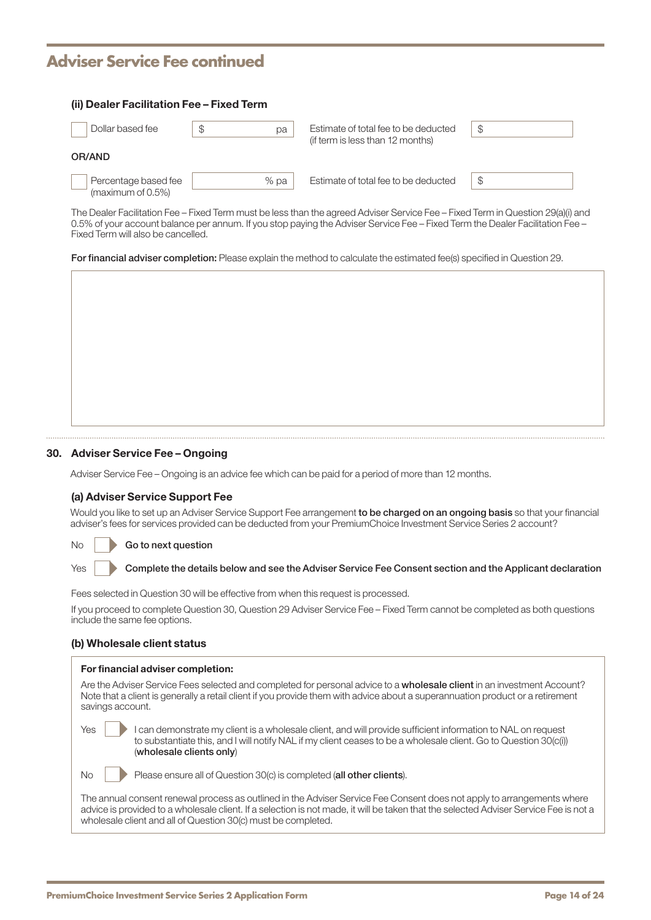| (ii) Dealer Facilitation Fee - Fixed Term |        |    |                                                                          |    |
|-------------------------------------------|--------|----|--------------------------------------------------------------------------|----|
| Dollar based fee                          | S      | рa | Estimate of total fee to be deducted<br>(if term is less than 12 months) | S  |
| OR/AND                                    |        |    |                                                                          |    |
| Percentage based fee<br>(maximum of 0.5%) | $%$ pa |    | Estimate of total fee to be deducted                                     | \$ |

The Dealer Facilitation Fee – Fixed Term must be less than the agreed Adviser Service Fee – Fixed Term in Question 29(a)(i) and 0.5% of your account balance per annum. If you stop paying the Adviser Service Fee – Fixed Term the Dealer Facilitation Fee – Fixed Term will also be cancelled.

For financial adviser completion: Please explain the method to calculate the estimated fee(s) specified in Question 29.



#### 30. Adviser Service Fee – Ongoing

Adviser Service Fee – Ongoing is an advice fee which can be paid for a period of more than 12 months.

#### (a) Adviser Service Support Fee

Would you like to set up an Adviser Service Support Fee arrangement to be charged on an ongoing basis so that your financial adviser's fees for services provided can be deducted from your PremiumChoice Investment Service Series 2 account?

No Go to next question

| Yes | Complete the details below and see the Adviser Service Fee Consent section and the Applicant declaration |
|-----|----------------------------------------------------------------------------------------------------------|
|     |                                                                                                          |

Fees selected in Question 30 will be effective from when this request is processed.

If you proceed to complete Question 30, Question 29 Adviser Service Fee – Fixed Term cannot be completed as both questions include the same fee options.

#### (b) Wholesale client status

| For financial adviser completion:                                                                                                                                                                                                                                                                                                |
|----------------------------------------------------------------------------------------------------------------------------------------------------------------------------------------------------------------------------------------------------------------------------------------------------------------------------------|
| Are the Adviser Service Fees selected and completed for personal advice to a wholesale client in an investment Account?<br>Note that a client is generally a retail client if you provide them with advice about a superannuation product or a retirement<br>savings account.                                                    |
| can demonstrate my client is a wholesale client, and will provide sufficient information to NAL on request<br>Yes<br>to substantiate this, and I will notify NAL if my client ceases to be a wholesale client. Go to Question 30(c(i))<br>(wholesale clients only)                                                               |
| Please ensure all of Question 30(c) is completed (all other clients).<br>No                                                                                                                                                                                                                                                      |
| The annual consent renewal process as outlined in the Adviser Service Fee Consent does not apply to arrangements where<br>advice is provided to a wholesale client. If a selection is not made, it will be taken that the selected Adviser Service Fee is not a<br>wholesale client and all of Question 30(c) must be completed. |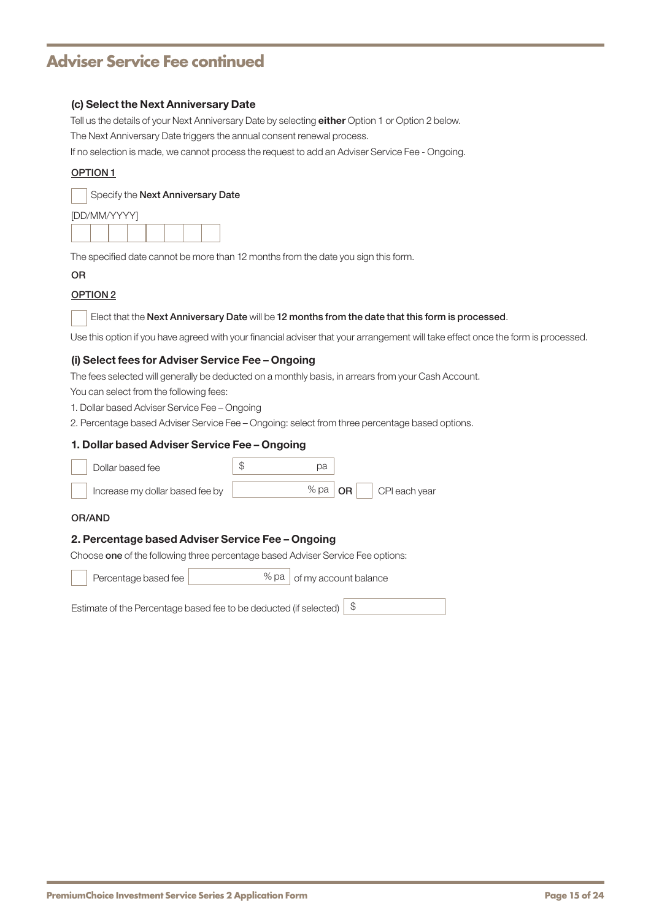#### (c) Select the Next Anniversary Date

Tell us the details of your Next Anniversary Date by selecting either Option 1 or Option 2 below. The Next Anniversary Date triggers the annual consent renewal process.

If no selection is made, we cannot process the request to add an Adviser Service Fee - Ongoing.

#### OPTION 1

|  | Specify the Next Anniversary Date |
|--|-----------------------------------|
|--|-----------------------------------|

| [DD/MM/YYYY] |  |  |  |  |  |  |  |  |
|--------------|--|--|--|--|--|--|--|--|
|              |  |  |  |  |  |  |  |  |

The specified date cannot be more than 12 months from the date you sign this form.

#### OR

### OPTION 2

#### Elect that the Next Anniversary Date will be 12 months from the date that this form is processed.

Use this option if you have agreed with your financial adviser that your arrangement will take effect once the form is processed.

#### (i) Select fees for Adviser Service Fee – Ongoing

The fees selected will generally be deducted on a monthly basis, in arrears from your Cash Account.

You can select from the following fees:

1. Dollar based Adviser Service Fee – Ongoing

2. Percentage based Adviser Service Fee – Ongoing: select from three percentage based options.

#### 1. Dollar based Adviser Service Fee – Ongoing

| Dollar based fee                | pа |             |                       |
|---------------------------------|----|-------------|-----------------------|
| Increase my dollar based fee by |    | % pa $ OR $ | $\vert$ CPI each year |

#### OR/AND

#### 2. Percentage based Adviser Service Fee – Ongoing

Choose one of the following three percentage based Adviser Service Fee options:

Percentage based fee  $\vert$  % pa  $\vert$  of my account balance

Estimate of the Percentage based fee to be deducted (if selected) | \$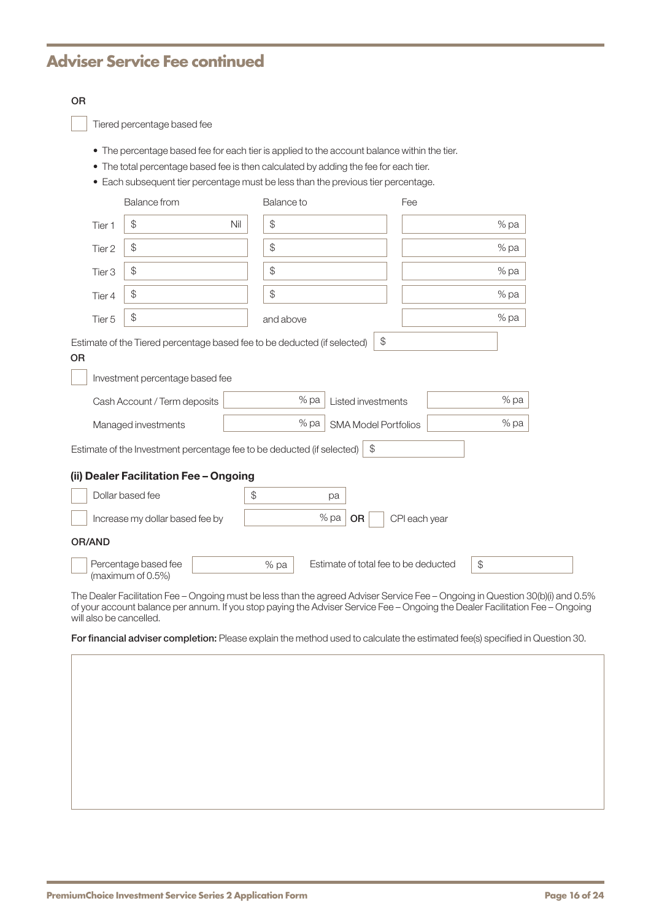### OR

Tiered percentage based fee

- The percentage based fee for each tier is applied to the account balance within the tier.
- The total percentage based fee is then calculated by adding the fee for each tier.
- Each subsequent tier percentage must be less than the previous tier percentage.

|                   | <b>Balance from</b>                                                                                         | Balance to                                    |      |    |                             | Fee |  |      |
|-------------------|-------------------------------------------------------------------------------------------------------------|-----------------------------------------------|------|----|-----------------------------|-----|--|------|
| Tier 1            | \$                                                                                                          | $\mathcal{L}$<br>Nil                          |      |    |                             |     |  | % pa |
| Tier <sub>2</sub> | \$                                                                                                          | $\mathcal{L}$                                 |      |    |                             |     |  | % pa |
| Tier <sub>3</sub> | $\mathcal{L}$                                                                                               | $\, \, \raisebox{12pt}{$\scriptstyle \circ$}$ |      |    |                             |     |  | % pa |
| Tier 4            | \$                                                                                                          | $\mathcal{L}$                                 |      |    |                             |     |  | % pa |
| Tier 5            | $\mathcal{L}$                                                                                               | and above                                     |      |    |                             |     |  | % pa |
| <b>OR</b>         | Estimate of the Tiered percentage based fee to be deducted (if selected)<br>Investment percentage based fee |                                               |      |    | $\frac{1}{2}$               |     |  |      |
|                   | Cash Account / Term deposits                                                                                |                                               | % pa |    | Listed investments          |     |  | % pa |
|                   | Managed investments                                                                                         |                                               | % pa |    | <b>SMA Model Portfolios</b> |     |  | % pa |
|                   | Estimate of the Investment percentage fee to be deducted (if selected)                                      |                                               |      |    | $\mathcal{L}$               |     |  |      |
|                   | (ii) Dealer Facilitation Fee - Ongoing                                                                      |                                               |      |    |                             |     |  |      |
|                   | Dollar based fee                                                                                            | $\mathcal{L}$                                 |      | pa |                             |     |  |      |
|                   | % pa<br>CPI each year<br>Increase my dollar based fee by<br><b>OR</b>                                       |                                               |      |    |                             |     |  |      |
| OR/AND            |                                                                                                             |                                               |      |    |                             |     |  |      |
|                   | $\frac{1}{2}$<br>Estimate of total fee to be deducted<br>Percentage based fee<br>% pa<br>(maximum of 0.5%)  |                                               |      |    |                             |     |  |      |

The Dealer Facilitation Fee – Ongoing must be less than the agreed Adviser Service Fee – Ongoing in Question 30(b)(i) and 0.5% of your account balance per annum. If you stop paying the Adviser Service Fee – Ongoing the Dealer Facilitation Fee – Ongoing will also be cancelled.

For financial adviser completion: Please explain the method used to calculate the estimated fee(s) specified in Question 30.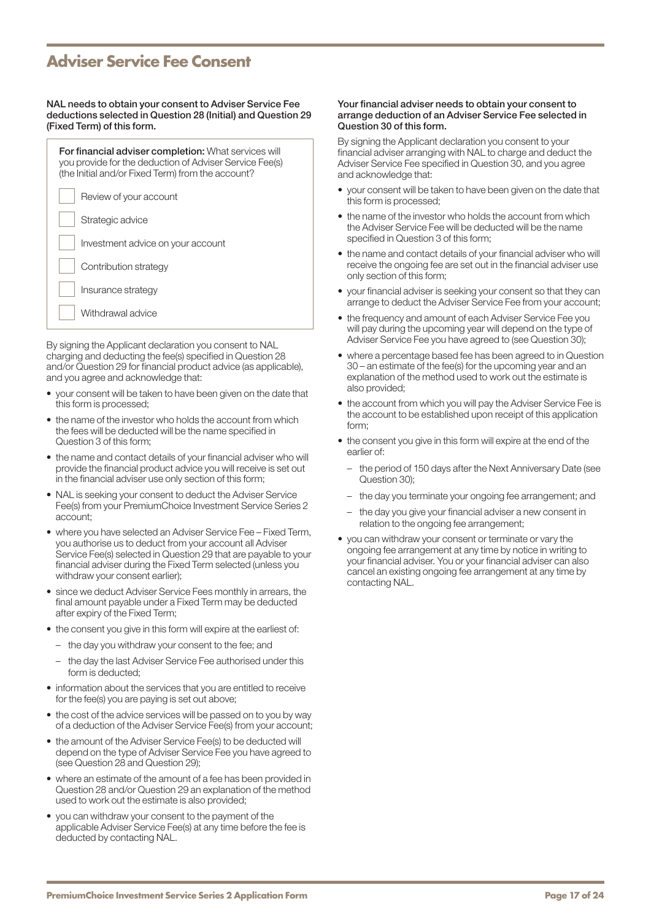## **Adviser Service Fee Consent**

#### NAL needs to obtain your consent to Adviser Service Fee deductions selected in Question 28 (Initial) and Question 29 (Fixed Term) of this form.

| For financial adviser completion: What services will<br>you provide for the deduction of Adviser Service Fee(s)<br>(the Initial and/or Fixed Term) from the account? |  |  |  |  |
|----------------------------------------------------------------------------------------------------------------------------------------------------------------------|--|--|--|--|
| Review of your account                                                                                                                                               |  |  |  |  |
| Strategic advice                                                                                                                                                     |  |  |  |  |
| Investment advice on your account                                                                                                                                    |  |  |  |  |
| Contribution strategy                                                                                                                                                |  |  |  |  |
| Insurance strategy                                                                                                                                                   |  |  |  |  |
| Withdrawal advice                                                                                                                                                    |  |  |  |  |

By signing the Applicant declaration you consent to NAL charging and deducting the fee(s) specified in Question 28 and/or Question 29 for financial product advice (as applicable), and you agree and acknowledge that:

- your consent will be taken to have been given on the date that this form is processed;
- the name of the investor who holds the account from which the fees will be deducted will be the name specified in Question 3 of this form;
- the name and contact details of your financial adviser who will provide the financial product advice you will receive is set out in the financial adviser use only section of this form;
- NAL is seeking your consent to deduct the Adviser Service Fee(s) from your PremiumChoice Investment Service Series 2 account;
- where you have selected an Adviser Service Fee Fixed Term, you authorise us to deduct from your account all Adviser Service Fee(s) selected in Question 29 that are payable to your financial adviser during the Fixed Term selected (unless you withdraw your consent earlier);
- since we deduct Adviser Service Fees monthly in arrears, the final amount payable under a Fixed Term may be deducted after expiry of the Fixed Term;
- the consent you give in this form will expire at the earliest of:
	- the day you withdraw your consent to the fee; and
	- the day the last Adviser Service Fee authorised under this form is deducted;
- information about the services that you are entitled to receive for the fee(s) you are paying is set out above;
- the cost of the advice services will be passed on to you by way of a deduction of the Adviser Service Fee(s) from your account;
- the amount of the Adviser Service Fee(s) to be deducted will depend on the type of Adviser Service Fee you have agreed to (see Question 28 and Question 29);
- where an estimate of the amount of a fee has been provided in Question 28 and/or Question 29 an explanation of the method used to work out the estimate is also provided;
- you can withdraw your consent to the payment of the applicable Adviser Service Fee(s) at any time before the fee is deducted by contacting NAL.

#### Your financial adviser needs to obtain your consent to arrange deduction of an Adviser Service Fee selected in Question 30 of this form.

By signing the Applicant declaration you consent to your financial adviser arranging with NAL to charge and deduct the Adviser Service Fee specified in Question 30, and you agree and acknowledge that:

- your consent will be taken to have been given on the date that this form is processed;
- the name of the investor who holds the account from which the Adviser Service Fee will be deducted will be the name specified in Question 3 of this form;
- the name and contact details of your financial adviser who will receive the ongoing fee are set out in the financial adviser use only section of this form;
- your financial adviser is seeking your consent so that they can arrange to deduct the Adviser Service Fee from your account;
- the frequency and amount of each Adviser Service Fee you will pay during the upcoming year will depend on the type of Adviser Service Fee you have agreed to (see Question 30);
- where a percentage based fee has been agreed to in Question 30 – an estimate of the fee(s) for the upcoming year and an explanation of the method used to work out the estimate is also provided;
- the account from which you will pay the Adviser Service Fee is the account to be established upon receipt of this application form;
- the consent you give in this form will expire at the end of the earlier of:
	- the period of 150 days after the Next Anniversary Date (see Question 30);
	- the day you terminate your ongoing fee arrangement; and
	- the day you give your financial adviser a new consent in relation to the ongoing fee arrangement;
- you can withdraw your consent or terminate or vary the ongoing fee arrangement at any time by notice in writing to your financial adviser. You or your financial adviser can also cancel an existing ongoing fee arrangement at any time by contacting NAL.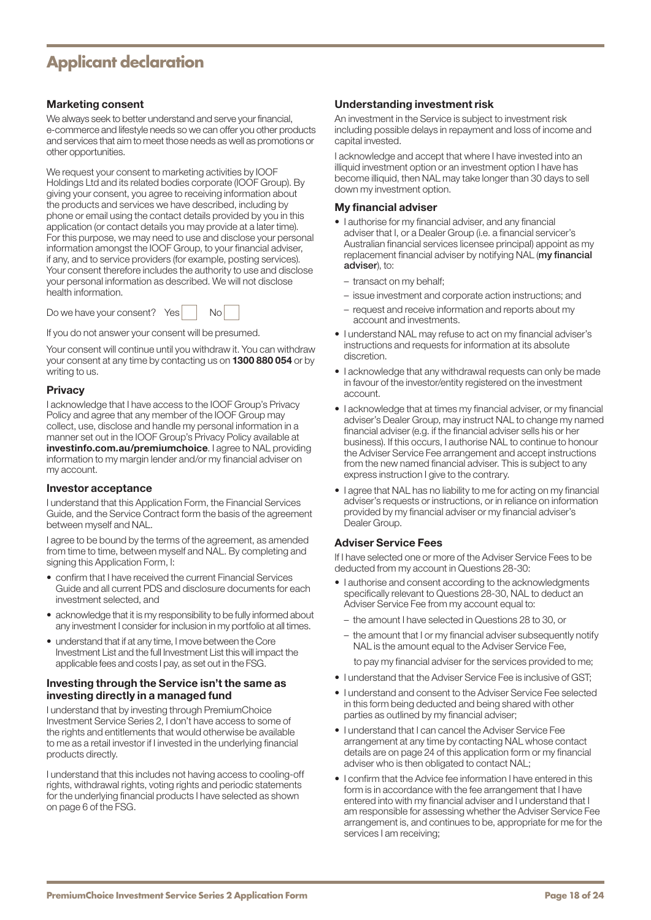## **Applicant declaration**

### Marketing consent

We always seek to better understand and serve your financial, e-commerce and lifestyle needs so we can offer you other products and services that aim to meet those needs as well as promotions or other opportunities.

We request your consent to marketing activities by IOOF Holdings Ltd and its related bodies corporate (IOOF Group). By giving your consent, you agree to receiving information about the products and services we have described, including by phone or email using the contact details provided by you in this application (or contact details you may provide at a later time). For this purpose, we may need to use and disclose your personal information amongst the IOOF Group, to your financial adviser, if any, and to service providers (for example, posting services). Your consent therefore includes the authority to use and disclose your personal information as described. We will not disclose health information.

Do we have your consent? Yes | No

If you do not answer your consent will be presumed.

Your consent will continue until you withdraw it. You can withdraw your consent at any time by contacting us on 1300 880 054 or by writing to us.

#### **Privacy**

I acknowledge that I have access to the IOOF Group's Privacy Policy and agree that any member of the IOOF Group may collect, use, disclose and handle my personal information in a manner set out in the IOOF Group's Privacy Policy available at [investinfo.com.au/premiumchoice](https://www.investinfo.com.au/site/cms/premium-choice/public/index.html). I agree to NAL providing information to my margin lender and/or my financial adviser on my account.

#### Investor acceptance

I understand that this Application Form, the Financial Services Guide, and the Service Contract form the basis of the agreement between myself and NAL.

I agree to be bound by the terms of the agreement, as amended from time to time, between myself and NAL. By completing and signing this Application Form, I:

- confirm that I have received the current Financial Services Guide and all current PDS and disclosure documents for each investment selected, and
- acknowledge that it is my responsibility to be fully informed about any investment I consider for inclusion in my portfolio at all times.
- understand that if at any time, I move between the Core Investment List and the full Investment List this will impact the applicable fees and costs I pay, as set out in the FSG.

#### Investing through the Service isn't the same as investing directly in a managed fund

I understand that by investing through PremiumChoice Investment Service Series 2, I don't have access to some of the rights and entitlements that would otherwise be available to me as a retail investor if I invested in the underlying financial products directly.

I understand that this includes not having access to cooling-off rights, withdrawal rights, voting rights and periodic statements for the underlying financial products I have selected as shown on page 6 of the FSG.

#### Understanding investment risk

An investment in the Service is subject to investment risk including possible delays in repayment and loss of income and capital invested.

I acknowledge and accept that where I have invested into an illiquid investment option or an investment option I have has become illiquid, then NAL may take longer than 30 days to sell down my investment option.

#### My financial adviser

- I authorise for my financial adviser, and any financial adviser that I, or a Dealer Group (i.e. a financial servicer's Australian financial services licensee principal) appoint as my replacement financial adviser by notifying NAL (my financial adviser), to:
	- transact on my behalf;
	- issue investment and corporate action instructions; and
	- request and receive information and reports about my account and investments.
- I understand NAL may refuse to act on my financial adviser's instructions and requests for information at its absolute discretion.
- I acknowledge that any withdrawal requests can only be made in favour of the investor/entity registered on the investment account.
- I acknowledge that at times my financial adviser, or my financial adviser's Dealer Group, may instruct NAL to change my named financial adviser (e.g. if the financial adviser sells his or her business). If this occurs, I authorise NAL to continue to honour the Adviser Service Fee arrangement and accept instructions from the new named financial adviser. This is subject to any express instruction I give to the contrary.
- I agree that NAL has no liability to me for acting on my financial adviser's requests or instructions, or in reliance on information provided by my financial adviser or my financial adviser's Dealer Group.

### Adviser Service Fees

If I have selected one or more of the Adviser Service Fees to be deducted from my account in Questions 28-30:

- I authorise and consent according to the acknowledgments specifically relevant to Questions 28-30, NAL to deduct an Adviser Service Fee from my account equal to:
	- the amount I have selected in Questions 28 to 30, or
	- the amount that I or my financial adviser subsequently notify NAL is the amount equal to the Adviser Service Fee,

to pay my financial adviser for the services provided to me;

- I understand that the Adviser Service Fee is inclusive of GST;
- I understand and consent to the Adviser Service Fee selected in this form being deducted and being shared with other parties as outlined by my financial adviser;
- I understand that I can cancel the Adviser Service Fee arrangement at any time by contacting NAL whose contact details are on page 24 of this application form or my financial adviser who is then obligated to contact NAL;
- I confirm that the Advice fee information I have entered in this form is in accordance with the fee arrangement that I have entered into with my financial adviser and I understand that I am responsible for assessing whether the Adviser Service Fee arrangement is, and continues to be, appropriate for me for the services I am receiving;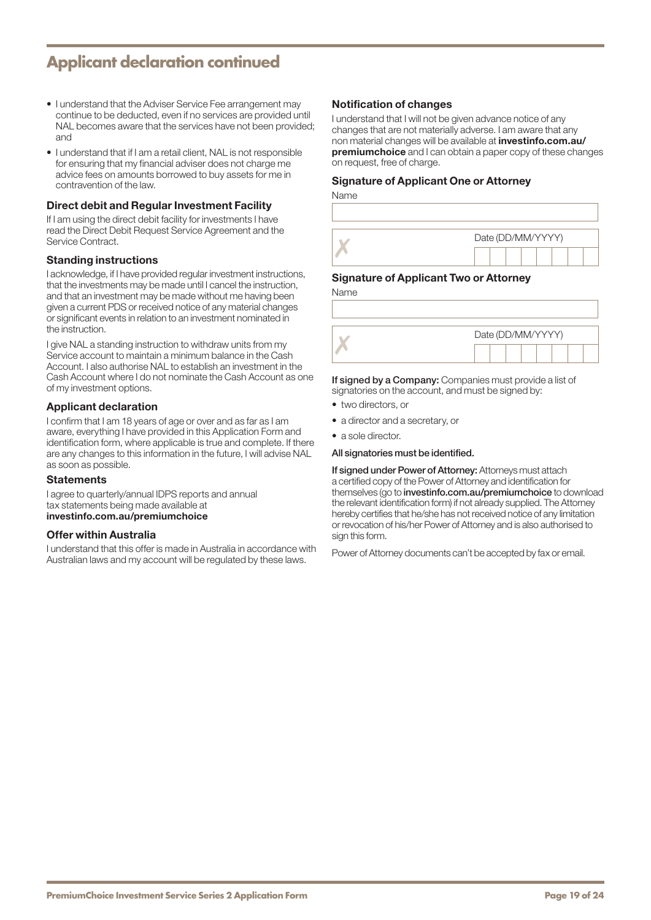## **Applicant declaration continued**

- I understand that the Adviser Service Fee arrangement may continue to be deducted, even if no services are provided until NAL becomes aware that the services have not been provided; and
- I understand that if I am a retail client. NAL is not responsible for ensuring that my financial adviser does not charge me advice fees on amounts borrowed to buy assets for me in contravention of the law.

#### Direct debit and Regular Investment Facility

If I am using the direct debit facility for investments I have read the Direct Debit Request Service Agreement and the Service Contract.

#### Standing instructions

I acknowledge, if I have provided regular investment instructions, that the investments may be made until I cancel the instruction, and that an investment may be made without me having been given a current PDS or received notice of any material changes or significant events in relation to an investment nominated in the instruction.

I give NAL a standing instruction to withdraw units from my Service account to maintain a minimum balance in the Cash Account. I also authorise NAL to establish an investment in the Cash Account where I do not nominate the Cash Account as one of my investment options.

#### Applicant declaration

I confirm that I am 18 years of age or over and as far as I am aware, everything I have provided in this Application Form and identification form, where applicable is true and complete. If there are any changes to this information in the future, I will advise NAL as soon as possible.

#### **Statements**

I agree to quarterly/annual IDPS reports and annual tax statements being made available at [investinfo.com.au/premiumchoice](https://www.investinfo.com.au/site/cms/premium-choice/public/index.html)

#### Offer within Australia

I understand that this offer is made in Australia in accordance with Australian laws and my account will be regulated by these laws.

#### Notification of changes

I understand that I will not be given advance notice of any changes that are not materially adverse. I am aware that any non material changes will be available at **[investinfo.com.au/](https://www.investinfo.com.au/site/cms/premium-choice/public/index.html) [premiumchoice](https://www.investinfo.com.au/site/cms/premium-choice/public/index.html)** and I can obtain a paper copy of these changes on request, free of charge.

#### Signature of Applicant One or Attorney

Name

| Date (DD/MM/YYYY) |
|-------------------|
|                   |

#### Signature of Applicant Two or Attorney

Name

| Date (DD/MM/YYYY) |  |  |  |  |  |
|-------------------|--|--|--|--|--|
|                   |  |  |  |  |  |

If signed by a Company: Companies must provide a list of signatories on the account, and must be signed by:

- two directors, or
- a director and a secretary, or
- a sole director.

#### All signatories must be identified.

If signed under Power of Attorney: Attorneys must attach a certified copy of the Power of Attorney and identification for themselves (go to [investinfo.com.au/premiumchoice](https://www.investinfo.com.au/site/cms/premium-choice/public/index.html) to download the relevant identification form) if not already supplied. The Attorney hereby certifies that he/she has not received notice of any limitation or revocation of his/her Power of Attorney and is also authorised to sign this form.

Power of Attorney documents can't be accepted by fax or email.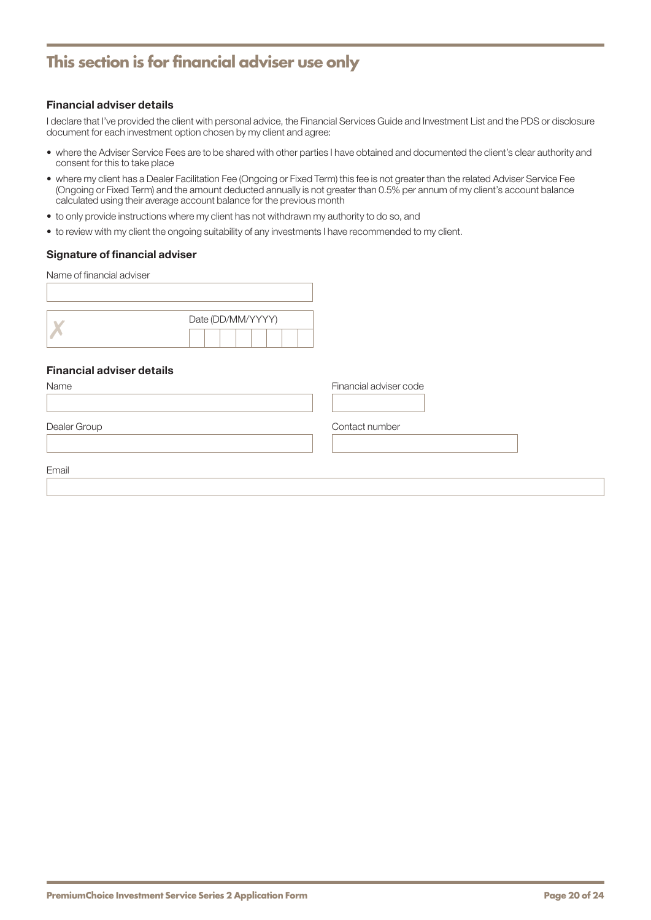## **This section is for financial adviser use only**

#### Financial adviser details

I declare that I've provided the client with personal advice, the Financial Services Guide and Investment List and the PDS or disclosure document for each investment option chosen by my client and agree:

- where the Adviser Service Fees are to be shared with other parties I have obtained and documented the client's clear authority and consent for this to take place
- where my client has a Dealer Facilitation Fee (Ongoing or Fixed Term) this fee is not greater than the related Adviser Service Fee (Ongoing or Fixed Term) and the amount deducted annually is not greater than 0.5% per annum of my client's account balance calculated using their average account balance for the previous month
- to only provide instructions where my client has not withdrawn my authority to do so, and
- to review with my client the ongoing suitability of any investments I have recommended to my client.

#### Signature of financial adviser

Name of financial adviser

| Date (DD/MM/YYYY) |  |  |  |  |  |  |
|-------------------|--|--|--|--|--|--|
|                   |  |  |  |  |  |  |

#### Financial adviser details

| Name         | Financial adviser code |
|--------------|------------------------|
|              |                        |
| Dealer Group | Contact number         |
| Email        |                        |
|              |                        |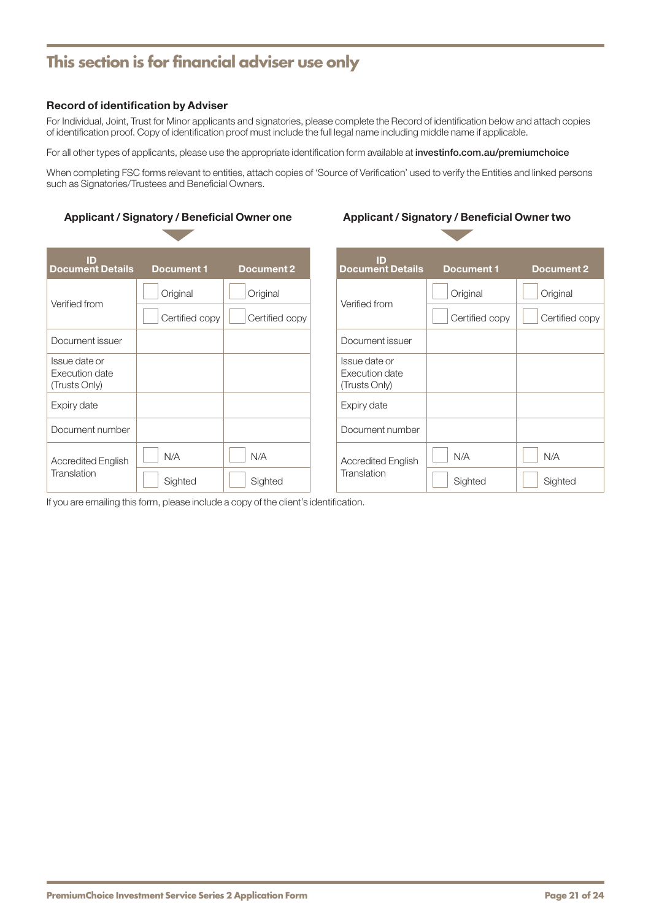## **This section is for financial adviser use only**

#### Record of identification by Adviser

For Individual, Joint, Trust for Minor applicants and signatories, please complete the Record of identification below and attach copies of identification proof. Copy of identification proof must include the full legal name including middle name if applicable.

For all other types of applicants, please use the appropriate identification form available at [investinfo.com.au/premiumchoice](https://www.investinfo.com.au/site/cms/premium-choice/public/index.html)

When completing FSC forms relevant to entities, attach copies of 'Source of Verification' used to verify the Entities and linked persons such as Signatories/Trustees and Beneficial Owners.

| Applicant / Signatory / Beneficial Owner one     |                   |                |             |                                                  | <b>Applicant / Signatory / Beneficial Owner two</b> |  |
|--------------------------------------------------|-------------------|----------------|-------------|--------------------------------------------------|-----------------------------------------------------|--|
| ID<br><b>Document Details</b>                    | <b>Document 1</b> | Document 2     |             | ID<br><b>Document Details</b>                    | <b>Document 1</b>                                   |  |
|                                                  | Original          | Original       |             |                                                  | Original                                            |  |
| Verified from                                    | Certified copy    | Certified copy |             | Verified from                                    | Certified copy                                      |  |
| Document issuer                                  |                   |                |             | Document issuer                                  |                                                     |  |
| Issue date or<br>Execution date<br>(Trusts Only) |                   |                |             | Issue date or<br>Execution date<br>(Trusts Only) |                                                     |  |
| Expiry date                                      |                   |                |             | Expiry date                                      |                                                     |  |
| Document number                                  |                   |                |             | Document number                                  |                                                     |  |
| <b>Accredited English</b>                        | N/A               | N/A            |             | <b>Accredited English</b>                        | N/A                                                 |  |
| Translation                                      | Sighted           | Sighted        | Translation |                                                  | Sighted                                             |  |

| סו<br><b>Document Details</b>                    | <b>Document 1</b> | Document 2     |  |  |  |  |
|--------------------------------------------------|-------------------|----------------|--|--|--|--|
| Verified from                                    | Original          | Original       |  |  |  |  |
|                                                  | Certified copy    | Certified copy |  |  |  |  |
| Document issuer                                  |                   |                |  |  |  |  |
| Issue date or<br>Execution date<br>(Trusts Only) |                   |                |  |  |  |  |
| Expiry date                                      |                   |                |  |  |  |  |
| Document number                                  |                   |                |  |  |  |  |
| <b>Accredited English</b>                        | N/A               | N/A            |  |  |  |  |
| Translation                                      | Sighted           | Sighted        |  |  |  |  |

If you are emailing this form, please include a copy of the client's identification.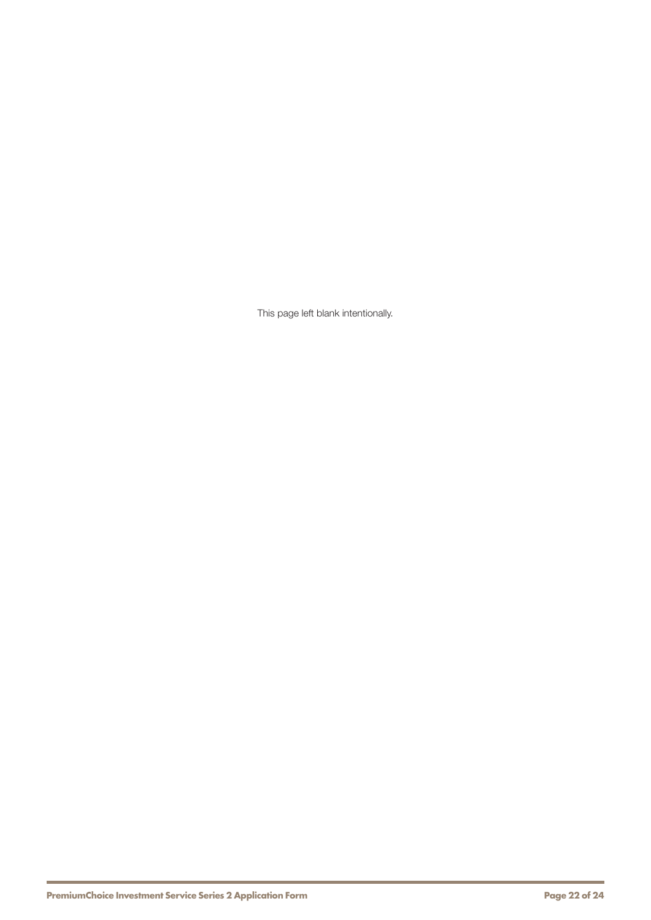This page left blank intentionally.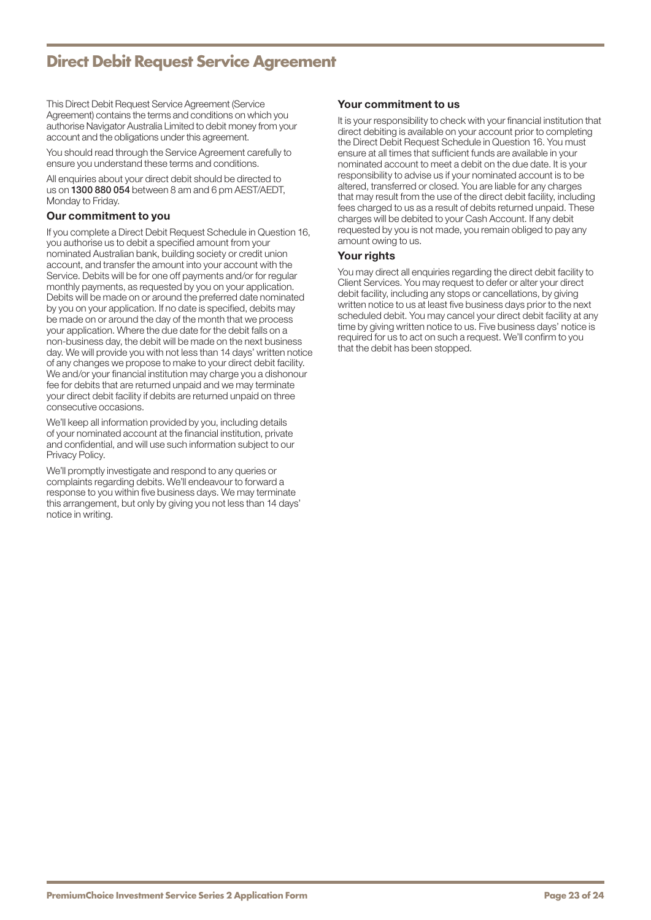## **Direct Debit Request Service Agreement**

This Direct Debit Request Service Agreement (Service Agreement) contains the terms and conditions on which you authorise Navigator Australia Limited to debit money from your account and the obligations under this agreement.

You should read through the Service Agreement carefully to ensure you understand these terms and conditions.

All enquiries about your direct debit should be directed to us on 1300 880 054 between 8 am and 6 pm AEST/AEDT, Monday to Friday.

#### Our commitment to you

If you complete a Direct Debit Request Schedule in Question 16, you authorise us to debit a specified amount from your nominated Australian bank, building society or credit union account, and transfer the amount into your account with the Service. Debits will be for one off payments and/or for regular monthly payments, as requested by you on your application. Debits will be made on or around the preferred date nominated by you on your application. If no date is specified, debits may be made on or around the day of the month that we process your application. Where the due date for the debit falls on a non-business day, the debit will be made on the next business day. We will provide you with not less than 14 days' written notice of any changes we propose to make to your direct debit facility. We and/or your financial institution may charge you a dishonour fee for debits that are returned unpaid and we may terminate your direct debit facility if debits are returned unpaid on three consecutive occasions.

We'll keep all information provided by you, including details of your nominated account at the financial institution, private and confidential, and will use such information subject to our Privacy Policy.

We'll promptly investigate and respond to any queries or complaints regarding debits. We'll endeavour to forward a response to you within five business days. We may terminate this arrangement, but only by giving you not less than 14 days' notice in writing.

#### Your commitment to us

It is your responsibility to check with your financial institution that direct debiting is available on your account prior to completing the Direct Debit Request Schedule in Question 16. You must ensure at all times that sufficient funds are available in your nominated account to meet a debit on the due date. It is your responsibility to advise us if your nominated account is to be altered, transferred or closed. You are liable for any charges that may result from the use of the direct debit facility, including fees charged to us as a result of debits returned unpaid. These charges will be debited to your Cash Account. If any debit requested by you is not made, you remain obliged to pay any amount owing to us.

#### Your rights

You may direct all enquiries regarding the direct debit facility to Client Services. You may request to defer or alter your direct debit facility, including any stops or cancellations, by giving written notice to us at least five business days prior to the next scheduled debit. You may cancel your direct debit facility at any time by giving written notice to us. Five business days' notice is required for us to act on such a request. We'll confirm to you that the debit has been stopped.